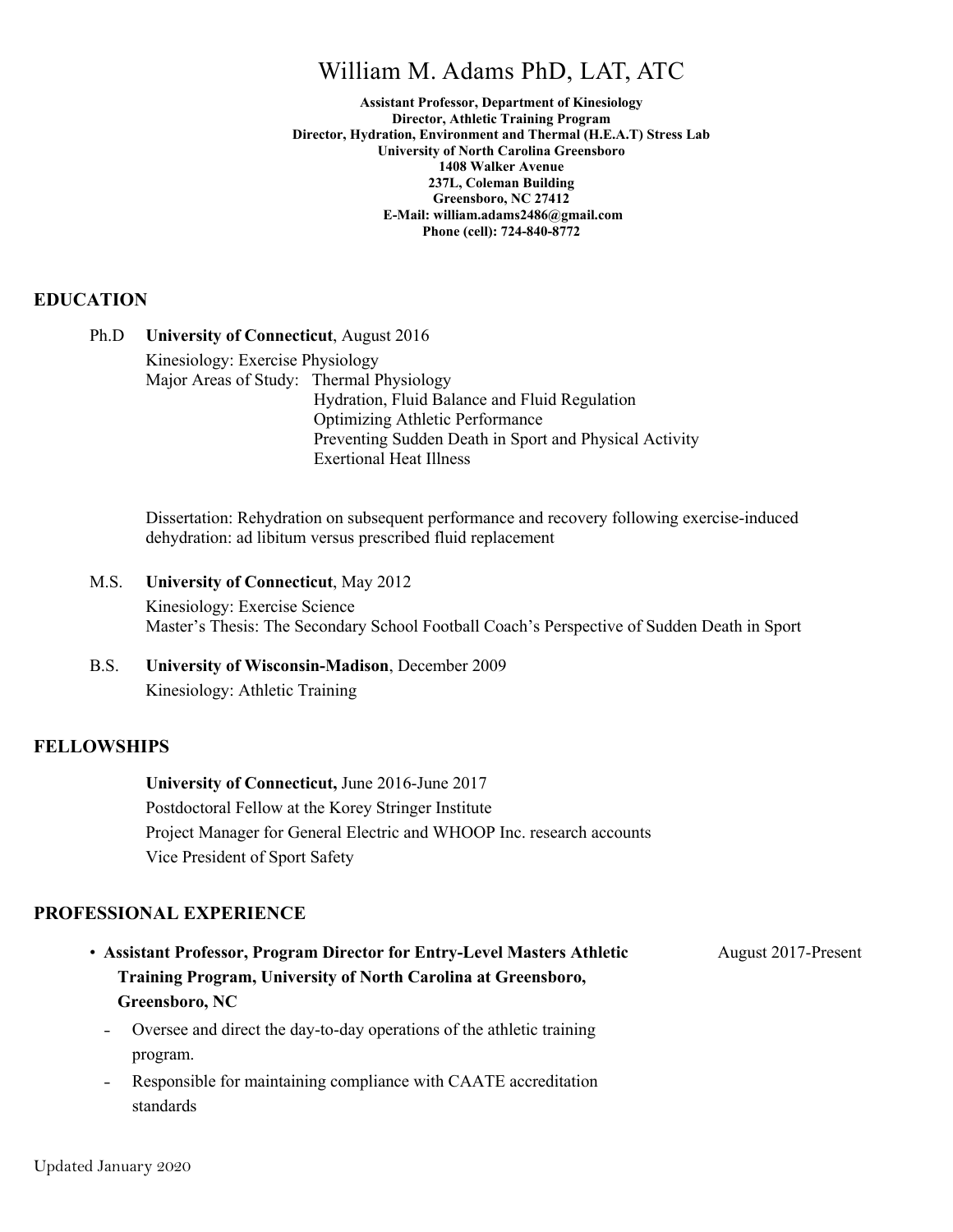## William M. Adams PhD, LAT, ATC

**Assistant Professor, Department of Kinesiology Director, Athletic Training Program Director, Hydration, Environment and Thermal (H.E.A.T) Stress Lab University of North Carolina Greensboro 1408 Walker Avenue 237L, Coleman Building Greensboro, NC 27412 E-Mail: william.adams2486@gmail.com Phone (cell): 724-840-8772**

#### **EDUCATION**

Ph.D **University of Connecticut**, August 2016 Kinesiology: Exercise Physiology Major Areas of Study: Thermal Physiology Hydration, Fluid Balance and Fluid Regulation Optimizing Athletic Performance Preventing Sudden Death in Sport and Physical Activity Exertional Heat Illness

Dissertation: Rehydration on subsequent performance and recovery following exercise-induced dehydration: ad libitum versus prescribed fluid replacement

M.S. **University of Connecticut**, May 2012 Kinesiology: Exercise Science Master's Thesis: The Secondary School Football Coach's Perspective of Sudden Death in Sport

B.S. **University of Wisconsin-Madison**, December 2009 Kinesiology: Athletic Training

#### **FELLOWSHIPS**

**University of Connecticut,** June 2016-June 2017 Postdoctoral Fellow at the Korey Stringer Institute Project Manager for General Electric and WHOOP Inc. research accounts Vice President of Sport Safety

#### **PROFESSIONAL EXPERIENCE**

- **Assistant Professor, Program Director for Entry-Level Masters Athletic Training Program, University of North Carolina at Greensboro, Greensboro, NC** August 2017-Present
	- Oversee and direct the day-to-day operations of the athletic training program.
	- Responsible for maintaining compliance with CAATE accreditation standards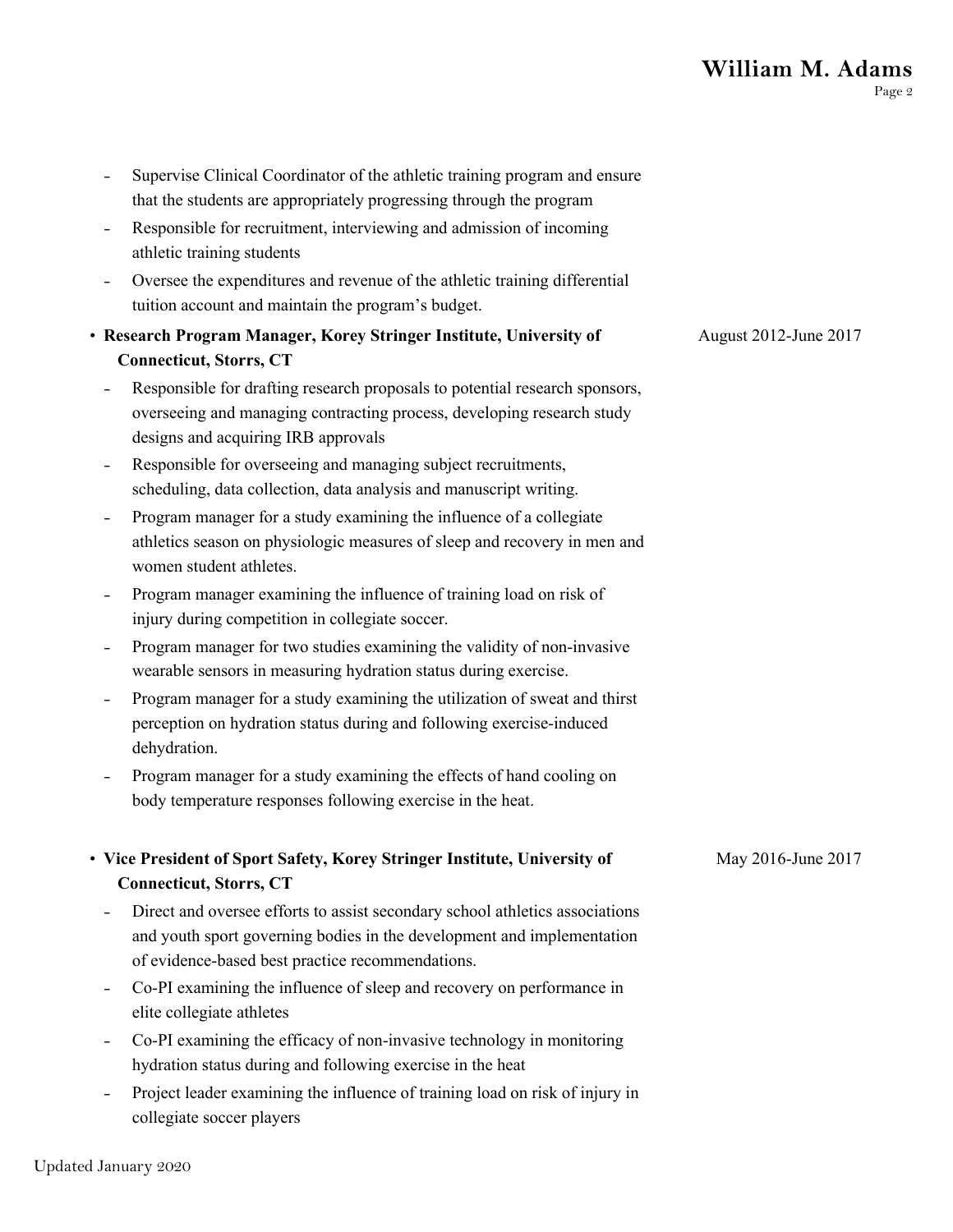# **William M. Adams**

|                              | Supervise Clinical Coordinator of the athletic training program and ensure<br>that the students are appropriately progressing through the program                                                          |                       |
|------------------------------|------------------------------------------------------------------------------------------------------------------------------------------------------------------------------------------------------------|-----------------------|
|                              | Responsible for recruitment, interviewing and admission of incoming<br>athletic training students                                                                                                          |                       |
|                              | Oversee the expenditures and revenue of the athletic training differential<br>tuition account and maintain the program's budget.                                                                           |                       |
|                              | • Research Program Manager, Korey Stringer Institute, University of<br><b>Connecticut, Storrs, CT</b>                                                                                                      | August 2012-June 2017 |
|                              | Responsible for drafting research proposals to potential research sponsors,                                                                                                                                |                       |
|                              | overseeing and managing contracting process, developing research study<br>designs and acquiring IRB approvals                                                                                              |                       |
| $\qquad \qquad \blacksquare$ | Responsible for overseeing and managing subject recruitments,<br>scheduling, data collection, data analysis and manuscript writing.                                                                        |                       |
|                              | Program manager for a study examining the influence of a collegiate<br>athletics season on physiologic measures of sleep and recovery in men and<br>women student athletes.                                |                       |
| $\overline{\phantom{a}}$     | Program manager examining the influence of training load on risk of<br>injury during competition in collegiate soccer.                                                                                     |                       |
|                              | Program manager for two studies examining the validity of non-invasive<br>wearable sensors in measuring hydration status during exercise.                                                                  |                       |
|                              | Program manager for a study examining the utilization of sweat and thirst<br>perception on hydration status during and following exercise-induced<br>dehydration.                                          |                       |
|                              | Program manager for a study examining the effects of hand cooling on<br>body temperature responses following exercise in the heat.                                                                         |                       |
|                              | • Vice President of Sport Safety, Korey Stringer Institute, University of                                                                                                                                  | May 2016-June 2017    |
|                              | <b>Connecticut, Storrs, CT</b>                                                                                                                                                                             |                       |
|                              | Direct and oversee efforts to assist secondary school athletics associations<br>and youth sport governing bodies in the development and implementation<br>of evidence-based best practice recommendations. |                       |
| $\qquad \qquad \blacksquare$ | Co-PI examining the influence of sleep and recovery on performance in<br>elite collegiate athletes                                                                                                         |                       |
|                              | Co-PI examining the efficacy of non-invasive technology in monitoring<br>hydration status during and following exercise in the heat                                                                        |                       |
|                              | Project leader examining the influence of training load on risk of injury in<br>collegiate soccer players                                                                                                  |                       |
|                              |                                                                                                                                                                                                            |                       |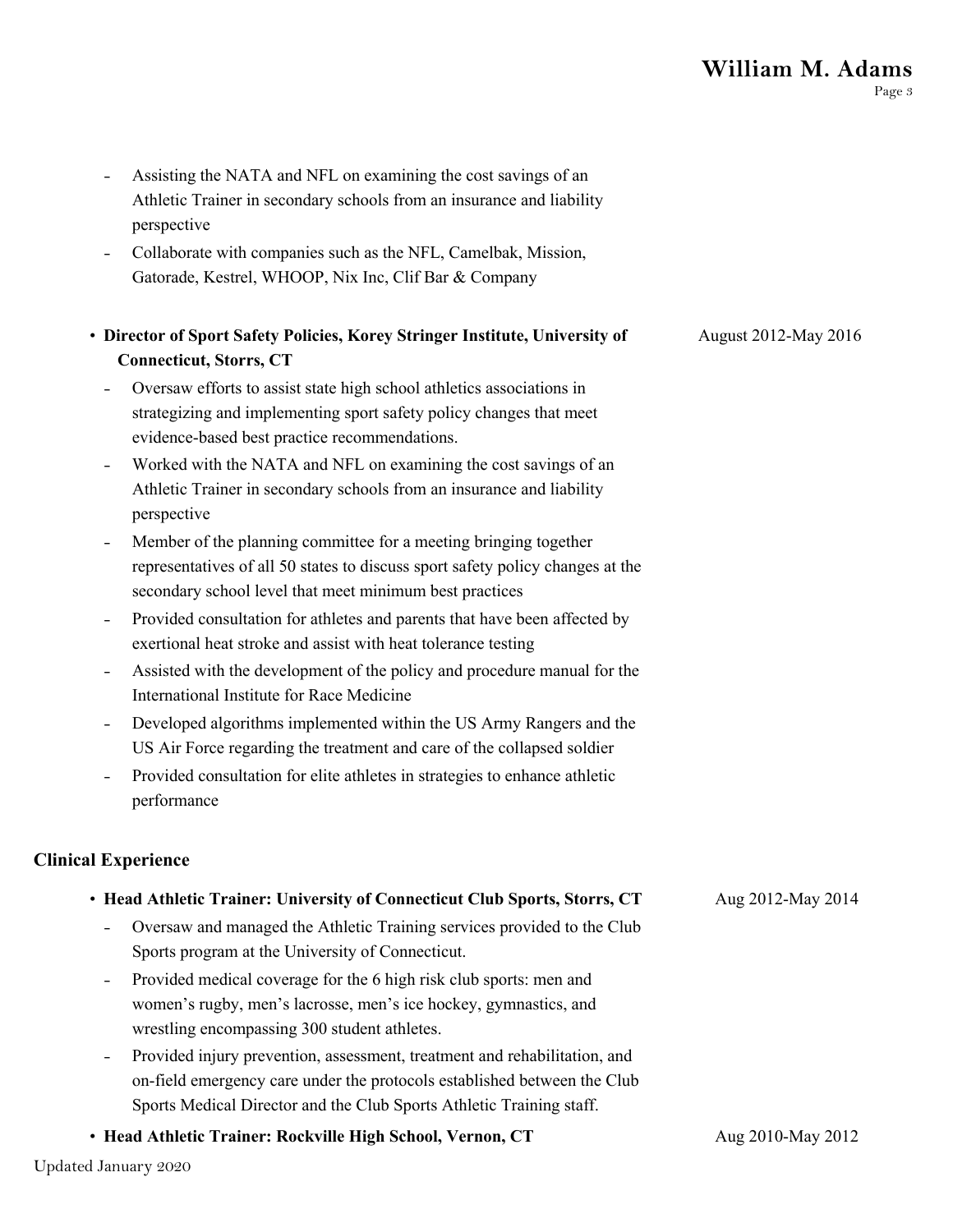- Assisting the NATA and NFL on examining the cost savings of an Athletic Trainer in secondary schools from an insurance and liability perspective
- Collaborate with companies such as the NFL, Camelbak, Mission, Gatorade, Kestrel, WHOOP, Nix Inc, Clif Bar & Company

| • Director of Sport Safety Policies, Korey Stringer Institute, University of | August 2012-May 2016 |
|------------------------------------------------------------------------------|----------------------|
| <b>Connecticut, Storrs, CT</b>                                               |                      |
|                                                                              |                      |

- Oversaw efforts to assist state high school athletics associations in strategizing and implementing sport safety policy changes that meet evidence-based best practice recommendations.
- Worked with the NATA and NFL on examining the cost savings of an Athletic Trainer in secondary schools from an insurance and liability perspective
- Member of the planning committee for a meeting bringing together representatives of all 50 states to discuss sport safety policy changes at the secondary school level that meet minimum best practices
- Provided consultation for athletes and parents that have been affected by exertional heat stroke and assist with heat tolerance testing
- Assisted with the development of the policy and procedure manual for the International Institute for Race Medicine
- Developed algorithms implemented within the US Army Rangers and the US Air Force regarding the treatment and care of the collapsed soldier
- Provided consultation for elite athletes in strategies to enhance athletic performance

#### **Clinical Experience**

| • Head Athletic Trainer: University of Connecticut Club Sports, Storrs, CT                  | Aug 2012-May 2014           |
|---------------------------------------------------------------------------------------------|-----------------------------|
| Oversaw and managed the Athletic Training services provided to the Club<br>$\blacksquare$   |                             |
| Sports program at the University of Connecticut.                                            |                             |
| Provided medical coverage for the 6 high risk club sports: men and<br>$\sim$                |                             |
| women's rugby, men's lacrosse, men's ice hockey, gymnastics, and                            |                             |
| wrestling encompassing 300 student athletes.                                                |                             |
| Provided injury prevention, assessment, treatment and rehabilitation, and<br>$\blacksquare$ |                             |
| on-field emergency care under the protocols established between the Club                    |                             |
| Sports Medical Director and the Club Sports Athletic Training staff.                        |                             |
|                                                                                             | $\lambda = 0.010 M - 0.012$ |

• **Head Athletic Trainer: Rockville High School, Vernon, CT** Aug 2010-May 2012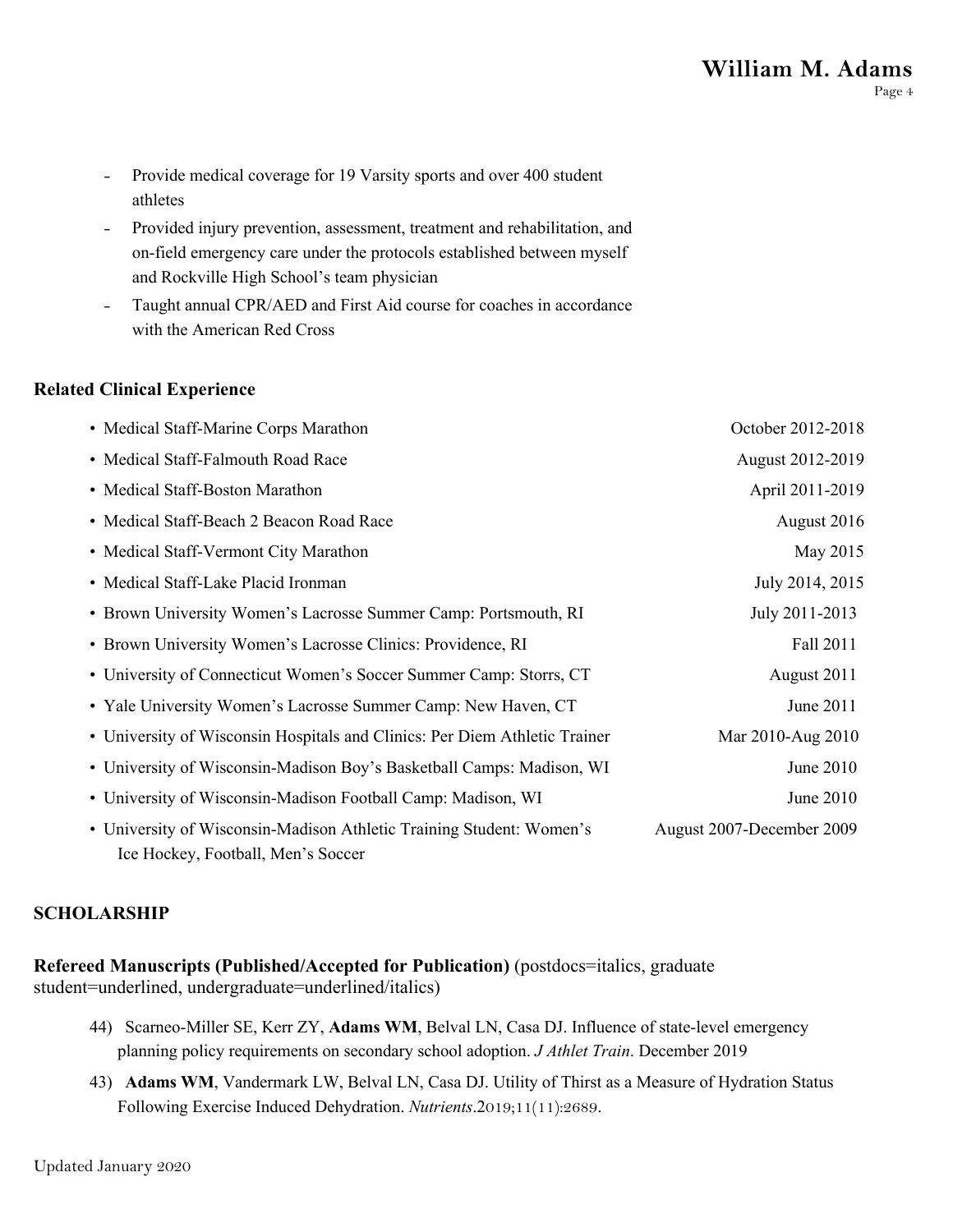- Provide medical coverage for 19 Varsity sports and over 400 student athletes
- Provided injury prevention, assessment, treatment and rehabilitation, and on-field emergency care under the protocols established between myself and Rockville High School's team physician
- Taught annual CPR/AED and First Aid course for coaches in accordance with the American Red Cross

## **Related Clinical Experience**

| • Medical Staff-Marine Corps Marathon                                                                      | October 2012-2018         |
|------------------------------------------------------------------------------------------------------------|---------------------------|
| • Medical Staff-Falmouth Road Race                                                                         | August 2012-2019          |
| • Medical Staff-Boston Marathon                                                                            | April 2011-2019           |
| • Medical Staff-Beach 2 Beacon Road Race                                                                   | August 2016               |
| • Medical Staff-Vermont City Marathon                                                                      | May 2015                  |
| • Medical Staff-Lake Placid Ironman                                                                        | July 2014, 2015           |
| • Brown University Women's Lacrosse Summer Camp: Portsmouth, RI                                            | July 2011-2013            |
| • Brown University Women's Lacrosse Clinics: Providence, RI                                                | Fall 2011                 |
| • University of Connecticut Women's Soccer Summer Camp: Storrs, CT                                         | August 2011               |
| • Yale University Women's Lacrosse Summer Camp: New Haven, CT                                              | June 2011                 |
| • University of Wisconsin Hospitals and Clinics: Per Diem Athletic Trainer                                 | Mar 2010-Aug 2010         |
| • University of Wisconsin-Madison Boy's Basketball Camps: Madison, WI                                      | June 2010                 |
| • University of Wisconsin-Madison Football Camp: Madison, WI                                               | June 2010                 |
| • University of Wisconsin-Madison Athletic Training Student: Women's<br>Ice Hockey, Football, Men's Soccer | August 2007-December 2009 |

#### **SCHOLARSHIP**

**Refereed Manuscripts (Published/Accepted for Publication)** (postdocs=italics, graduate student=underlined, undergraduate=underlined/italics)

- 44) Scarneo-Miller SE, Kerr ZY, **Adams WM**, Belval LN, Casa DJ. Influence of state-level emergency planning policy requirements on secondary school adoption. *J Athlet Train*. December 2019
- 43) **Adams WM**, Vandermark LW, Belval LN, Casa DJ. Utility of Thirst as a Measure of Hydration Status Following Exercise Induced Dehydration. *Nutrients*.2019;11(11):2689.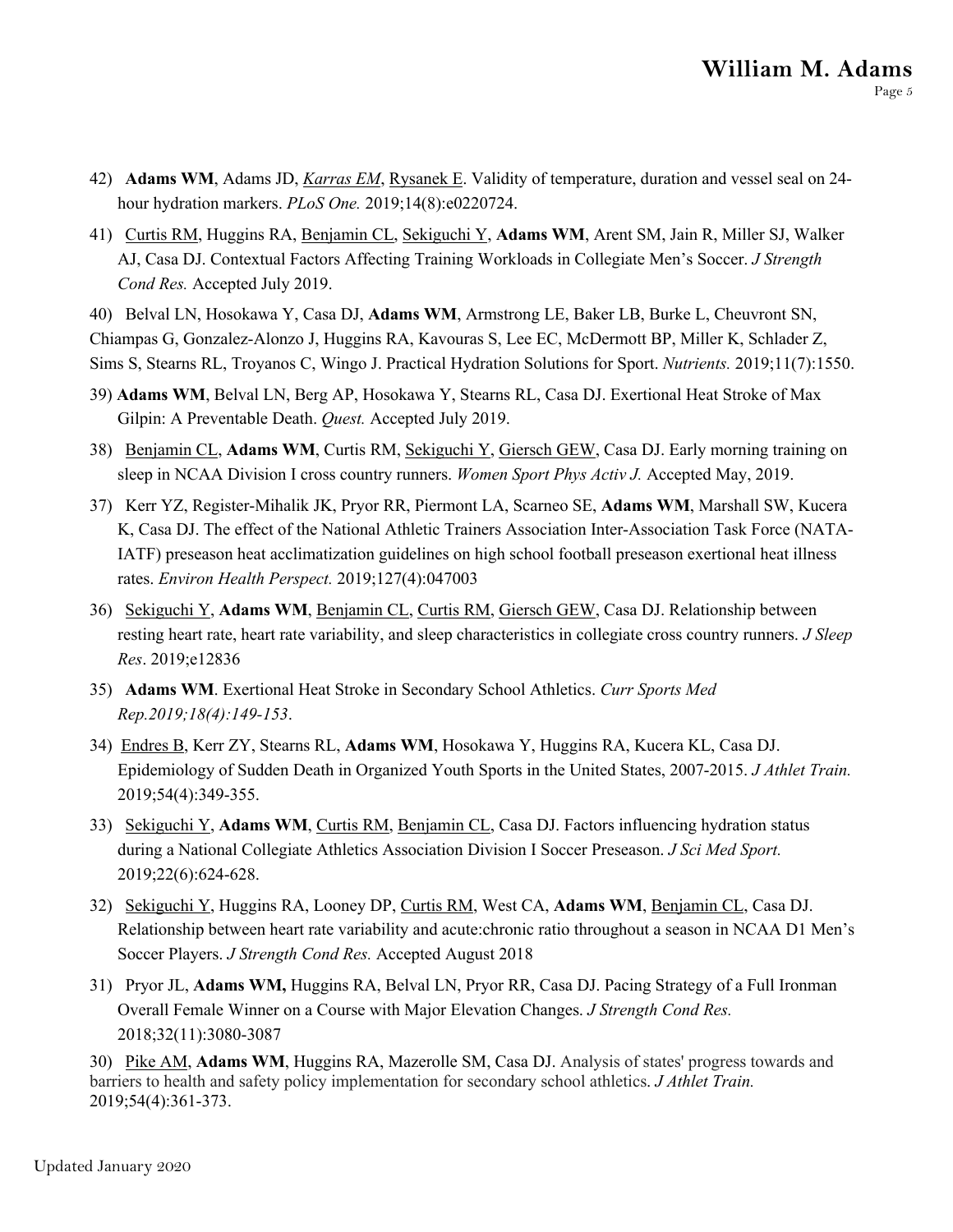- 42) **Adams WM**, Adams JD, *Karras EM*, Rysanek E. Validity of temperature, duration and vessel seal on 24 hour hydration markers. *PLoS One.* 2019;14(8):e0220724.
- 41) Curtis RM, Huggins RA, Benjamin CL, Sekiguchi Y, **Adams WM**, Arent SM, Jain R, Miller SJ, Walker AJ, Casa DJ. Contextual Factors Affecting Training Workloads in Collegiate Men's Soccer. *J Strength Cond Res.* Accepted July 2019.

40) Belval LN, Hosokawa Y, Casa DJ, **Adams WM**, Armstrong LE, Baker LB, Burke L, Cheuvront SN, Chiampas G, Gonzalez-Alonzo J, Huggins RA, Kavouras S, Lee EC, McDermott BP, Miller K, Schlader Z, Sims S, Stearns RL, Troyanos C, Wingo J. Practical Hydration Solutions for Sport. *Nutrients.* 2019;11(7):1550.

- 39) **Adams WM**, Belval LN, Berg AP, Hosokawa Y, Stearns RL, Casa DJ. Exertional Heat Stroke of Max Gilpin: A Preventable Death. *Quest.* Accepted July 2019.
- 38) Benjamin CL, **Adams WM**, Curtis RM, Sekiguchi Y, Giersch GEW, Casa DJ. Early morning training on sleep in NCAA Division I cross country runners. *Women Sport Phys Activ J.* Accepted May, 2019.
- 37) Kerr YZ, Register-Mihalik JK, Pryor RR, Piermont LA, Scarneo SE, **Adams WM**, Marshall SW, Kucera K, Casa DJ. The effect of the National Athletic Trainers Association Inter-Association Task Force (NATA-IATF) preseason heat acclimatization guidelines on high school football preseason exertional heat illness rates. *Environ Health Perspect.* 2019;127(4):047003
- 36) Sekiguchi Y, **Adams WM**, Benjamin CL, Curtis RM, Giersch GEW, Casa DJ. Relationship between resting heart rate, heart rate variability, and sleep characteristics in collegiate cross country runners. *J Sleep Res*. 2019;e12836
- 35) **Adams WM**. Exertional Heat Stroke in Secondary School Athletics. *Curr Sports Med Rep.2019;18(4):149-153*.
- 34) Endres B, Kerr ZY, Stearns RL, **Adams WM**, Hosokawa Y, Huggins RA, Kucera KL, Casa DJ. Epidemiology of Sudden Death in Organized Youth Sports in the United States, 2007-2015. *J Athlet Train.*  2019;54(4):349-355.
- 33) Sekiguchi Y, **Adams WM**, Curtis RM, Benjamin CL, Casa DJ. Factors influencing hydration status during a National Collegiate Athletics Association Division I Soccer Preseason. *J Sci Med Sport.*  2019;22(6):624-628.
- 32) Sekiguchi Y, Huggins RA, Looney DP, Curtis RM, West CA, **Adams WM**, Benjamin CL, Casa DJ. Relationship between heart rate variability and acute:chronic ratio throughout a season in NCAA D1 Men's Soccer Players. *J Strength Cond Res.* Accepted August 2018
- 31) Pryor JL, **Adams WM,** Huggins RA, Belval LN, Pryor RR, Casa DJ. Pacing Strategy of a Full Ironman Overall Female Winner on a Course with Major Elevation Changes. *J Strength Cond Res.* 2018;32(11):3080-3087

30) Pike AM, **Adams WM**, Huggins RA, Mazerolle SM, Casa DJ. Analysis of states' progress towards and barriers to health and safety policy implementation for secondary school athletics. *J Athlet Train.* 2019;54(4):361-373.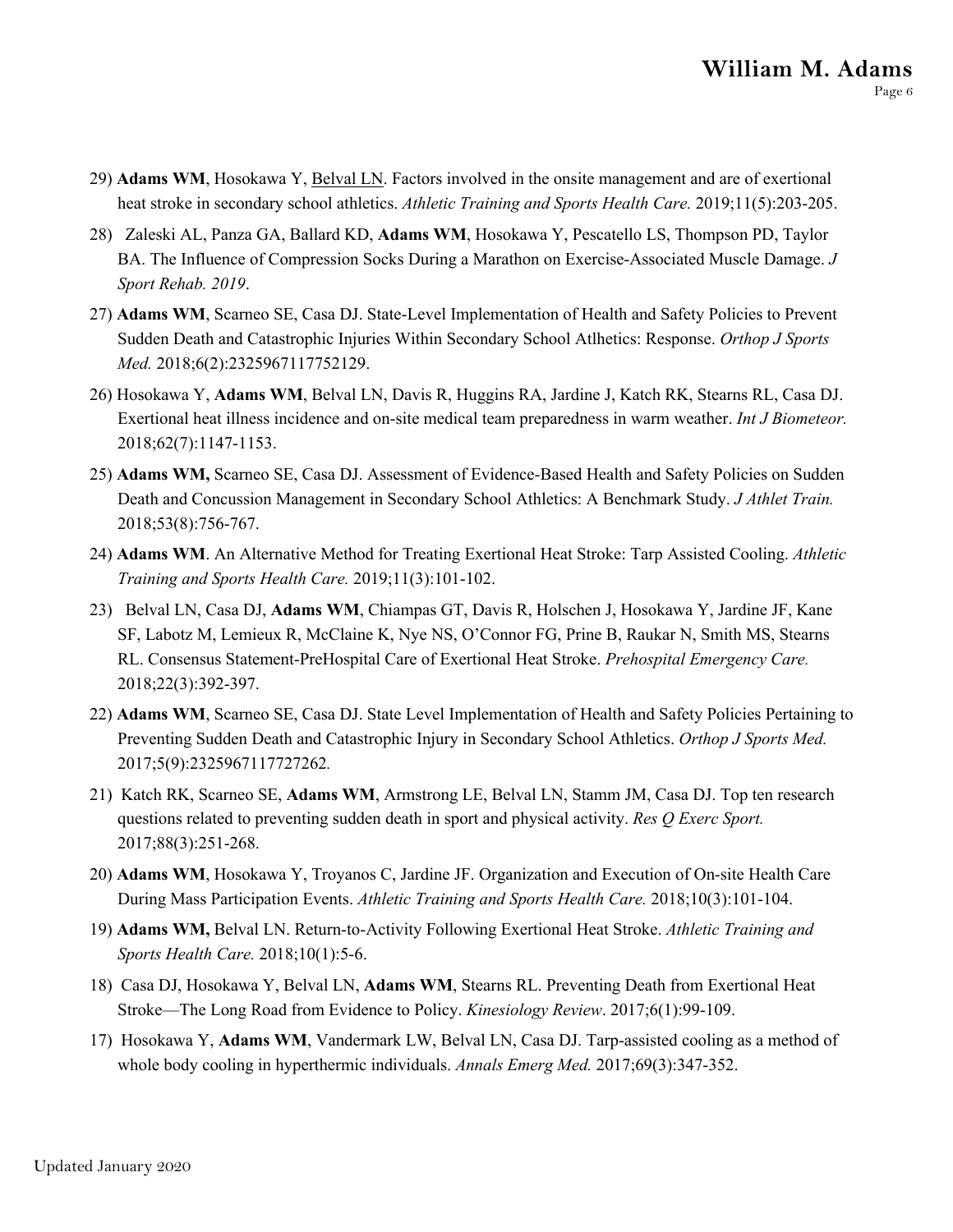- 29) **Adams WM**, Hosokawa Y, Belval LN. Factors involved in the onsite management and are of exertional heat stroke in secondary school athletics. *Athletic Training and Sports Health Care.* 2019;11(5):203-205.
- 28) Zaleski AL, Panza GA, Ballard KD, **Adams WM**, Hosokawa Y, Pescatello LS, Thompson PD, Taylor BA. The Influence of Compression Socks During a Marathon on Exercise-Associated Muscle Damage. *J Sport Rehab. 2019*.
- 27) **Adams WM**, Scarneo SE, Casa DJ. State-Level Implementation of Health and Safety Policies to Prevent Sudden Death and Catastrophic Injuries Within Secondary School Atlhetics: Response. *Orthop J Sports Med.* 2018;6(2):2325967117752129.
- 26) Hosokawa Y, **Adams WM**, Belval LN, Davis R, Huggins RA, Jardine J, Katch RK, Stearns RL, Casa DJ. Exertional heat illness incidence and on-site medical team preparedness in warm weather. *Int J Biometeor.*  2018;62(7):1147-1153.
- 25) **Adams WM,** Scarneo SE, Casa DJ. Assessment of Evidence-Based Health and Safety Policies on Sudden Death and Concussion Management in Secondary School Athletics: A Benchmark Study. *J Athlet Train.* 2018;53(8):756-767.
- 24) **Adams WM**. An Alternative Method for Treating Exertional Heat Stroke: Tarp Assisted Cooling. *Athletic Training and Sports Health Care.* 2019;11(3):101-102.
- 23) Belval LN, Casa DJ, **Adams WM**, Chiampas GT, Davis R, Holschen J, Hosokawa Y, Jardine JF, Kane SF, Labotz M, Lemieux R, McClaine K, Nye NS, O'Connor FG, Prine B, Raukar N, Smith MS, Stearns RL. Consensus Statement-PreHospital Care of Exertional Heat Stroke. *Prehospital Emergency Care.*  2018;22(3):392-397.
- 22) **Adams WM**, Scarneo SE, Casa DJ. State Level Implementation of Health and Safety Policies Pertaining to Preventing Sudden Death and Catastrophic Injury in Secondary School Athletics. *Orthop J Sports Med.*  2017;5(9):2325967117727262*.*
- 21) Katch RK, Scarneo SE, **Adams WM**, Armstrong LE, Belval LN, Stamm JM, Casa DJ. Top ten research questions related to preventing sudden death in sport and physical activity. *Res Q Exerc Sport.* 2017;88(3):251-268.
- 20) **Adams WM**, Hosokawa Y, Troyanos C, Jardine JF. Organization and Execution of On-site Health Care During Mass Participation Events. *Athletic Training and Sports Health Care.* 2018;10(3):101-104.
- 19) **Adams WM,** Belval LN. Return-to-Activity Following Exertional Heat Stroke. *Athletic Training and Sports Health Care.* 2018;10(1):5-6.
- 18) Casa DJ, Hosokawa Y, Belval LN, **Adams WM**, Stearns RL. Preventing Death from Exertional Heat Stroke—The Long Road from Evidence to Policy. *Kinesiology Review*. 2017;6(1):99-109.
- 17) Hosokawa Y, **Adams WM**, Vandermark LW, Belval LN, Casa DJ. Tarp-assisted cooling as a method of whole body cooling in hyperthermic individuals. *Annals Emerg Med.* 2017;69(3):347-352.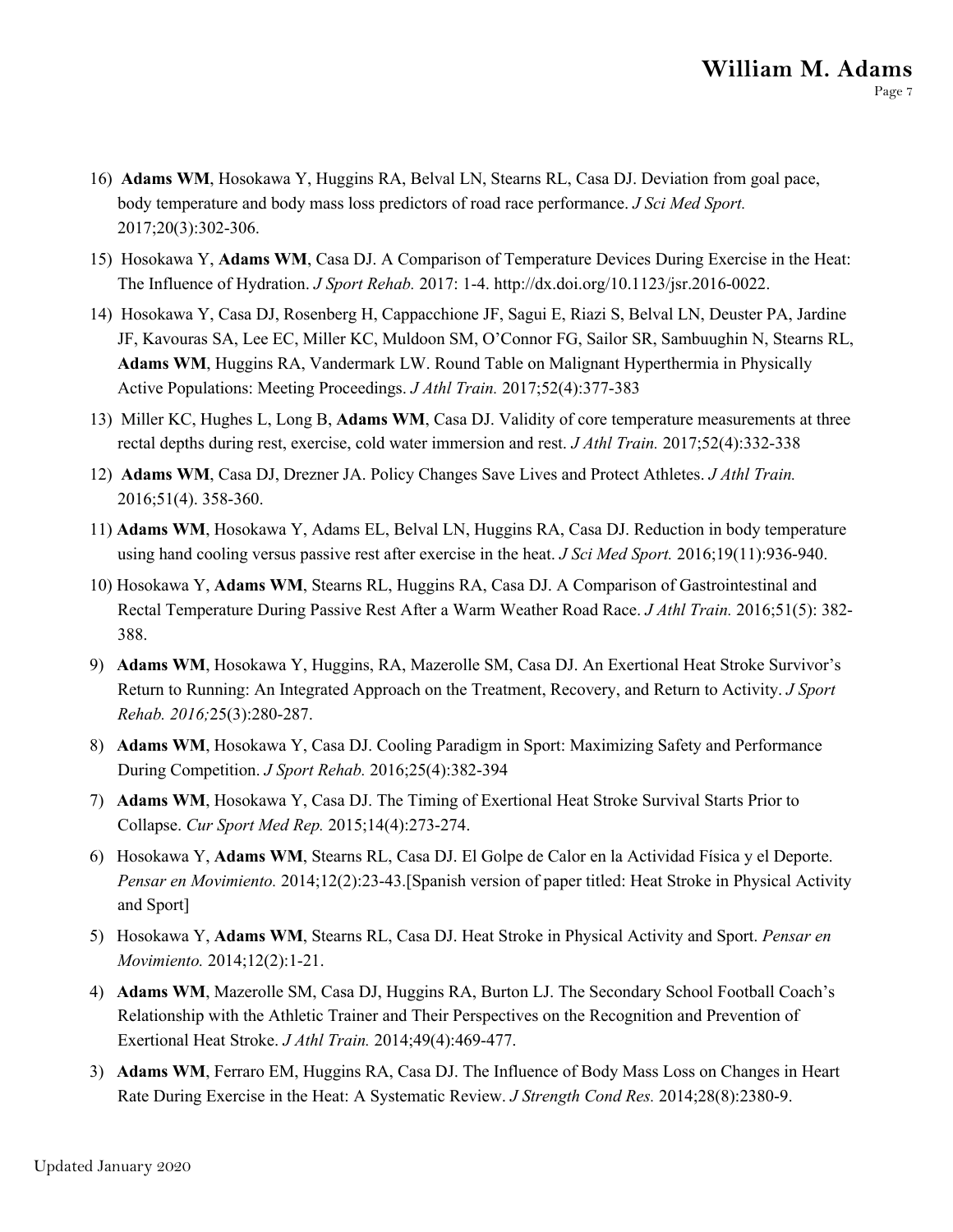- 16) **Adams WM**, Hosokawa Y, Huggins RA, Belval LN, Stearns RL, Casa DJ. Deviation from goal pace, body temperature and body mass loss predictors of road race performance. *J Sci Med Sport.*  2017;20(3):302-306.
- 15) Hosokawa Y, **Adams WM**, Casa DJ. A Comparison of Temperature Devices During Exercise in the Heat: The Influence of Hydration. *J Sport Rehab.* 2017: 1-4. http://dx.doi.org/10.1123/jsr.2016-0022.
- 14) Hosokawa Y, Casa DJ, Rosenberg H, Cappacchione JF, Sagui E, Riazi S, Belval LN, Deuster PA, Jardine JF, Kavouras SA, Lee EC, Miller KC, Muldoon SM, O'Connor FG, Sailor SR, Sambuughin N, Stearns RL, **Adams WM**, Huggins RA, Vandermark LW. Round Table on Malignant Hyperthermia in Physically Active Populations: Meeting Proceedings. *J Athl Train.* 2017;52(4):377-383
- 13) Miller KC, Hughes L, Long B, **Adams WM**, Casa DJ. Validity of core temperature measurements at three rectal depths during rest, exercise, cold water immersion and rest. *J Athl Train.* 2017;52(4):332-338
- 12) **Adams WM**, Casa DJ, Drezner JA. Policy Changes Save Lives and Protect Athletes. *J Athl Train.* 2016;51(4). 358-360.
- 11) **Adams WM**, Hosokawa Y, Adams EL, Belval LN, Huggins RA, Casa DJ. Reduction in body temperature using hand cooling versus passive rest after exercise in the heat. *J Sci Med Sport.* 2016;19(11):936-940.
- 10) Hosokawa Y, **Adams WM**, Stearns RL, Huggins RA, Casa DJ. A Comparison of Gastrointestinal and Rectal Temperature During Passive Rest After a Warm Weather Road Race. *J Athl Train.* 2016;51(5): 382- 388.
- 9) **Adams WM**, Hosokawa Y, Huggins, RA, Mazerolle SM, Casa DJ. An Exertional Heat Stroke Survivor's Return to Running: An Integrated Approach on the Treatment, Recovery, and Return to Activity. *J Sport Rehab. 2016;*25(3):280-287.
- 8) **Adams WM**, Hosokawa Y, Casa DJ. Cooling Paradigm in Sport: Maximizing Safety and Performance During Competition. *J Sport Rehab.* 2016;25(4):382-394
- 7) **Adams WM**, Hosokawa Y, Casa DJ. The Timing of Exertional Heat Stroke Survival Starts Prior to Collapse. *Cur Sport Med Rep.* 2015;14(4):273-274.
- 6) Hosokawa Y, **Adams WM**, Stearns RL, Casa DJ. El Golpe de Calor en la Actividad Física y el Deporte. *Pensar en Movimiento.* 2014;12(2):23-43.[Spanish version of paper titled: Heat Stroke in Physical Activity and Sport]
- 5) Hosokawa Y, **Adams WM**, Stearns RL, Casa DJ. Heat Stroke in Physical Activity and Sport. *Pensar en Movimiento.* 2014;12(2):1-21.
- 4) **Adams WM**, Mazerolle SM, Casa DJ, Huggins RA, Burton LJ. The Secondary School Football Coach's Relationship with the Athletic Trainer and Their Perspectives on the Recognition and Prevention of Exertional Heat Stroke. *J Athl Train.* 2014;49(4):469-477.
- 3) **Adams WM**, Ferraro EM, Huggins RA, Casa DJ. The Influence of Body Mass Loss on Changes in Heart Rate During Exercise in the Heat: A Systematic Review. *J Strength Cond Res.* 2014;28(8):2380-9.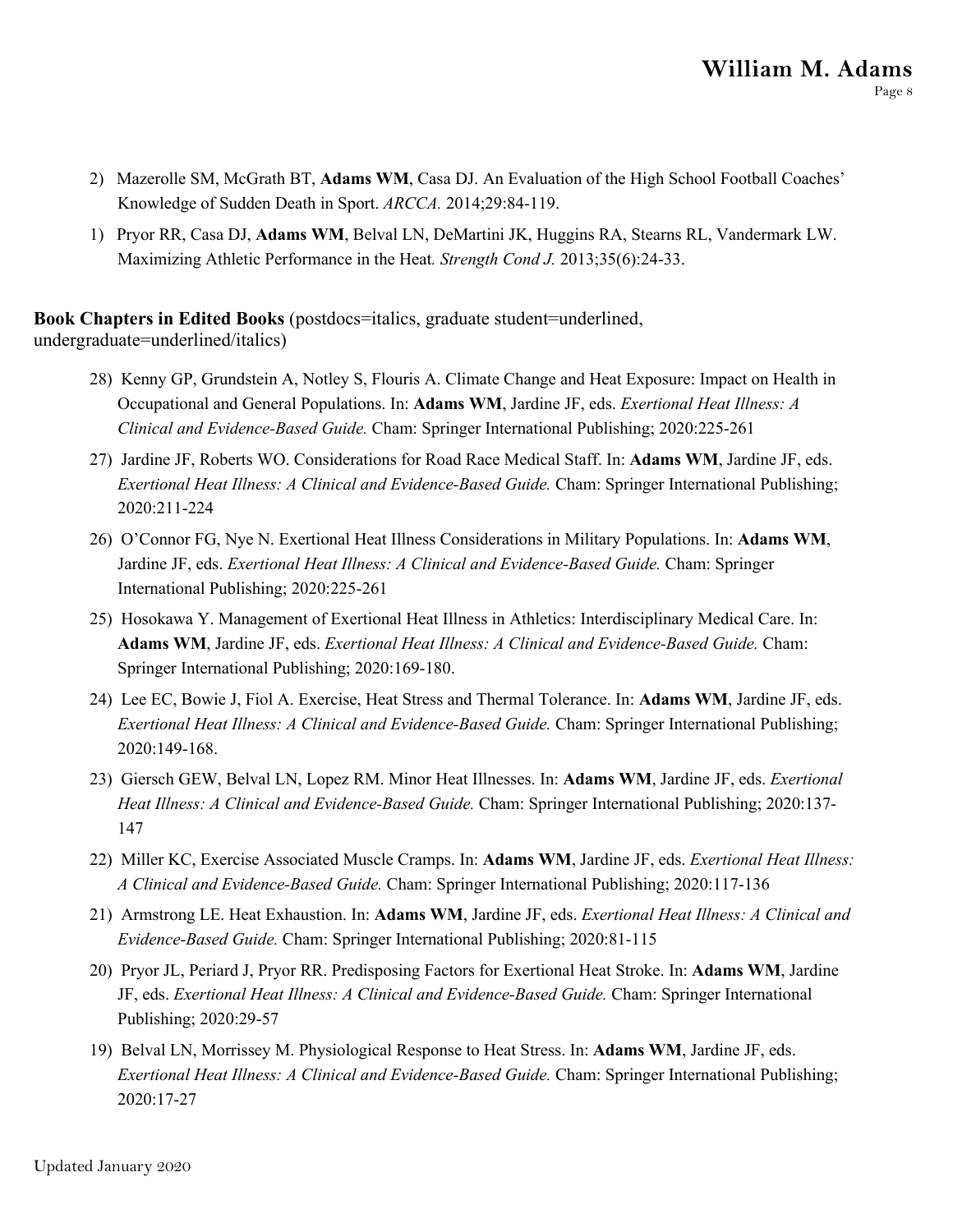- 2) Mazerolle SM, McGrath BT, **Adams WM**, Casa DJ. An Evaluation of the High School Football Coaches' Knowledge of Sudden Death in Sport. *ARCCA.* 2014;29:84-119.
- 1) Pryor RR, Casa DJ, **Adams WM**, Belval LN, DeMartini JK, Huggins RA, Stearns RL, Vandermark LW. Maximizing Athletic Performance in the Heat*. Strength Cond J.* 2013;35(6):24-33.

**Book Chapters in Edited Books** (postdocs=italics, graduate student=underlined, undergraduate=underlined/italics)

- 28) Kenny GP, Grundstein A, Notley S, Flouris A. Climate Change and Heat Exposure: Impact on Health in Occupational and General Populations. In: **Adams WM**, Jardine JF, eds. *Exertional Heat Illness: A Clinical and Evidence-Based Guide.* Cham: Springer International Publishing; 2020:225-261
- 27) Jardine JF, Roberts WO. Considerations for Road Race Medical Staff. In: **Adams WM**, Jardine JF, eds. *Exertional Heat Illness: A Clinical and Evidence-Based Guide.* Cham: Springer International Publishing; 2020:211-224
- 26) O'Connor FG, Nye N. Exertional Heat Illness Considerations in Military Populations. In: **Adams WM**, Jardine JF, eds. *Exertional Heat Illness: A Clinical and Evidence-Based Guide.* Cham: Springer International Publishing; 2020:225-261
- 25) Hosokawa Y. Management of Exertional Heat Illness in Athletics: Interdisciplinary Medical Care. In: **Adams WM**, Jardine JF, eds. *Exertional Heat Illness: A Clinical and Evidence-Based Guide.* Cham: Springer International Publishing; 2020:169-180.
- 24) Lee EC, Bowie J, Fiol A. Exercise, Heat Stress and Thermal Tolerance. In: **Adams WM**, Jardine JF, eds. *Exertional Heat Illness: A Clinical and Evidence-Based Guide.* Cham: Springer International Publishing; 2020:149-168.
- 23) Giersch GEW, Belval LN, Lopez RM. Minor Heat Illnesses. In: **Adams WM**, Jardine JF, eds. *Exertional Heat Illness: A Clinical and Evidence-Based Guide.* Cham: Springer International Publishing; 2020:137- 147
- 22) Miller KC, Exercise Associated Muscle Cramps. In: **Adams WM**, Jardine JF, eds. *Exertional Heat Illness: A Clinical and Evidence-Based Guide.* Cham: Springer International Publishing; 2020:117-136
- 21) Armstrong LE. Heat Exhaustion. In: **Adams WM**, Jardine JF, eds. *Exertional Heat Illness: A Clinical and Evidence-Based Guide.* Cham: Springer International Publishing; 2020:81-115
- 20) Pryor JL, Periard J, Pryor RR. Predisposing Factors for Exertional Heat Stroke. In: **Adams WM**, Jardine JF, eds. *Exertional Heat Illness: A Clinical and Evidence-Based Guide.* Cham: Springer International Publishing; 2020:29-57
- 19) Belval LN, Morrissey M. Physiological Response to Heat Stress. In: **Adams WM**, Jardine JF, eds. *Exertional Heat Illness: A Clinical and Evidence-Based Guide.* Cham: Springer International Publishing; 2020:17-27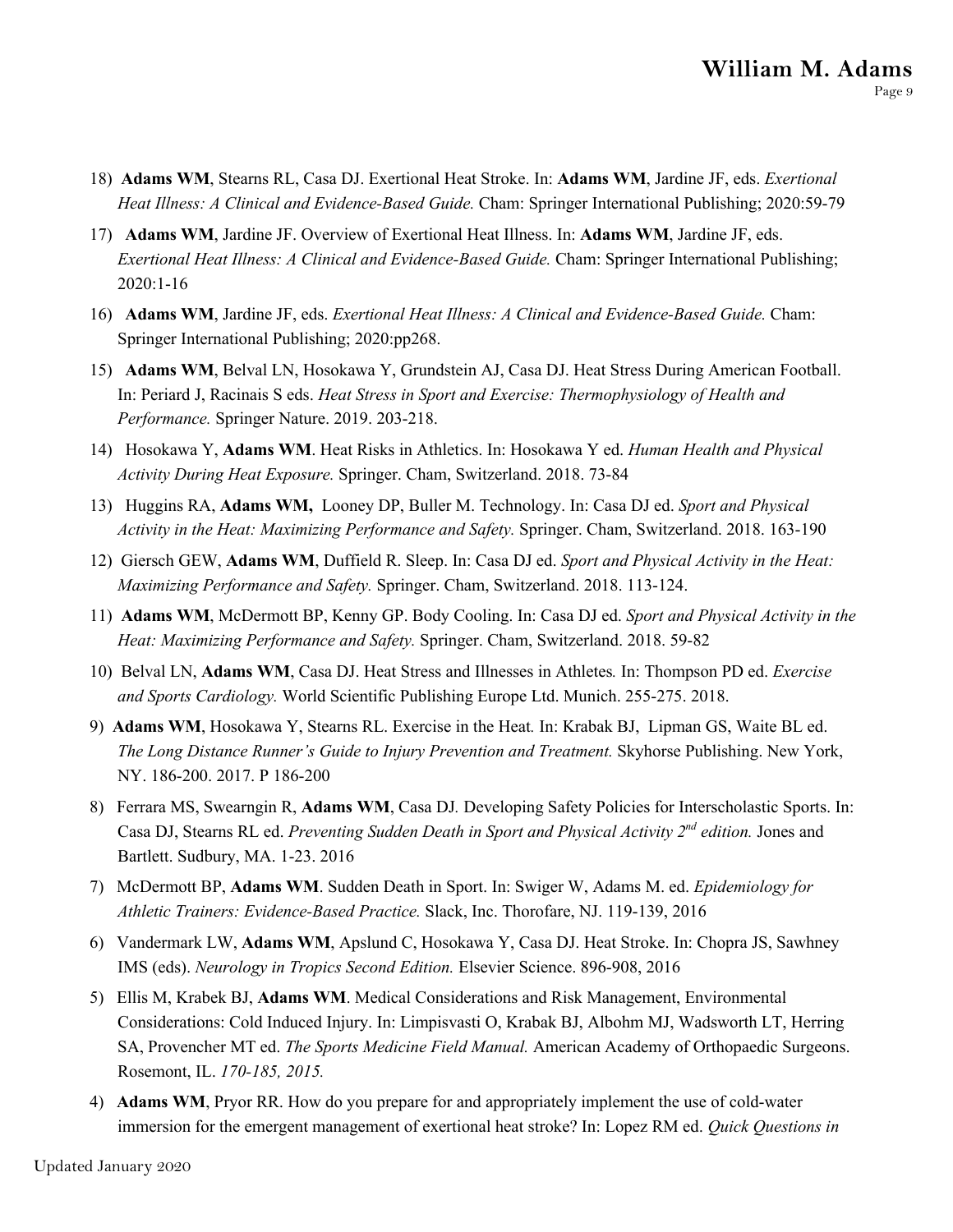- 18) **Adams WM**, Stearns RL, Casa DJ. Exertional Heat Stroke. In: **Adams WM**, Jardine JF, eds. *Exertional Heat Illness: A Clinical and Evidence-Based Guide.* Cham: Springer International Publishing; 2020:59-79
- 17) **Adams WM**, Jardine JF. Overview of Exertional Heat Illness. In: **Adams WM**, Jardine JF, eds. *Exertional Heat Illness: A Clinical and Evidence-Based Guide.* Cham: Springer International Publishing; 2020:1-16
- 16) **Adams WM**, Jardine JF, eds. *Exertional Heat Illness: A Clinical and Evidence-Based Guide.* Cham: Springer International Publishing; 2020:pp268.
- 15) **Adams WM**, Belval LN, Hosokawa Y, Grundstein AJ, Casa DJ. Heat Stress During American Football. In: Periard J, Racinais S eds. *Heat Stress in Sport and Exercise: Thermophysiology of Health and Performance.* Springer Nature. 2019. 203-218.
- 14) Hosokawa Y, **Adams WM**. Heat Risks in Athletics. In: Hosokawa Y ed. *Human Health and Physical Activity During Heat Exposure.* Springer. Cham, Switzerland. 2018. 73-84
- 13) Huggins RA, **Adams WM,** Looney DP, Buller M. Technology. In: Casa DJ ed. *Sport and Physical Activity in the Heat: Maximizing Performance and Safety.* Springer. Cham, Switzerland. 2018. 163-190
- 12) Giersch GEW, **Adams WM**, Duffield R. Sleep. In: Casa DJ ed. *Sport and Physical Activity in the Heat: Maximizing Performance and Safety.* Springer. Cham, Switzerland. 2018. 113-124.
- 11) **Adams WM**, McDermott BP, Kenny GP. Body Cooling. In: Casa DJ ed. *Sport and Physical Activity in the Heat: Maximizing Performance and Safety.* Springer. Cham, Switzerland. 2018. 59-82
- 10) Belval LN, **Adams WM**, Casa DJ. Heat Stress and Illnesses in Athletes*.* In: Thompson PD ed. *Exercise and Sports Cardiology.* World Scientific Publishing Europe Ltd. Munich. 255-275. 2018.
- 9) **Adams WM**, Hosokawa Y, Stearns RL. Exercise in the Heat*.* In: Krabak BJ, Lipman GS, Waite BL ed. *The Long Distance Runner's Guide to Injury Prevention and Treatment.* Skyhorse Publishing. New York, NY. 186-200. 2017. P 186-200
- 8) Ferrara MS, Swearngin R, **Adams WM**, Casa DJ*.* Developing Safety Policies for Interscholastic Sports. In: Casa DJ, Stearns RL ed. *Preventing Sudden Death in Sport and Physical Activity 2nd edition.* Jones and Bartlett. Sudbury, MA. 1-23. 2016
- 7) McDermott BP, **Adams WM**. Sudden Death in Sport. In: Swiger W, Adams M. ed. *Epidemiology for Athletic Trainers: Evidence-Based Practice.* Slack, Inc. Thorofare, NJ. 119-139, 2016
- 6) Vandermark LW, **Adams WM**, Apslund C, Hosokawa Y, Casa DJ. Heat Stroke. In: Chopra JS, Sawhney IMS (eds). *Neurology in Tropics Second Edition.* Elsevier Science. 896-908, 2016
- 5) Ellis M, Krabek BJ, **Adams WM**. Medical Considerations and Risk Management, Environmental Considerations: Cold Induced Injury. In: Limpisvasti O, Krabak BJ, Albohm MJ, Wadsworth LT, Herring SA, Provencher MT ed. *The Sports Medicine Field Manual.* American Academy of Orthopaedic Surgeons. Rosemont, IL. *170-185, 2015.*
- 4) **Adams WM**, Pryor RR. How do you prepare for and appropriately implement the use of cold-water immersion for the emergent management of exertional heat stroke? In: Lopez RM ed. *Quick Questions in*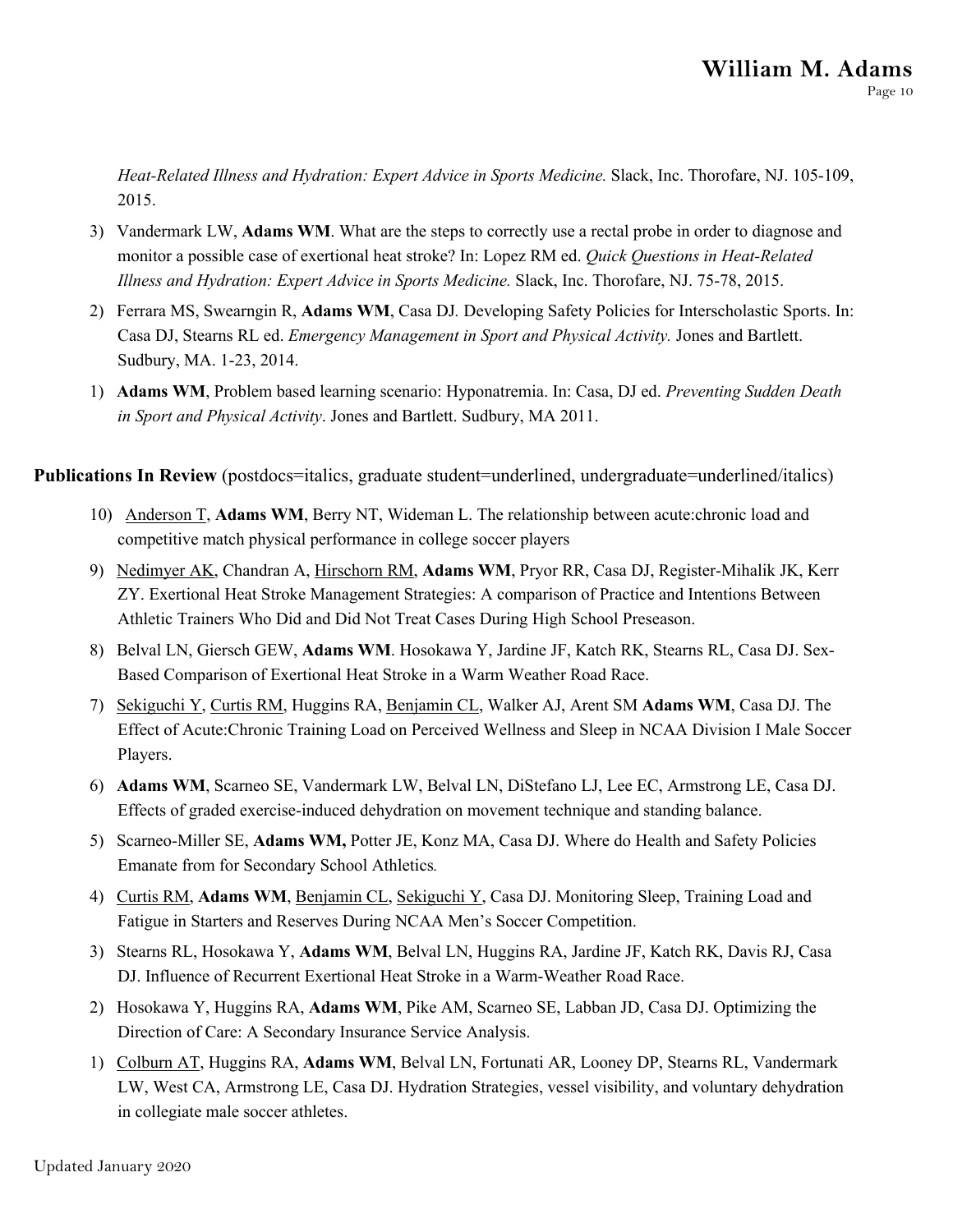*Heat-Related Illness and Hydration: Expert Advice in Sports Medicine.* Slack, Inc. Thorofare, NJ. 105-109, 2015.

- 3) Vandermark LW, **Adams WM**. What are the steps to correctly use a rectal probe in order to diagnose and monitor a possible case of exertional heat stroke? In: Lopez RM ed. *Quick Questions in Heat-Related Illness and Hydration: Expert Advice in Sports Medicine.* Slack, Inc. Thorofare, NJ. 75-78, 2015.
- 2) Ferrara MS, Swearngin R, **Adams WM**, Casa DJ*.* Developing Safety Policies for Interscholastic Sports. In: Casa DJ, Stearns RL ed. *Emergency Management in Sport and Physical Activity.* Jones and Bartlett. Sudbury, MA. 1-23, 2014.
- 1) **Adams WM**, Problem based learning scenario: Hyponatremia. In: Casa, DJ ed. *Preventing Sudden Death in Sport and Physical Activity*. Jones and Bartlett. Sudbury, MA 2011.

**Publications In Review** (postdocs=italics, graduate student=underlined, undergraduate=underlined/italics)

- 10) Anderson T, **Adams WM**, Berry NT, Wideman L. The relationship between acute:chronic load and competitive match physical performance in college soccer players
- 9) Nedimyer AK, Chandran A, Hirschorn RM, **Adams WM**, Pryor RR, Casa DJ, Register-Mihalik JK, Kerr ZY. Exertional Heat Stroke Management Strategies: A comparison of Practice and Intentions Between Athletic Trainers Who Did and Did Not Treat Cases During High School Preseason.
- 8) Belval LN, Giersch GEW, **Adams WM**. Hosokawa Y, Jardine JF, Katch RK, Stearns RL, Casa DJ. Sex-Based Comparison of Exertional Heat Stroke in a Warm Weather Road Race.
- 7) Sekiguchi Y, Curtis RM, Huggins RA, Benjamin CL, Walker AJ, Arent SM **Adams WM**, Casa DJ. The Effect of Acute:Chronic Training Load on Perceived Wellness and Sleep in NCAA Division I Male Soccer Players.
- 6) **Adams WM**, Scarneo SE, Vandermark LW, Belval LN, DiStefano LJ, Lee EC, Armstrong LE, Casa DJ. Effects of graded exercise-induced dehydration on movement technique and standing balance.
- 5) Scarneo-Miller SE, **Adams WM,** Potter JE, Konz MA, Casa DJ. Where do Health and Safety Policies Emanate from for Secondary School Athletics*.*
- 4) Curtis RM, **Adams WM**, Benjamin CL, Sekiguchi Y, Casa DJ. Monitoring Sleep, Training Load and Fatigue in Starters and Reserves During NCAA Men's Soccer Competition.
- 3) Stearns RL, Hosokawa Y, **Adams WM**, Belval LN, Huggins RA, Jardine JF, Katch RK, Davis RJ, Casa DJ. Influence of Recurrent Exertional Heat Stroke in a Warm-Weather Road Race.
- 2) Hosokawa Y, Huggins RA, **Adams WM**, Pike AM, Scarneo SE, Labban JD, Casa DJ. Optimizing the Direction of Care: A Secondary Insurance Service Analysis.
- 1) Colburn AT, Huggins RA, **Adams WM**, Belval LN, Fortunati AR, Looney DP, Stearns RL, Vandermark LW, West CA, Armstrong LE, Casa DJ. Hydration Strategies, vessel visibility, and voluntary dehydration in collegiate male soccer athletes.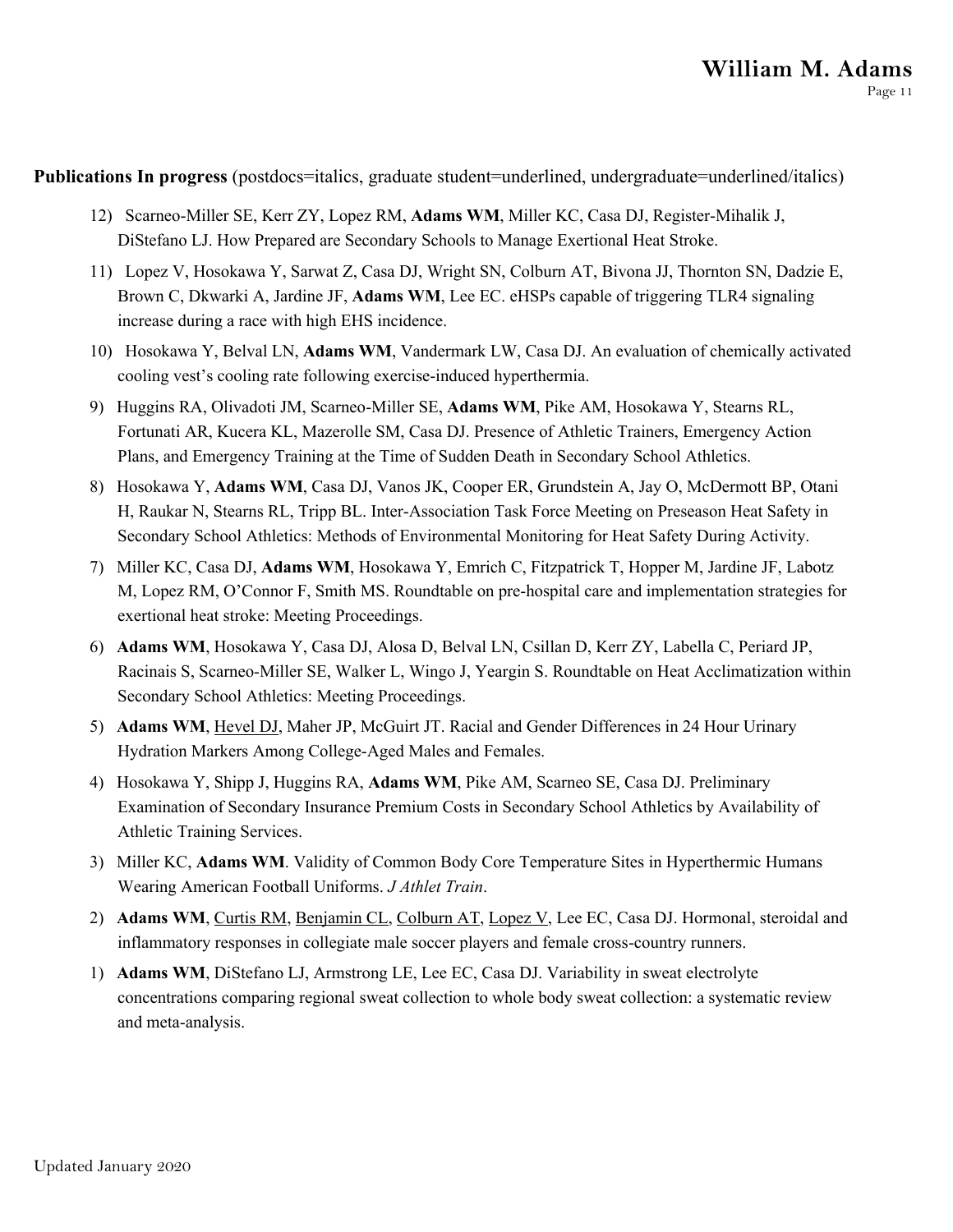**Publications In progress** (postdocs=italics, graduate student=underlined, undergraduate=underlined/italics)

- 12) Scarneo-Miller SE, Kerr ZY, Lopez RM, **Adams WM**, Miller KC, Casa DJ, Register-Mihalik J, DiStefano LJ. How Prepared are Secondary Schools to Manage Exertional Heat Stroke.
- 11) Lopez V, Hosokawa Y, Sarwat Z, Casa DJ, Wright SN, Colburn AT, Bivona JJ, Thornton SN, Dadzie E, Brown C, Dkwarki A, Jardine JF, **Adams WM**, Lee EC. eHSPs capable of triggering TLR4 signaling increase during a race with high EHS incidence.
- 10) Hosokawa Y, Belval LN, **Adams WM**, Vandermark LW, Casa DJ. An evaluation of chemically activated cooling vest's cooling rate following exercise-induced hyperthermia.
- 9) Huggins RA, Olivadoti JM, Scarneo-Miller SE, **Adams WM**, Pike AM, Hosokawa Y, Stearns RL, Fortunati AR, Kucera KL, Mazerolle SM, Casa DJ. Presence of Athletic Trainers, Emergency Action Plans, and Emergency Training at the Time of Sudden Death in Secondary School Athletics.
- 8) Hosokawa Y, **Adams WM**, Casa DJ, Vanos JK, Cooper ER, Grundstein A, Jay O, McDermott BP, Otani H, Raukar N, Stearns RL, Tripp BL. Inter-Association Task Force Meeting on Preseason Heat Safety in Secondary School Athletics: Methods of Environmental Monitoring for Heat Safety During Activity.
- 7) Miller KC, Casa DJ, **Adams WM**, Hosokawa Y, Emrich C, Fitzpatrick T, Hopper M, Jardine JF, Labotz M, Lopez RM, O'Connor F, Smith MS. Roundtable on pre-hospital care and implementation strategies for exertional heat stroke: Meeting Proceedings.
- 6) **Adams WM**, Hosokawa Y, Casa DJ, Alosa D, Belval LN, Csillan D, Kerr ZY, Labella C, Periard JP, Racinais S, Scarneo-Miller SE, Walker L, Wingo J, Yeargin S. Roundtable on Heat Acclimatization within Secondary School Athletics: Meeting Proceedings.
- 5) **Adams WM**, Hevel DJ, Maher JP, McGuirt JT. Racial and Gender Differences in 24 Hour Urinary Hydration Markers Among College-Aged Males and Females.
- 4) Hosokawa Y, Shipp J, Huggins RA, **Adams WM**, Pike AM, Scarneo SE, Casa DJ. Preliminary Examination of Secondary Insurance Premium Costs in Secondary School Athletics by Availability of Athletic Training Services.
- 3) Miller KC, **Adams WM**. Validity of Common Body Core Temperature Sites in Hyperthermic Humans Wearing American Football Uniforms. *J Athlet Train*.
- 2) **Adams WM**, Curtis RM, Benjamin CL, Colburn AT, Lopez V, Lee EC, Casa DJ. Hormonal, steroidal and inflammatory responses in collegiate male soccer players and female cross-country runners.
- 1) **Adams WM**, DiStefano LJ, Armstrong LE, Lee EC, Casa DJ. Variability in sweat electrolyte concentrations comparing regional sweat collection to whole body sweat collection: a systematic review and meta-analysis.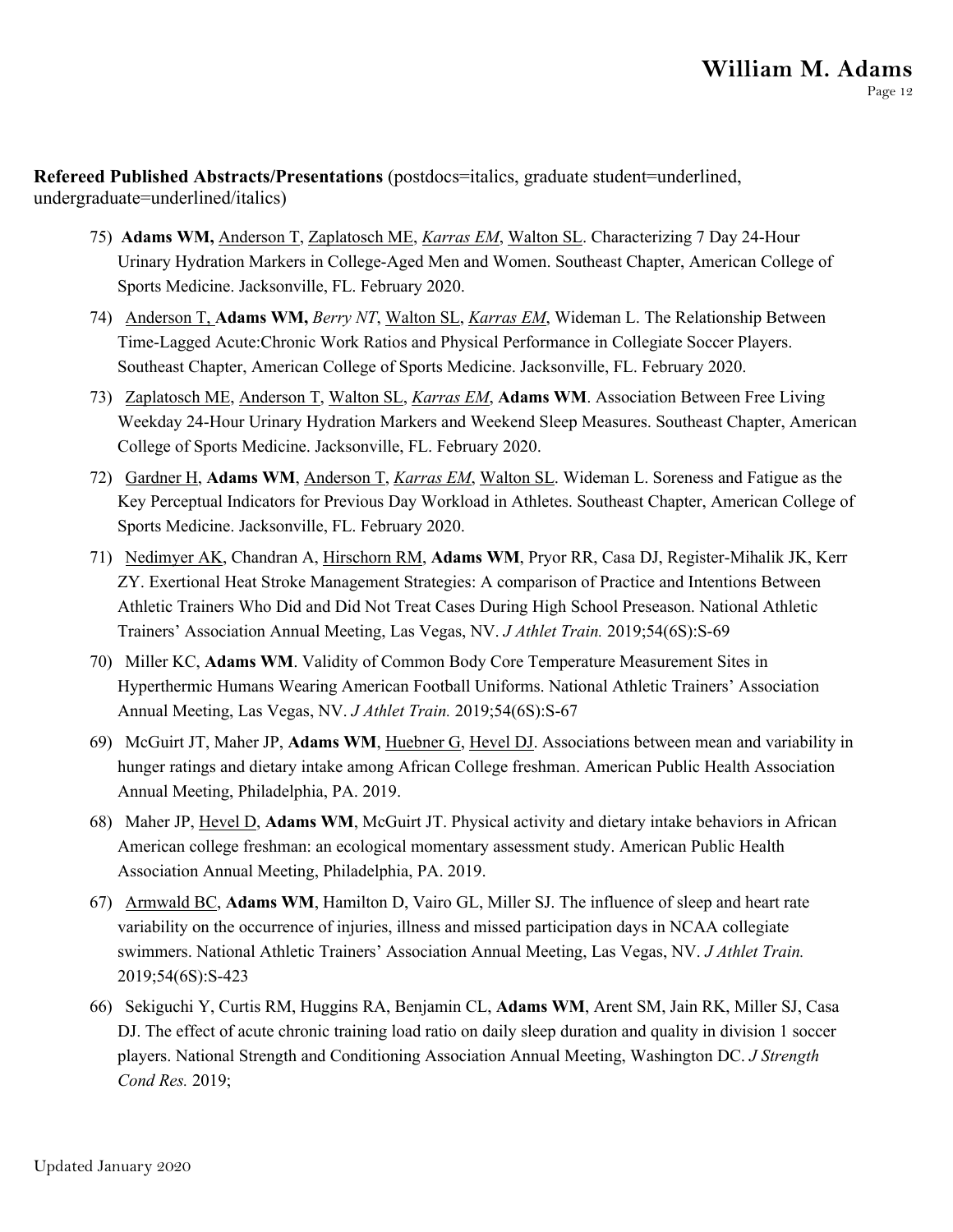**Refereed Published Abstracts/Presentations** (postdocs=italics, graduate student=underlined, undergraduate=underlined/italics)

- 75) **Adams WM,** Anderson T, Zaplatosch ME, *Karras EM*, Walton SL. Characterizing 7 Day 24-Hour Urinary Hydration Markers in College-Aged Men and Women. Southeast Chapter, American College of Sports Medicine. Jacksonville, FL. February 2020.
- 74) Anderson T, **Adams WM,** *Berry NT*, Walton SL, *Karras EM*, Wideman L. The Relationship Between Time-Lagged Acute:Chronic Work Ratios and Physical Performance in Collegiate Soccer Players. Southeast Chapter, American College of Sports Medicine. Jacksonville, FL. February 2020.
- 73) Zaplatosch ME, Anderson T, Walton SL, *Karras EM*, **Adams WM**. Association Between Free Living Weekday 24-Hour Urinary Hydration Markers and Weekend Sleep Measures. Southeast Chapter, American College of Sports Medicine. Jacksonville, FL. February 2020.
- 72) Gardner H, **Adams WM**, Anderson T, *Karras EM*, Walton SL. Wideman L. Soreness and Fatigue as the Key Perceptual Indicators for Previous Day Workload in Athletes. Southeast Chapter, American College of Sports Medicine. Jacksonville, FL. February 2020.
- 71) Nedimyer AK, Chandran A, Hirschorn RM, **Adams WM**, Pryor RR, Casa DJ, Register-Mihalik JK, Kerr ZY. Exertional Heat Stroke Management Strategies: A comparison of Practice and Intentions Between Athletic Trainers Who Did and Did Not Treat Cases During High School Preseason. National Athletic Trainers' Association Annual Meeting, Las Vegas, NV. *J Athlet Train.* 2019;54(6S):S-69
- 70) Miller KC, **Adams WM**. Validity of Common Body Core Temperature Measurement Sites in Hyperthermic Humans Wearing American Football Uniforms. National Athletic Trainers' Association Annual Meeting, Las Vegas, NV. *J Athlet Train.* 2019;54(6S):S-67
- 69) McGuirt JT, Maher JP, **Adams WM**, Huebner G, Hevel DJ. Associations between mean and variability in hunger ratings and dietary intake among African College freshman. American Public Health Association Annual Meeting, Philadelphia, PA. 2019.
- 68) Maher JP, Hevel D, **Adams WM**, McGuirt JT. Physical activity and dietary intake behaviors in African American college freshman: an ecological momentary assessment study. American Public Health Association Annual Meeting, Philadelphia, PA. 2019.
- 67) Armwald BC, **Adams WM**, Hamilton D, Vairo GL, Miller SJ. The influence of sleep and heart rate variability on the occurrence of injuries, illness and missed participation days in NCAA collegiate swimmers. National Athletic Trainers' Association Annual Meeting, Las Vegas, NV. *J Athlet Train.*  2019;54(6S):S-423
- 66) Sekiguchi Y, Curtis RM, Huggins RA, Benjamin CL, **Adams WM**, Arent SM, Jain RK, Miller SJ, Casa DJ. The effect of acute chronic training load ratio on daily sleep duration and quality in division 1 soccer players. National Strength and Conditioning Association Annual Meeting, Washington DC. *J Strength Cond Res.* 2019;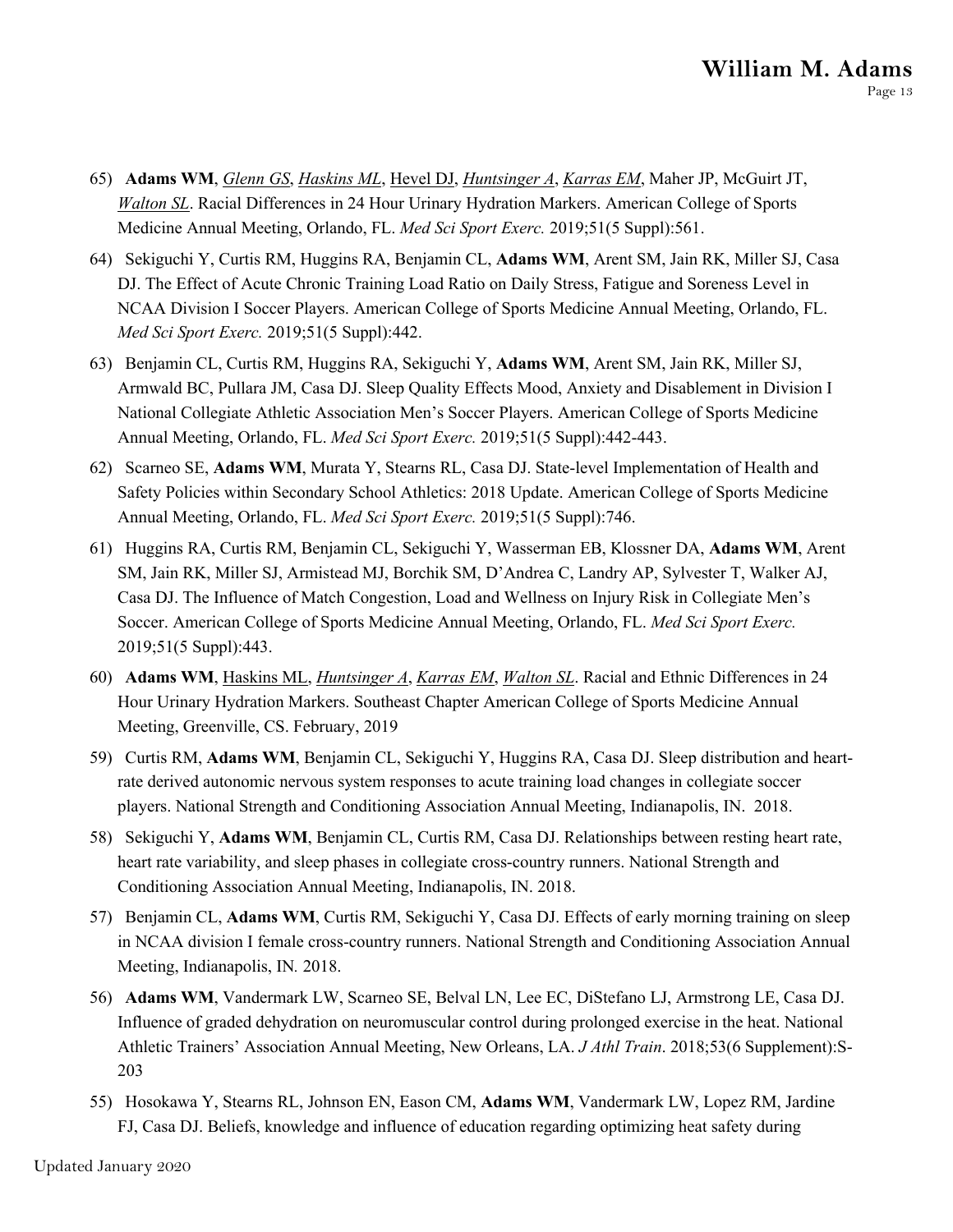- 65) **Adams WM**, *Glenn GS*, *Haskins ML*, Hevel DJ, *Huntsinger A*, *Karras EM*, Maher JP, McGuirt JT, *Walton SL*. Racial Differences in 24 Hour Urinary Hydration Markers. American College of Sports Medicine Annual Meeting, Orlando, FL. *Med Sci Sport Exerc.* 2019;51(5 Suppl):561.
- 64) Sekiguchi Y, Curtis RM, Huggins RA, Benjamin CL, **Adams WM**, Arent SM, Jain RK, Miller SJ, Casa DJ. The Effect of Acute Chronic Training Load Ratio on Daily Stress, Fatigue and Soreness Level in NCAA Division I Soccer Players. American College of Sports Medicine Annual Meeting, Orlando, FL. *Med Sci Sport Exerc.* 2019;51(5 Suppl):442.
- 63) Benjamin CL, Curtis RM, Huggins RA, Sekiguchi Y, **Adams WM**, Arent SM, Jain RK, Miller SJ, Armwald BC, Pullara JM, Casa DJ. Sleep Quality Effects Mood, Anxiety and Disablement in Division I National Collegiate Athletic Association Men's Soccer Players. American College of Sports Medicine Annual Meeting, Orlando, FL. *Med Sci Sport Exerc.* 2019;51(5 Suppl):442-443.
- 62) Scarneo SE, **Adams WM**, Murata Y, Stearns RL, Casa DJ. State-level Implementation of Health and Safety Policies within Secondary School Athletics: 2018 Update. American College of Sports Medicine Annual Meeting, Orlando, FL. *Med Sci Sport Exerc.* 2019;51(5 Suppl):746.
- 61) Huggins RA, Curtis RM, Benjamin CL, Sekiguchi Y, Wasserman EB, Klossner DA, **Adams WM**, Arent SM, Jain RK, Miller SJ, Armistead MJ, Borchik SM, D'Andrea C, Landry AP, Sylvester T, Walker AJ, Casa DJ. The Influence of Match Congestion, Load and Wellness on Injury Risk in Collegiate Men's Soccer. American College of Sports Medicine Annual Meeting, Orlando, FL. *Med Sci Sport Exerc.*  2019;51(5 Suppl):443.
- 60) **Adams WM**, Haskins ML, *Huntsinger A*, *Karras EM*, *Walton SL*. Racial and Ethnic Differences in 24 Hour Urinary Hydration Markers. Southeast Chapter American College of Sports Medicine Annual Meeting, Greenville, CS. February, 2019
- 59) Curtis RM, **Adams WM**, Benjamin CL, Sekiguchi Y, Huggins RA, Casa DJ. Sleep distribution and heartrate derived autonomic nervous system responses to acute training load changes in collegiate soccer players. National Strength and Conditioning Association Annual Meeting, Indianapolis, IN. 2018.
- 58) Sekiguchi Y, **Adams WM**, Benjamin CL, Curtis RM, Casa DJ. Relationships between resting heart rate, heart rate variability, and sleep phases in collegiate cross-country runners. National Strength and Conditioning Association Annual Meeting, Indianapolis, IN. 2018.
- 57) Benjamin CL, **Adams WM**, Curtis RM, Sekiguchi Y, Casa DJ. Effects of early morning training on sleep in NCAA division I female cross-country runners. National Strength and Conditioning Association Annual Meeting, Indianapolis, IN*.* 2018.
- 56) **Adams WM**, Vandermark LW, Scarneo SE, Belval LN, Lee EC, DiStefano LJ, Armstrong LE, Casa DJ. Influence of graded dehydration on neuromuscular control during prolonged exercise in the heat. National Athletic Trainers' Association Annual Meeting, New Orleans, LA. *J Athl Train*. 2018;53(6 Supplement):S-203
- 55) Hosokawa Y, Stearns RL, Johnson EN, Eason CM, **Adams WM**, Vandermark LW, Lopez RM, Jardine FJ, Casa DJ. Beliefs, knowledge and influence of education regarding optimizing heat safety during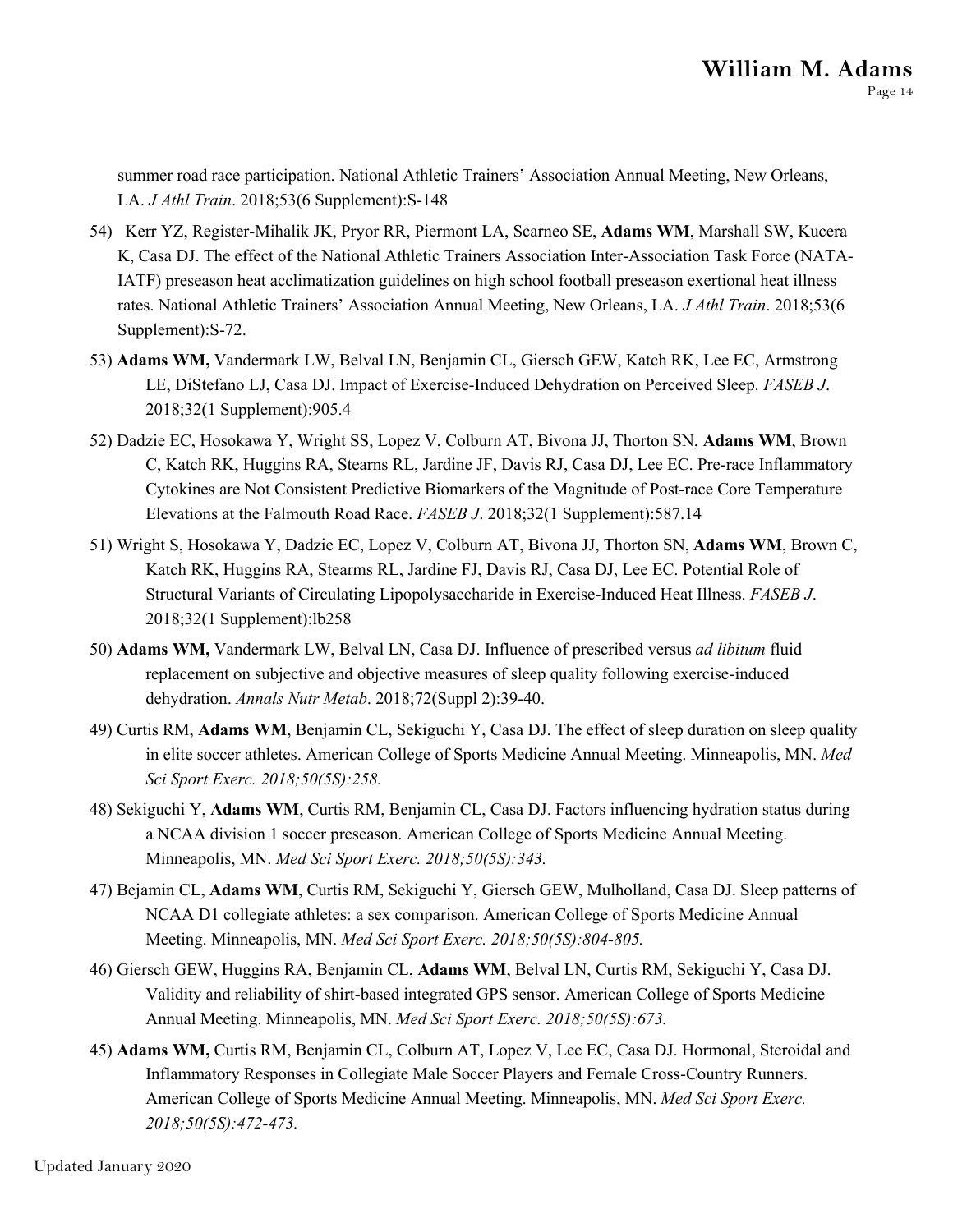summer road race participation. National Athletic Trainers' Association Annual Meeting, New Orleans, LA. *J Athl Train*. 2018;53(6 Supplement):S-148

- 54) Kerr YZ, Register-Mihalik JK, Pryor RR, Piermont LA, Scarneo SE, **Adams WM**, Marshall SW, Kucera K, Casa DJ. The effect of the National Athletic Trainers Association Inter-Association Task Force (NATA-IATF) preseason heat acclimatization guidelines on high school football preseason exertional heat illness rates. National Athletic Trainers' Association Annual Meeting, New Orleans, LA. *J Athl Train*. 2018;53(6 Supplement):S-72.
- 53) **Adams WM,** Vandermark LW, Belval LN, Benjamin CL, Giersch GEW, Katch RK, Lee EC, Armstrong LE, DiStefano LJ, Casa DJ. Impact of Exercise-Induced Dehydration on Perceived Sleep. *FASEB J*. 2018;32(1 Supplement):905.4
- 52) Dadzie EC, Hosokawa Y, Wright SS, Lopez V, Colburn AT, Bivona JJ, Thorton SN, **Adams WM**, Brown C, Katch RK, Huggins RA, Stearns RL, Jardine JF, Davis RJ, Casa DJ, Lee EC. Pre-race Inflammatory Cytokines are Not Consistent Predictive Biomarkers of the Magnitude of Post-race Core Temperature Elevations at the Falmouth Road Race. *FASEB J*. 2018;32(1 Supplement):587.14
- 51) Wright S, Hosokawa Y, Dadzie EC, Lopez V, Colburn AT, Bivona JJ, Thorton SN, **Adams WM**, Brown C, Katch RK, Huggins RA, Stearms RL, Jardine FJ, Davis RJ, Casa DJ, Lee EC. Potential Role of Structural Variants of Circulating Lipopolysaccharide in Exercise-Induced Heat Illness. *FASEB J*. 2018;32(1 Supplement):lb258
- 50) **Adams WM,** Vandermark LW, Belval LN, Casa DJ. Influence of prescribed versus *ad libitum* fluid replacement on subjective and objective measures of sleep quality following exercise-induced dehydration. *Annals Nutr Metab*. 2018;72(Suppl 2):39-40.
- 49) Curtis RM, **Adams WM**, Benjamin CL, Sekiguchi Y, Casa DJ. The effect of sleep duration on sleep quality in elite soccer athletes. American College of Sports Medicine Annual Meeting. Minneapolis, MN. *Med Sci Sport Exerc. 2018;50(5S):258.*
- 48) Sekiguchi Y, **Adams WM**, Curtis RM, Benjamin CL, Casa DJ. Factors influencing hydration status during a NCAA division 1 soccer preseason. American College of Sports Medicine Annual Meeting. Minneapolis, MN. *Med Sci Sport Exerc. 2018;50(5S):343.*
- 47) Bejamin CL, **Adams WM**, Curtis RM, Sekiguchi Y, Giersch GEW, Mulholland, Casa DJ. Sleep patterns of NCAA D1 collegiate athletes: a sex comparison. American College of Sports Medicine Annual Meeting. Minneapolis, MN. *Med Sci Sport Exerc. 2018;50(5S):804-805.*
- 46) Giersch GEW, Huggins RA, Benjamin CL, **Adams WM**, Belval LN, Curtis RM, Sekiguchi Y, Casa DJ. Validity and reliability of shirt-based integrated GPS sensor. American College of Sports Medicine Annual Meeting. Minneapolis, MN. *Med Sci Sport Exerc. 2018;50(5S):673.*
- 45) **Adams WM,** Curtis RM, Benjamin CL, Colburn AT, Lopez V, Lee EC, Casa DJ. Hormonal, Steroidal and Inflammatory Responses in Collegiate Male Soccer Players and Female Cross-Country Runners. American College of Sports Medicine Annual Meeting. Minneapolis, MN. *Med Sci Sport Exerc. 2018;50(5S):472-473.*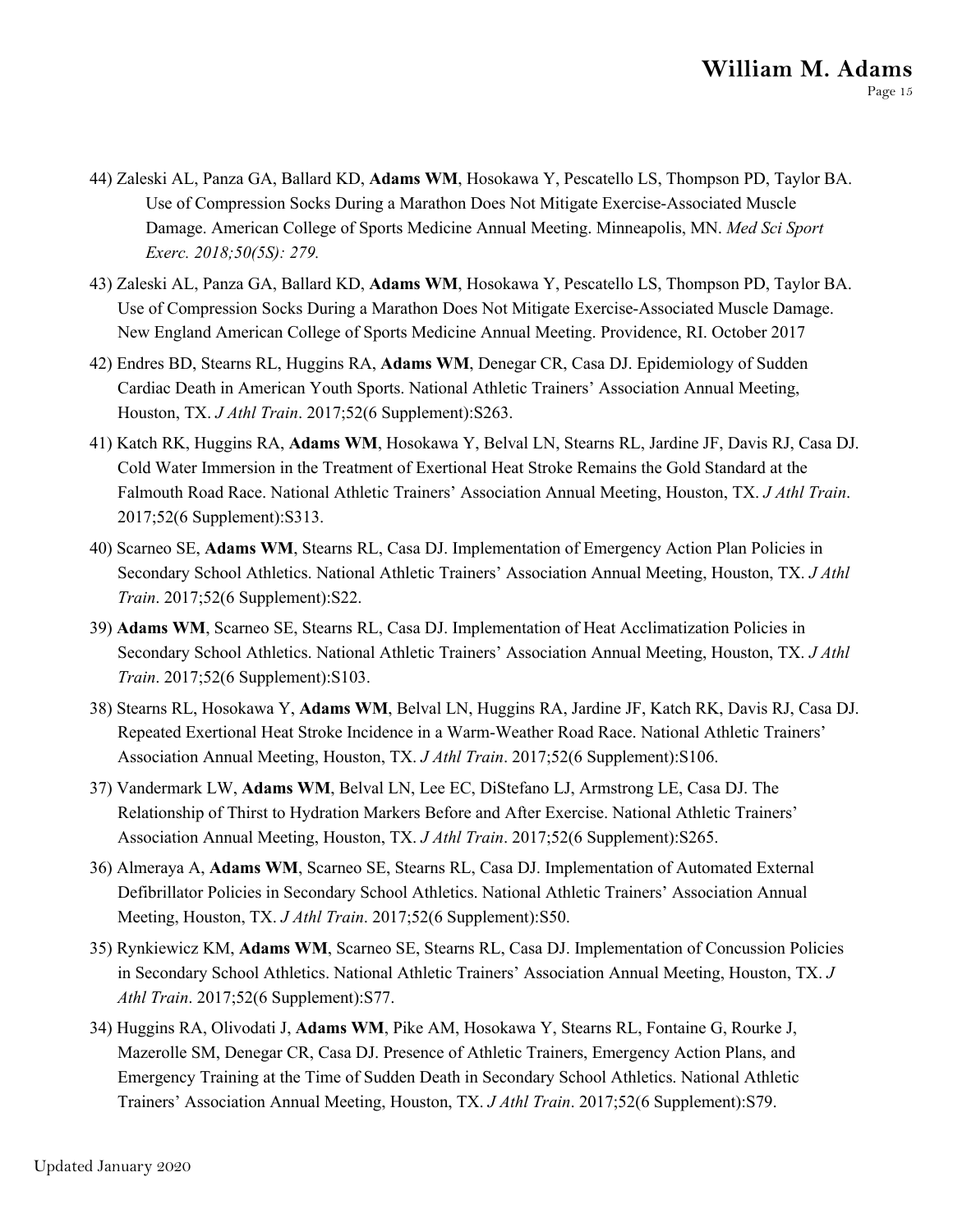- 44) Zaleski AL, Panza GA, Ballard KD, **Adams WM**, Hosokawa Y, Pescatello LS, Thompson PD, Taylor BA. Use of Compression Socks During a Marathon Does Not Mitigate Exercise-Associated Muscle Damage. American College of Sports Medicine Annual Meeting. Minneapolis, MN. *Med Sci Sport Exerc. 2018;50(5S): 279.*
- 43) Zaleski AL, Panza GA, Ballard KD, **Adams WM**, Hosokawa Y, Pescatello LS, Thompson PD, Taylor BA. Use of Compression Socks During a Marathon Does Not Mitigate Exercise-Associated Muscle Damage. New England American College of Sports Medicine Annual Meeting. Providence, RI. October 2017
- 42) Endres BD, Stearns RL, Huggins RA, **Adams WM**, Denegar CR, Casa DJ. Epidemiology of Sudden Cardiac Death in American Youth Sports. National Athletic Trainers' Association Annual Meeting, Houston, TX. *J Athl Train*. 2017;52(6 Supplement):S263.
- 41) Katch RK, Huggins RA, **Adams WM**, Hosokawa Y, Belval LN, Stearns RL, Jardine JF, Davis RJ, Casa DJ. Cold Water Immersion in the Treatment of Exertional Heat Stroke Remains the Gold Standard at the Falmouth Road Race. National Athletic Trainers' Association Annual Meeting, Houston, TX. *J Athl Train*. 2017;52(6 Supplement):S313.
- 40) Scarneo SE, **Adams WM**, Stearns RL, Casa DJ. Implementation of Emergency Action Plan Policies in Secondary School Athletics. National Athletic Trainers' Association Annual Meeting, Houston, TX. *J Athl Train*. 2017;52(6 Supplement):S22.
- 39) **Adams WM**, Scarneo SE, Stearns RL, Casa DJ. Implementation of Heat Acclimatization Policies in Secondary School Athletics. National Athletic Trainers' Association Annual Meeting, Houston, TX. *J Athl Train*. 2017;52(6 Supplement):S103.
- 38) Stearns RL, Hosokawa Y, **Adams WM**, Belval LN, Huggins RA, Jardine JF, Katch RK, Davis RJ, Casa DJ. Repeated Exertional Heat Stroke Incidence in a Warm-Weather Road Race. National Athletic Trainers' Association Annual Meeting, Houston, TX. *J Athl Train*. 2017;52(6 Supplement):S106.
- 37) Vandermark LW, **Adams WM**, Belval LN, Lee EC, DiStefano LJ, Armstrong LE, Casa DJ. The Relationship of Thirst to Hydration Markers Before and After Exercise. National Athletic Trainers' Association Annual Meeting, Houston, TX. *J Athl Train*. 2017;52(6 Supplement):S265.
- 36) Almeraya A, **Adams WM**, Scarneo SE, Stearns RL, Casa DJ. Implementation of Automated External Defibrillator Policies in Secondary School Athletics. National Athletic Trainers' Association Annual Meeting, Houston, TX. *J Athl Train*. 2017;52(6 Supplement):S50.
- 35) Rynkiewicz KM, **Adams WM**, Scarneo SE, Stearns RL, Casa DJ. Implementation of Concussion Policies in Secondary School Athletics. National Athletic Trainers' Association Annual Meeting, Houston, TX. *J Athl Train*. 2017;52(6 Supplement):S77.
- 34) Huggins RA, Olivodati J, **Adams WM**, Pike AM, Hosokawa Y, Stearns RL, Fontaine G, Rourke J, Mazerolle SM, Denegar CR, Casa DJ. Presence of Athletic Trainers, Emergency Action Plans, and Emergency Training at the Time of Sudden Death in Secondary School Athletics. National Athletic Trainers' Association Annual Meeting, Houston, TX. *J Athl Train*. 2017;52(6 Supplement):S79.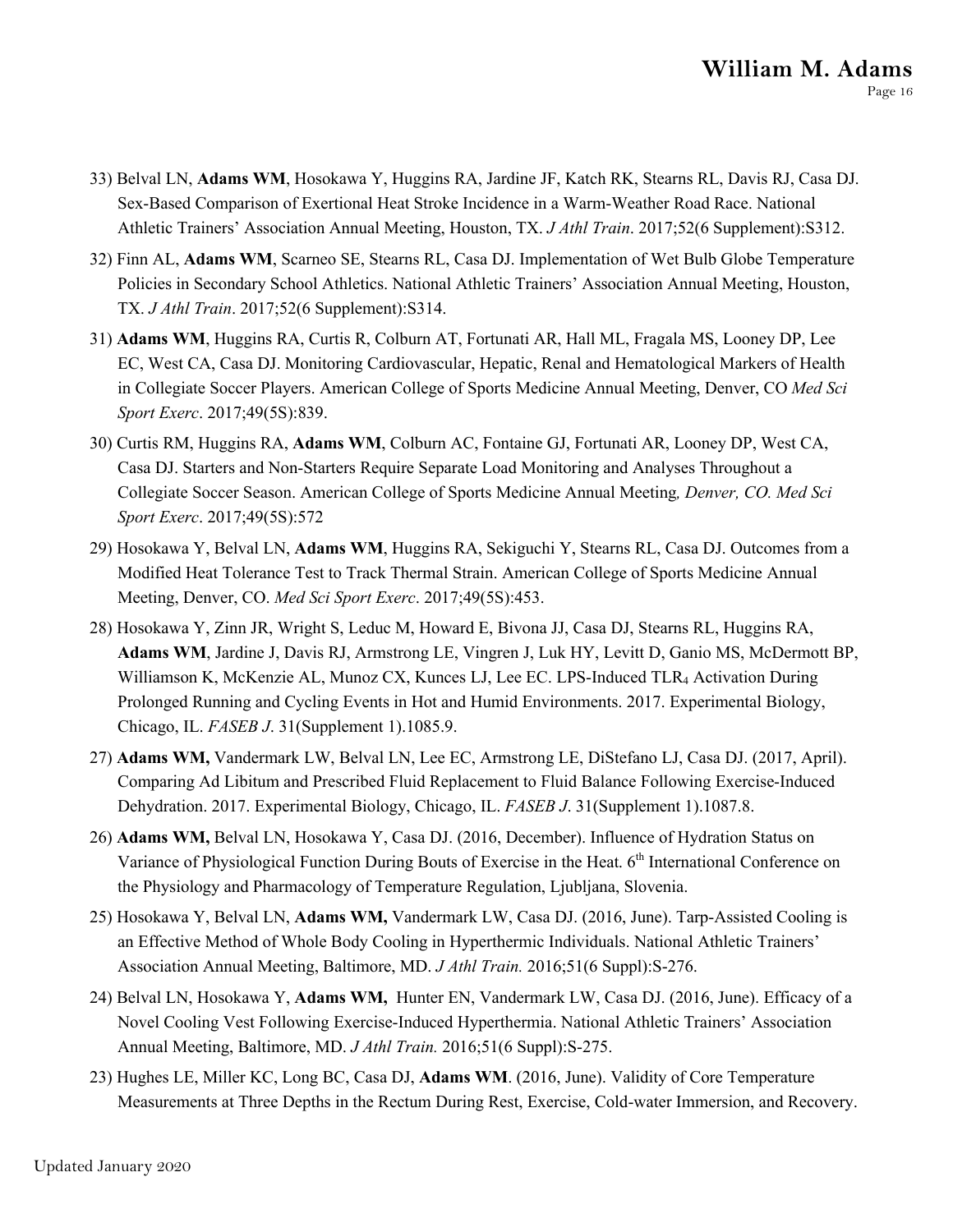- 33) Belval LN, **Adams WM**, Hosokawa Y, Huggins RA, Jardine JF, Katch RK, Stearns RL, Davis RJ, Casa DJ. Sex-Based Comparison of Exertional Heat Stroke Incidence in a Warm-Weather Road Race. National Athletic Trainers' Association Annual Meeting, Houston, TX. *J Athl Train*. 2017;52(6 Supplement):S312.
- 32) Finn AL, **Adams WM**, Scarneo SE, Stearns RL, Casa DJ. Implementation of Wet Bulb Globe Temperature Policies in Secondary School Athletics. National Athletic Trainers' Association Annual Meeting, Houston, TX. *J Athl Train*. 2017;52(6 Supplement):S314.
- 31) **Adams WM**, Huggins RA, Curtis R, Colburn AT, Fortunati AR, Hall ML, Fragala MS, Looney DP, Lee EC, West CA, Casa DJ. Monitoring Cardiovascular, Hepatic, Renal and Hematological Markers of Health in Collegiate Soccer Players. American College of Sports Medicine Annual Meeting, Denver, CO *Med Sci Sport Exerc*. 2017;49(5S):839.
- 30) Curtis RM, Huggins RA, **Adams WM**, Colburn AC, Fontaine GJ, Fortunati AR, Looney DP, West CA, Casa DJ. Starters and Non-Starters Require Separate Load Monitoring and Analyses Throughout a Collegiate Soccer Season. American College of Sports Medicine Annual Meeting*, Denver, CO. Med Sci Sport Exerc*. 2017;49(5S):572
- 29) Hosokawa Y, Belval LN, **Adams WM**, Huggins RA, Sekiguchi Y, Stearns RL, Casa DJ. Outcomes from a Modified Heat Tolerance Test to Track Thermal Strain. American College of Sports Medicine Annual Meeting, Denver, CO. *Med Sci Sport Exerc*. 2017;49(5S):453.
- 28) Hosokawa Y, Zinn JR, Wright S, Leduc M, Howard E, Bivona JJ, Casa DJ, Stearns RL, Huggins RA, **Adams WM**, Jardine J, Davis RJ, Armstrong LE, Vingren J, Luk HY, Levitt D, Ganio MS, McDermott BP, Williamson K, McKenzie AL, Munoz CX, Kunces LJ, Lee EC. LPS-Induced TLR4 Activation During Prolonged Running and Cycling Events in Hot and Humid Environments. 2017. Experimental Biology, Chicago, IL. *FASEB J*. 31(Supplement 1).1085.9.
- 27) **Adams WM,** Vandermark LW, Belval LN, Lee EC, Armstrong LE, DiStefano LJ, Casa DJ. (2017, April). Comparing Ad Libitum and Prescribed Fluid Replacement to Fluid Balance Following Exercise-Induced Dehydration. 2017. Experimental Biology, Chicago, IL. *FASEB J*. 31(Supplement 1).1087.8.
- 26) **Adams WM,** Belval LN, Hosokawa Y, Casa DJ. (2016, December). Influence of Hydration Status on Variance of Physiological Function During Bouts of Exercise in the Heat. 6<sup>th</sup> International Conference on the Physiology and Pharmacology of Temperature Regulation, Ljubljana, Slovenia.
- 25) Hosokawa Y, Belval LN, **Adams WM,** Vandermark LW, Casa DJ. (2016, June). Tarp-Assisted Cooling is an Effective Method of Whole Body Cooling in Hyperthermic Individuals. National Athletic Trainers' Association Annual Meeting, Baltimore, MD. *J Athl Train.* 2016;51(6 Suppl):S-276.
- 24) Belval LN, Hosokawa Y, **Adams WM,** Hunter EN, Vandermark LW, Casa DJ. (2016, June). Efficacy of a Novel Cooling Vest Following Exercise-Induced Hyperthermia. National Athletic Trainers' Association Annual Meeting, Baltimore, MD. *J Athl Train.* 2016;51(6 Suppl):S-275.
- 23) Hughes LE, Miller KC, Long BC, Casa DJ, **Adams WM**. (2016, June). Validity of Core Temperature Measurements at Three Depths in the Rectum During Rest, Exercise, Cold-water Immersion, and Recovery.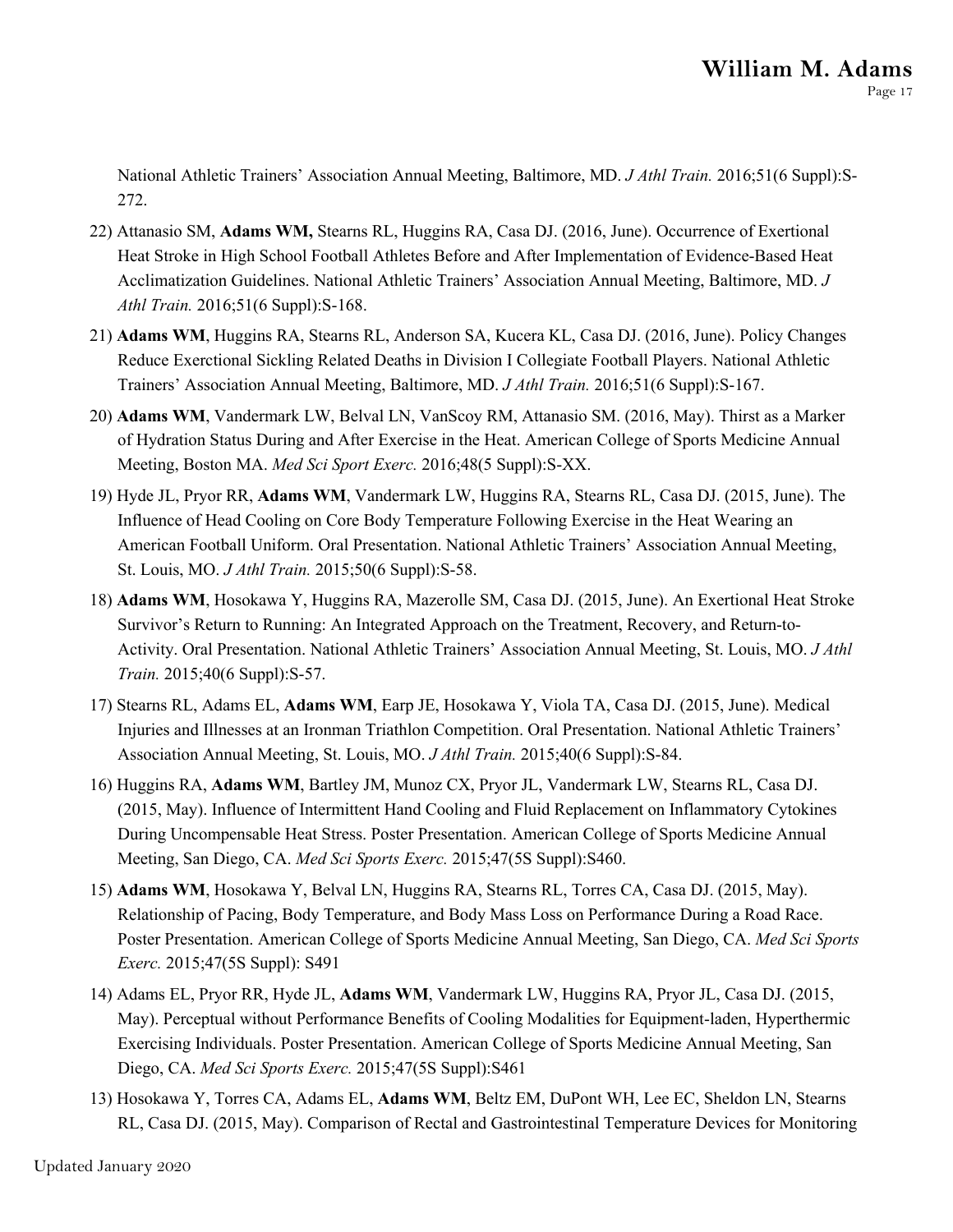National Athletic Trainers' Association Annual Meeting, Baltimore, MD. *J Athl Train.* 2016;51(6 Suppl):S-272.

- 22) Attanasio SM, **Adams WM,** Stearns RL, Huggins RA, Casa DJ. (2016, June). Occurrence of Exertional Heat Stroke in High School Football Athletes Before and After Implementation of Evidence-Based Heat Acclimatization Guidelines. National Athletic Trainers' Association Annual Meeting, Baltimore, MD. *J Athl Train.* 2016;51(6 Suppl):S-168.
- 21) **Adams WM**, Huggins RA, Stearns RL, Anderson SA, Kucera KL, Casa DJ. (2016, June). Policy Changes Reduce Exerctional Sickling Related Deaths in Division I Collegiate Football Players. National Athletic Trainers' Association Annual Meeting, Baltimore, MD. *J Athl Train.* 2016;51(6 Suppl):S-167.
- 20) **Adams WM**, Vandermark LW, Belval LN, VanScoy RM, Attanasio SM. (2016, May). Thirst as a Marker of Hydration Status During and After Exercise in the Heat. American College of Sports Medicine Annual Meeting, Boston MA. *Med Sci Sport Exerc.* 2016;48(5 Suppl):S-XX.
- 19) Hyde JL, Pryor RR, **Adams WM**, Vandermark LW, Huggins RA, Stearns RL, Casa DJ. (2015, June). The Influence of Head Cooling on Core Body Temperature Following Exercise in the Heat Wearing an American Football Uniform. Oral Presentation. National Athletic Trainers' Association Annual Meeting, St. Louis, MO. *J Athl Train.* 2015;50(6 Suppl):S-58.
- 18) **Adams WM**, Hosokawa Y, Huggins RA, Mazerolle SM, Casa DJ. (2015, June). An Exertional Heat Stroke Survivor's Return to Running: An Integrated Approach on the Treatment, Recovery, and Return-to-Activity. Oral Presentation. National Athletic Trainers' Association Annual Meeting, St. Louis, MO. *J Athl Train.* 2015;40(6 Suppl):S-57.
- 17) Stearns RL, Adams EL, **Adams WM**, Earp JE, Hosokawa Y, Viola TA, Casa DJ. (2015, June). Medical Injuries and Illnesses at an Ironman Triathlon Competition. Oral Presentation. National Athletic Trainers' Association Annual Meeting, St. Louis, MO. *J Athl Train.* 2015;40(6 Suppl):S-84.
- 16) Huggins RA, **Adams WM**, Bartley JM, Munoz CX, Pryor JL, Vandermark LW, Stearns RL, Casa DJ. (2015, May). Influence of Intermittent Hand Cooling and Fluid Replacement on Inflammatory Cytokines During Uncompensable Heat Stress. Poster Presentation. American College of Sports Medicine Annual Meeting, San Diego, CA. *Med Sci Sports Exerc.* 2015;47(5S Suppl):S460.
- 15) **Adams WM**, Hosokawa Y, Belval LN, Huggins RA, Stearns RL, Torres CA, Casa DJ. (2015, May). Relationship of Pacing, Body Temperature, and Body Mass Loss on Performance During a Road Race. Poster Presentation. American College of Sports Medicine Annual Meeting, San Diego, CA. *Med Sci Sports Exerc.* 2015;47(5S Suppl): S491
- 14) Adams EL, Pryor RR, Hyde JL, **Adams WM**, Vandermark LW, Huggins RA, Pryor JL, Casa DJ. (2015, May). Perceptual without Performance Benefits of Cooling Modalities for Equipment-laden, Hyperthermic Exercising Individuals. Poster Presentation. American College of Sports Medicine Annual Meeting, San Diego, CA. *Med Sci Sports Exerc.* 2015;47(5S Suppl):S461
- 13) Hosokawa Y, Torres CA, Adams EL, **Adams WM**, Beltz EM, DuPont WH, Lee EC, Sheldon LN, Stearns RL, Casa DJ. (2015, May). Comparison of Rectal and Gastrointestinal Temperature Devices for Monitoring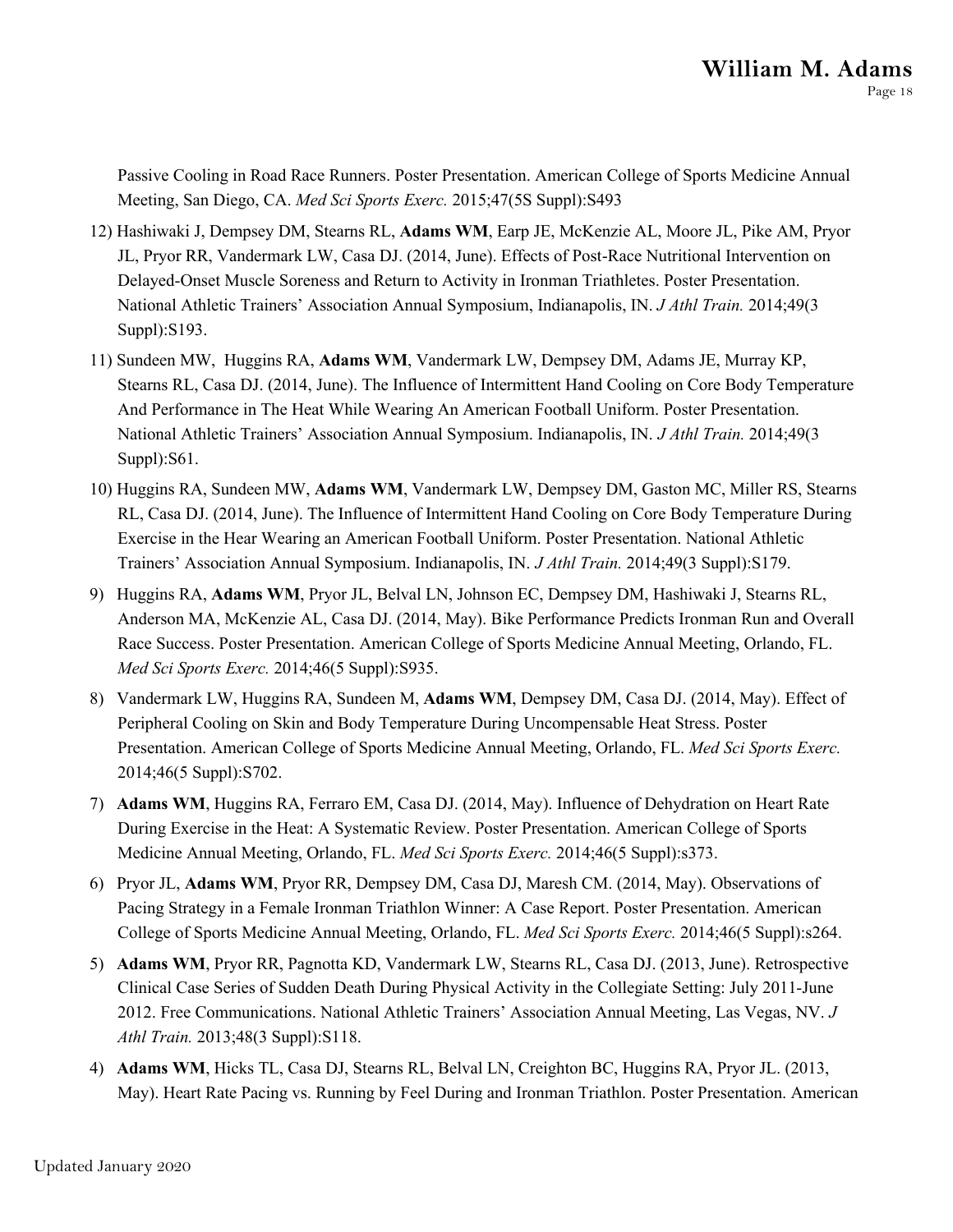Passive Cooling in Road Race Runners. Poster Presentation. American College of Sports Medicine Annual Meeting, San Diego, CA. *Med Sci Sports Exerc.* 2015;47(5S Suppl):S493

- 12) Hashiwaki J, Dempsey DM, Stearns RL, **Adams WM**, Earp JE, McKenzie AL, Moore JL, Pike AM, Pryor JL, Pryor RR, Vandermark LW, Casa DJ. (2014, June). Effects of Post-Race Nutritional Intervention on Delayed-Onset Muscle Soreness and Return to Activity in Ironman Triathletes. Poster Presentation. National Athletic Trainers' Association Annual Symposium, Indianapolis, IN. *J Athl Train.* 2014;49(3 Suppl):S193.
- 11) Sundeen MW, Huggins RA, **Adams WM**, Vandermark LW, Dempsey DM, Adams JE, Murray KP, Stearns RL, Casa DJ. (2014, June). The Influence of Intermittent Hand Cooling on Core Body Temperature And Performance in The Heat While Wearing An American Football Uniform. Poster Presentation. National Athletic Trainers' Association Annual Symposium. Indianapolis, IN. *J Athl Train.* 2014;49(3 Suppl):S61.
- 10) Huggins RA, Sundeen MW, **Adams WM**, Vandermark LW, Dempsey DM, Gaston MC, Miller RS, Stearns RL, Casa DJ. (2014, June). The Influence of Intermittent Hand Cooling on Core Body Temperature During Exercise in the Hear Wearing an American Football Uniform. Poster Presentation. National Athletic Trainers' Association Annual Symposium. Indianapolis, IN. *J Athl Train.* 2014;49(3 Suppl):S179.
- 9) Huggins RA, **Adams WM**, Pryor JL, Belval LN, Johnson EC, Dempsey DM, Hashiwaki J, Stearns RL, Anderson MA, McKenzie AL, Casa DJ. (2014, May). Bike Performance Predicts Ironman Run and Overall Race Success. Poster Presentation. American College of Sports Medicine Annual Meeting, Orlando, FL. *Med Sci Sports Exerc.* 2014;46(5 Suppl):S935.
- 8) Vandermark LW, Huggins RA, Sundeen M, **Adams WM**, Dempsey DM, Casa DJ. (2014, May). Effect of Peripheral Cooling on Skin and Body Temperature During Uncompensable Heat Stress. Poster Presentation. American College of Sports Medicine Annual Meeting, Orlando, FL. *Med Sci Sports Exerc.*  2014;46(5 Suppl):S702.
- 7) **Adams WM**, Huggins RA, Ferraro EM, Casa DJ. (2014, May). Influence of Dehydration on Heart Rate During Exercise in the Heat: A Systematic Review. Poster Presentation. American College of Sports Medicine Annual Meeting, Orlando, FL. *Med Sci Sports Exerc.* 2014;46(5 Suppl):s373.
- 6) Pryor JL, **Adams WM**, Pryor RR, Dempsey DM, Casa DJ, Maresh CM. (2014, May). Observations of Pacing Strategy in a Female Ironman Triathlon Winner: A Case Report. Poster Presentation. American College of Sports Medicine Annual Meeting, Orlando, FL. *Med Sci Sports Exerc.* 2014;46(5 Suppl):s264.
- 5) **Adams WM**, Pryor RR, Pagnotta KD, Vandermark LW, Stearns RL, Casa DJ. (2013, June). Retrospective Clinical Case Series of Sudden Death During Physical Activity in the Collegiate Setting: July 2011-June 2012. Free Communications. National Athletic Trainers' Association Annual Meeting, Las Vegas, NV. *J Athl Train.* 2013;48(3 Suppl):S118.
- 4) **Adams WM**, Hicks TL, Casa DJ, Stearns RL, Belval LN, Creighton BC, Huggins RA, Pryor JL. (2013, May). Heart Rate Pacing vs. Running by Feel During and Ironman Triathlon. Poster Presentation. American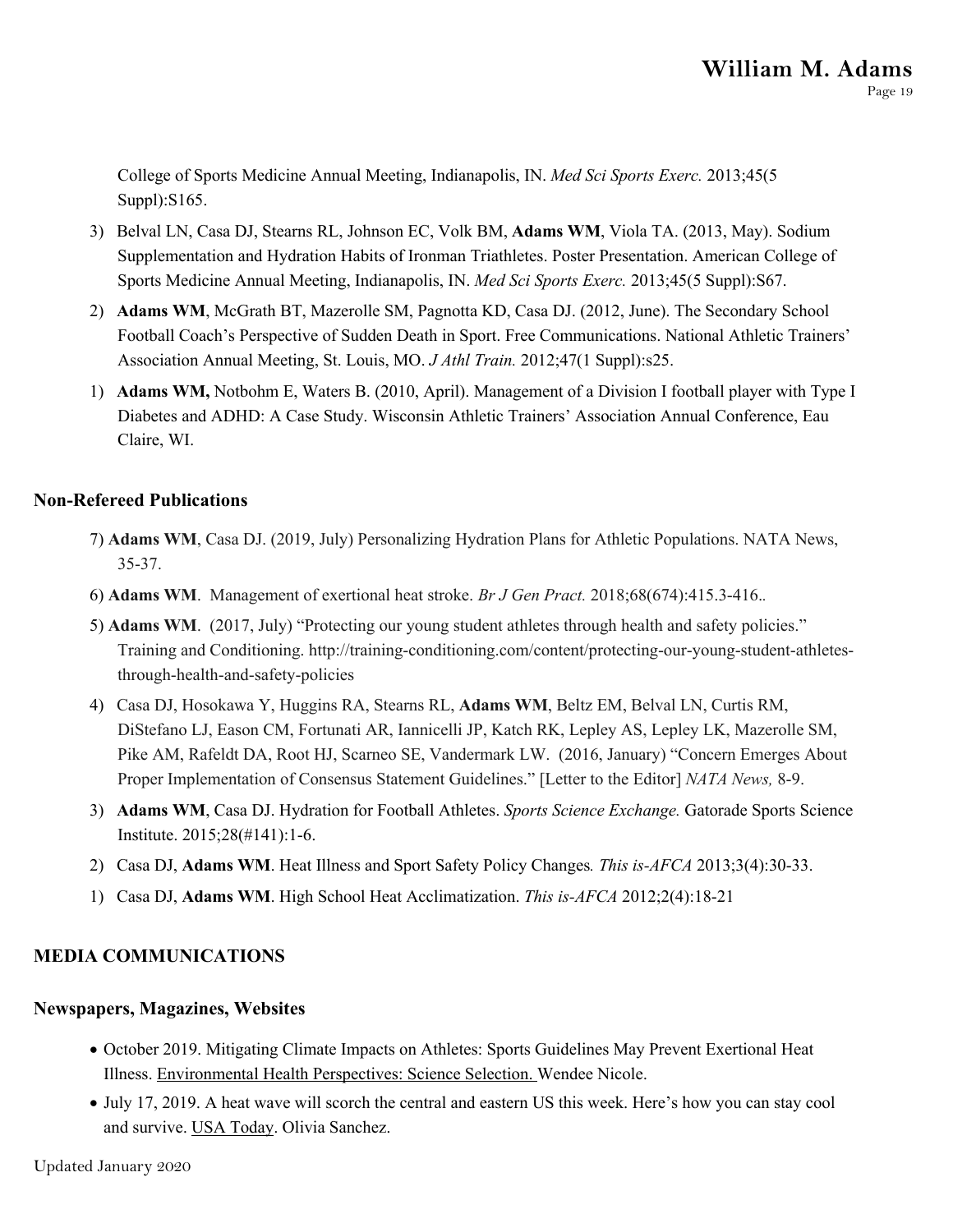College of Sports Medicine Annual Meeting, Indianapolis, IN. *Med Sci Sports Exerc.* 2013;45(5 Suppl):S165.

- 3) Belval LN, Casa DJ, Stearns RL, Johnson EC, Volk BM, **Adams WM**, Viola TA. (2013, May). Sodium Supplementation and Hydration Habits of Ironman Triathletes. Poster Presentation. American College of Sports Medicine Annual Meeting, Indianapolis, IN. *Med Sci Sports Exerc.* 2013;45(5 Suppl):S67.
- 2) **Adams WM**, McGrath BT, Mazerolle SM, Pagnotta KD, Casa DJ. (2012, June). The Secondary School Football Coach's Perspective of Sudden Death in Sport. Free Communications. National Athletic Trainers' Association Annual Meeting, St. Louis, MO. *J Athl Train.* 2012;47(1 Suppl):s25.
- 1) **Adams WM,** Notbohm E, Waters B. (2010, April). Management of a Division I football player with Type I Diabetes and ADHD: A Case Study. Wisconsin Athletic Trainers' Association Annual Conference, Eau Claire, WI.

#### **Non-Refereed Publications**

- 7) **Adams WM**, Casa DJ. (2019, July) Personalizing Hydration Plans for Athletic Populations. NATA News, 35-37.
- 6) **Adams WM**. Management of exertional heat stroke. *Br J Gen Pract.* 2018;68(674):415.3-416.*.*
- 5) **Adams WM**. (2017, July) "Protecting our young student athletes through health and safety policies." Training and Conditioning. http://training-conditioning.com/content/protecting-our-young-student-athletesthrough-health-and-safety-policies
- 4) Casa DJ, Hosokawa Y, Huggins RA, Stearns RL, **Adams WM**, Beltz EM, Belval LN, Curtis RM, DiStefano LJ, Eason CM, Fortunati AR, Iannicelli JP, Katch RK, Lepley AS, Lepley LK, Mazerolle SM, Pike AM, Rafeldt DA, Root HJ, Scarneo SE, Vandermark LW. (2016, January) "Concern Emerges About Proper Implementation of Consensus Statement Guidelines." [Letter to the Editor] *NATA News,* 8-9.
- 3) **Adams WM**, Casa DJ. Hydration for Football Athletes. *Sports Science Exchange.* Gatorade Sports Science Institute. 2015;28(#141):1-6.
- 2) Casa DJ, **Adams WM**. Heat Illness and Sport Safety Policy Changes*. This is-AFCA* 2013;3(4):30-33.
- 1) Casa DJ, **Adams WM**. High School Heat Acclimatization. *This is-AFCA* 2012;2(4):18-21

### **MEDIA COMMUNICATIONS**

#### **Newspapers, Magazines, Websites**

- October 2019. Mitigating Climate Impacts on Athletes: Sports Guidelines May Prevent Exertional Heat Illness. Environmental Health Perspectives: Science Selection. Wendee Nicole.
- July 17, 2019. A heat wave will scorch the central and eastern US this week. Here's how you can stay cool and survive. USA Today. Olivia Sanchez.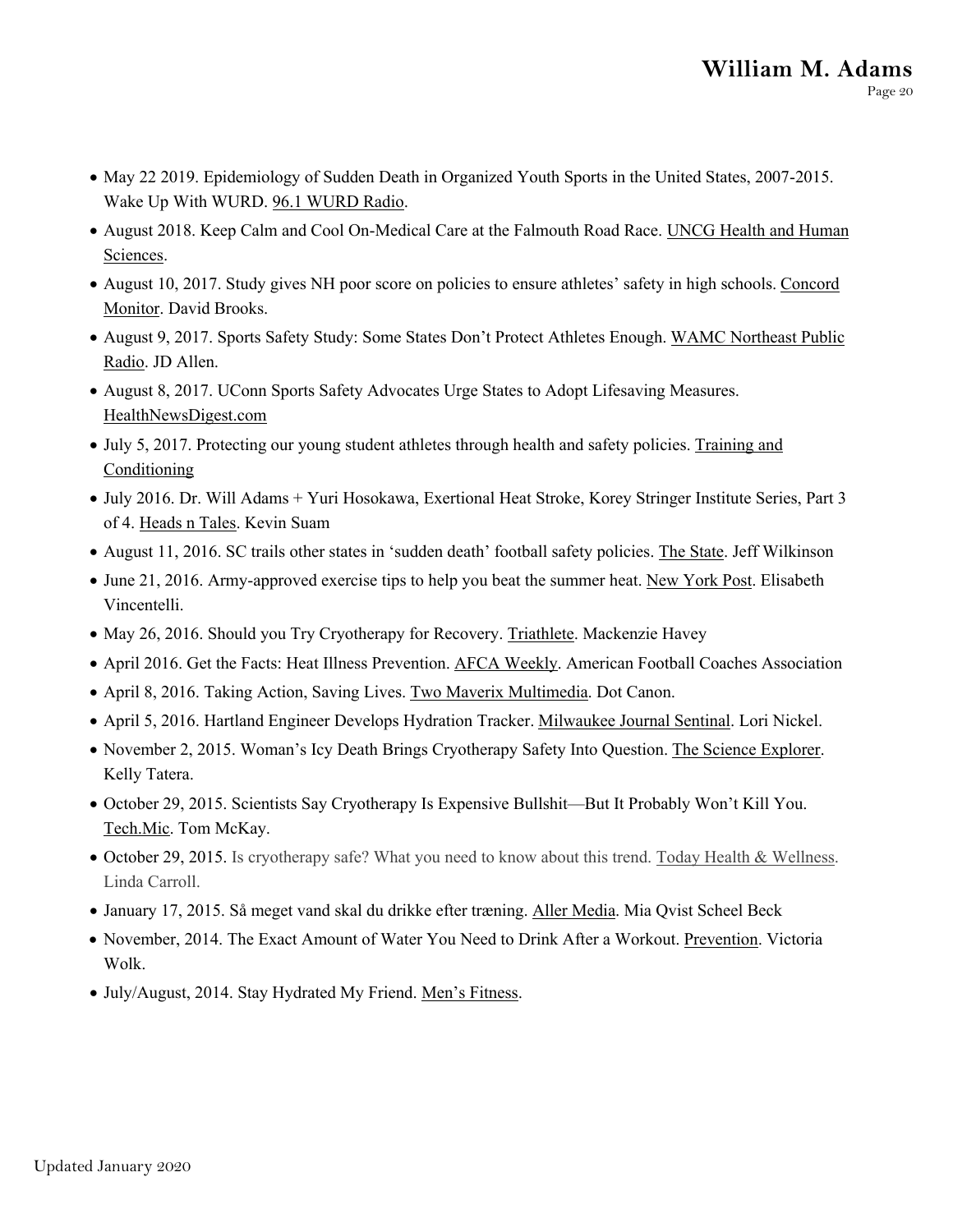- May 22 2019. Epidemiology of Sudden Death in Organized Youth Sports in the United States, 2007-2015. Wake Up With WURD. 96.1 WURD Radio.
- August 2018. Keep Calm and Cool On-Medical Care at the Falmouth Road Race. UNCG Health and Human Sciences.
- August 10, 2017. Study gives NH poor score on policies to ensure athletes' safety in high schools. Concord Monitor. David Brooks.
- August 9, 2017. Sports Safety Study: Some States Don't Protect Athletes Enough. WAMC Northeast Public Radio. JD Allen.
- August 8, 2017. UConn Sports Safety Advocates Urge States to Adopt Lifesaving Measures. HealthNewsDigest.com
- July 5, 2017. Protecting our young student athletes through health and safety policies. Training and **Conditioning**
- July 2016. Dr. Will Adams + Yuri Hosokawa, Exertional Heat Stroke, Korey Stringer Institute Series, Part 3 of 4. Heads n Tales. Kevin Suam
- August 11, 2016. SC trails other states in 'sudden death' football safety policies. The State. Jeff Wilkinson
- June 21, 2016. Army-approved exercise tips to help you beat the summer heat. New York Post. Elisabeth Vincentelli.
- May 26, 2016. Should you Try Cryotherapy for Recovery. Triathlete. Mackenzie Havey
- April 2016. Get the Facts: Heat Illness Prevention. AFCA Weekly. American Football Coaches Association
- April 8, 2016. Taking Action, Saving Lives. Two Maverix Multimedia. Dot Canon.
- April 5, 2016. Hartland Engineer Develops Hydration Tracker. Milwaukee Journal Sentinal. Lori Nickel.
- November 2, 2015. Woman's Icy Death Brings Cryotherapy Safety Into Question. The Science Explorer. Kelly Tatera.
- October 29, 2015. Scientists Say Cryotherapy Is Expensive Bullshit—But It Probably Won't Kill You. Tech.Mic. Tom McKay.
- October 29, 2015. Is cryotherapy safe? What you need to know about this trend. Today Health & Wellness. Linda Carroll.
- January 17, 2015. Så meget vand skal du drikke efter træning. Aller Media. Mia Qvist Scheel Beck
- November, 2014. The Exact Amount of Water You Need to Drink After a Workout. Prevention. Victoria Wolk.
- July/August, 2014. Stay Hydrated My Friend. Men's Fitness.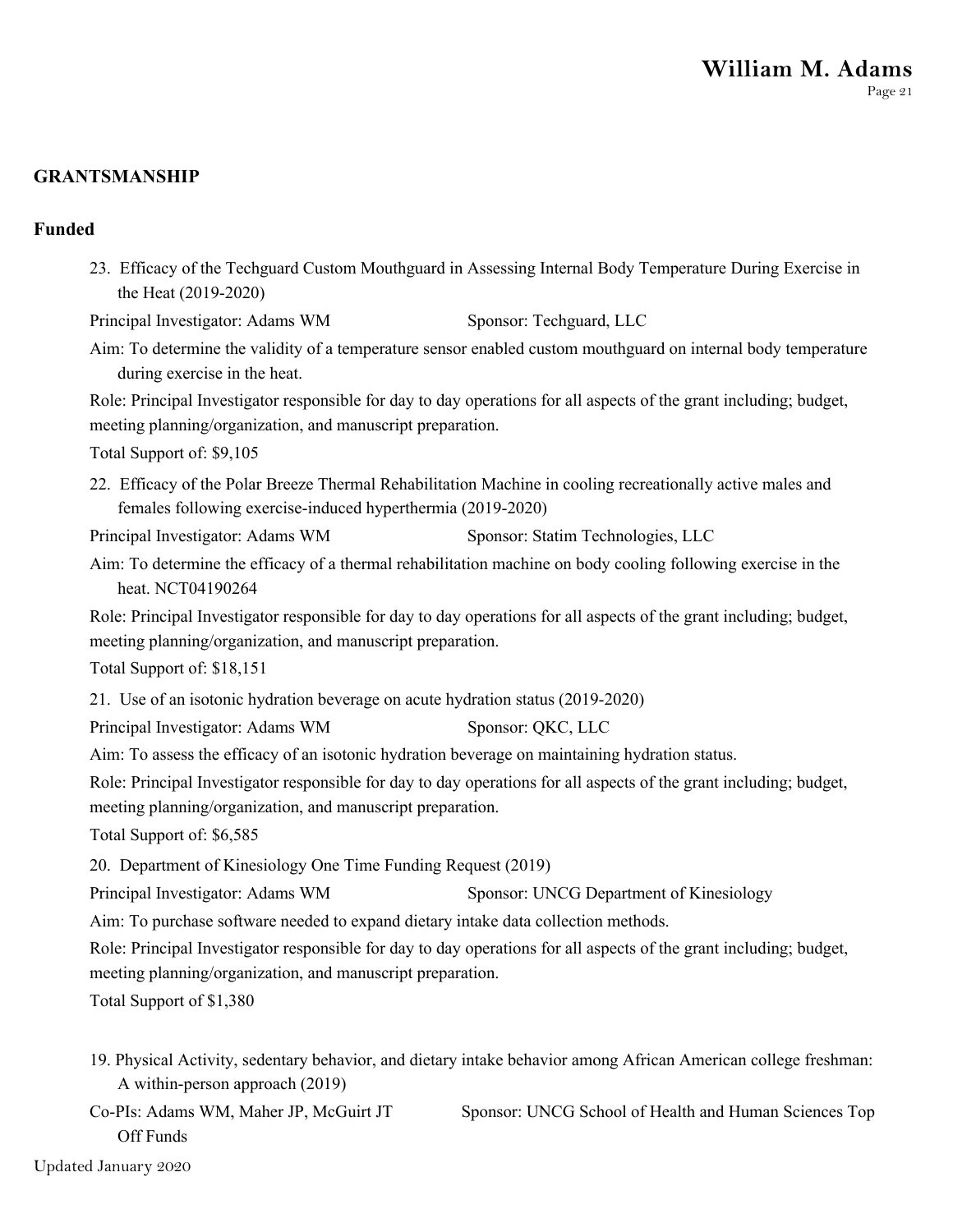#### **GRANTSMANSHIP**

#### **Funded**

23. Efficacy of the Techguard Custom Mouthguard in Assessing Internal Body Temperature During Exercise in the Heat (2019-2020)

Principal Investigator: Adams WM Sponsor: Techguard, LLC

Aim: To determine the validity of a temperature sensor enabled custom mouthguard on internal body temperature during exercise in the heat.

Role: Principal Investigator responsible for day to day operations for all aspects of the grant including; budget, meeting planning/organization, and manuscript preparation.

Total Support of: \$9,105

22. Efficacy of the Polar Breeze Thermal Rehabilitation Machine in cooling recreationally active males and females following exercise-induced hyperthermia (2019-2020)

Principal Investigator: Adams WM Sponsor: Statim Technologies, LLC

Aim: To determine the efficacy of a thermal rehabilitation machine on body cooling following exercise in the heat. NCT04190264

Role: Principal Investigator responsible for day to day operations for all aspects of the grant including; budget, meeting planning/organization, and manuscript preparation.

Total Support of: \$18,151

21. Use of an isotonic hydration beverage on acute hydration status (2019-2020)

Principal Investigator: Adams WM Sponsor: QKC, LLC

Aim: To assess the efficacy of an isotonic hydration beverage on maintaining hydration status.

Role: Principal Investigator responsible for day to day operations for all aspects of the grant including; budget, meeting planning/organization, and manuscript preparation.

Total Support of: \$6,585

20. Department of Kinesiology One Time Funding Request (2019)

Principal Investigator: Adams WM Sponsor: UNCG Department of Kinesiology

Aim: To purchase software needed to expand dietary intake data collection methods.

Role: Principal Investigator responsible for day to day operations for all aspects of the grant including; budget,

meeting planning/organization, and manuscript preparation.

Total Support of \$1,380

19. Physical Activity, sedentary behavior, and dietary intake behavior among African American college freshman: A within-person approach (2019)

Co-PIs: Adams WM, Maher JP, McGuirt JT Sponsor: UNCG School of Health and Human Sciences Top Off Funds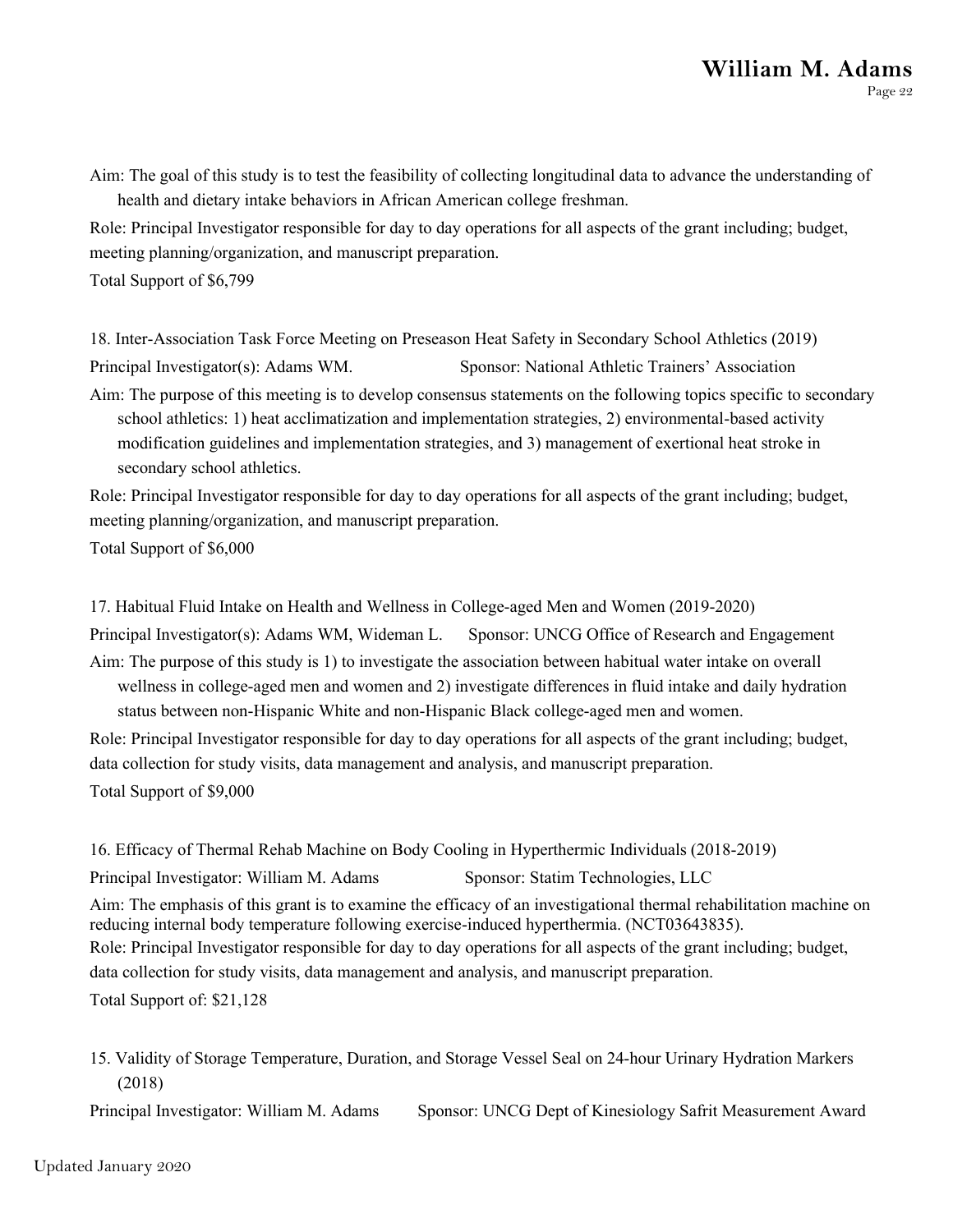Aim: The goal of this study is to test the feasibility of collecting longitudinal data to advance the understanding of health and dietary intake behaviors in African American college freshman.

Role: Principal Investigator responsible for day to day operations for all aspects of the grant including; budget, meeting planning/organization, and manuscript preparation.

Total Support of \$6,799

18. Inter-Association Task Force Meeting on Preseason Heat Safety in Secondary School Athletics (2019)

Principal Investigator(s): Adams WM. Sponsor: National Athletic Trainers' Association

Aim: The purpose of this meeting is to develop consensus statements on the following topics specific to secondary school athletics: 1) heat acclimatization and implementation strategies, 2) environmental-based activity modification guidelines and implementation strategies, and 3) management of exertional heat stroke in secondary school athletics.

Role: Principal Investigator responsible for day to day operations for all aspects of the grant including; budget, meeting planning/organization, and manuscript preparation.

Total Support of \$6,000

17. Habitual Fluid Intake on Health and Wellness in College-aged Men and Women (2019-2020)

Principal Investigator(s): Adams WM, Wideman L. Sponsor: UNCG Office of Research and Engagement

Aim: The purpose of this study is 1) to investigate the association between habitual water intake on overall wellness in college-aged men and women and 2) investigate differences in fluid intake and daily hydration status between non-Hispanic White and non-Hispanic Black college-aged men and women.

Role: Principal Investigator responsible for day to day operations for all aspects of the grant including; budget, data collection for study visits, data management and analysis, and manuscript preparation. Total Support of \$9,000

16. Efficacy of Thermal Rehab Machine on Body Cooling in Hyperthermic Individuals (2018-2019) Principal Investigator: William M. Adams Sponsor: Statim Technologies, LLC Aim: The emphasis of this grant is to examine the efficacy of an investigational thermal rehabilitation machine on reducing internal body temperature following exercise-induced hyperthermia. (NCT03643835). Role: Principal Investigator responsible for day to day operations for all aspects of the grant including; budget, data collection for study visits, data management and analysis, and manuscript preparation. Total Support of: \$21,128

15. Validity of Storage Temperature, Duration, and Storage Vessel Seal on 24-hour Urinary Hydration Markers (2018)

Principal Investigator: William M. Adams Sponsor: UNCG Dept of Kinesiology Safrit Measurement Award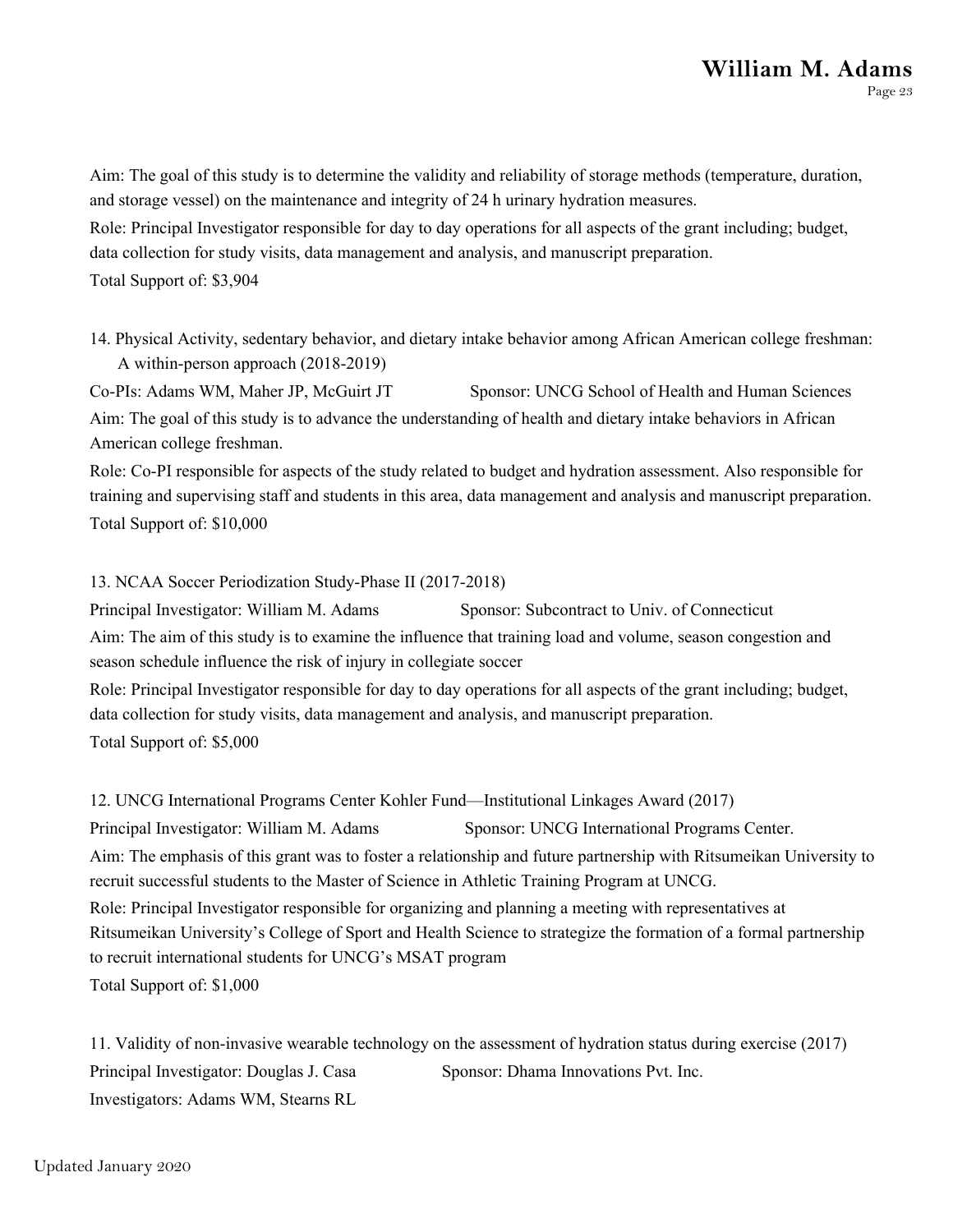Aim: The goal of this study is to determine the validity and reliability of storage methods (temperature, duration, and storage vessel) on the maintenance and integrity of 24 h urinary hydration measures. Role: Principal Investigator responsible for day to day operations for all aspects of the grant including; budget, data collection for study visits, data management and analysis, and manuscript preparation. Total Support of: \$3,904

14. Physical Activity, sedentary behavior, and dietary intake behavior among African American college freshman: A within-person approach (2018-2019)

Co-PIs: Adams WM, Maher JP, McGuirt JT Sponsor: UNCG School of Health and Human Sciences Aim: The goal of this study is to advance the understanding of health and dietary intake behaviors in African American college freshman.

Role: Co-PI responsible for aspects of the study related to budget and hydration assessment. Also responsible for training and supervising staff and students in this area, data management and analysis and manuscript preparation. Total Support of: \$10,000

13. NCAA Soccer Periodization Study-Phase II (2017-2018)

Principal Investigator: William M. Adams Sponsor: Subcontract to Univ. of Connecticut Aim: The aim of this study is to examine the influence that training load and volume, season congestion and season schedule influence the risk of injury in collegiate soccer

Role: Principal Investigator responsible for day to day operations for all aspects of the grant including; budget, data collection for study visits, data management and analysis, and manuscript preparation. Total Support of: \$5,000

12. UNCG International Programs Center Kohler Fund—Institutional Linkages Award (2017) Principal Investigator: William M. Adams Sponsor: UNCG International Programs Center. Aim: The emphasis of this grant was to foster a relationship and future partnership with Ritsumeikan University to recruit successful students to the Master of Science in Athletic Training Program at UNCG. Role: Principal Investigator responsible for organizing and planning a meeting with representatives at Ritsumeikan University's College of Sport and Health Science to strategize the formation of a formal partnership to recruit international students for UNCG's MSAT program Total Support of: \$1,000

11. Validity of non-invasive wearable technology on the assessment of hydration status during exercise (2017) Principal Investigator: Douglas J. Casa Sponsor: Dhama Innovations Pvt. Inc. Investigators: Adams WM, Stearns RL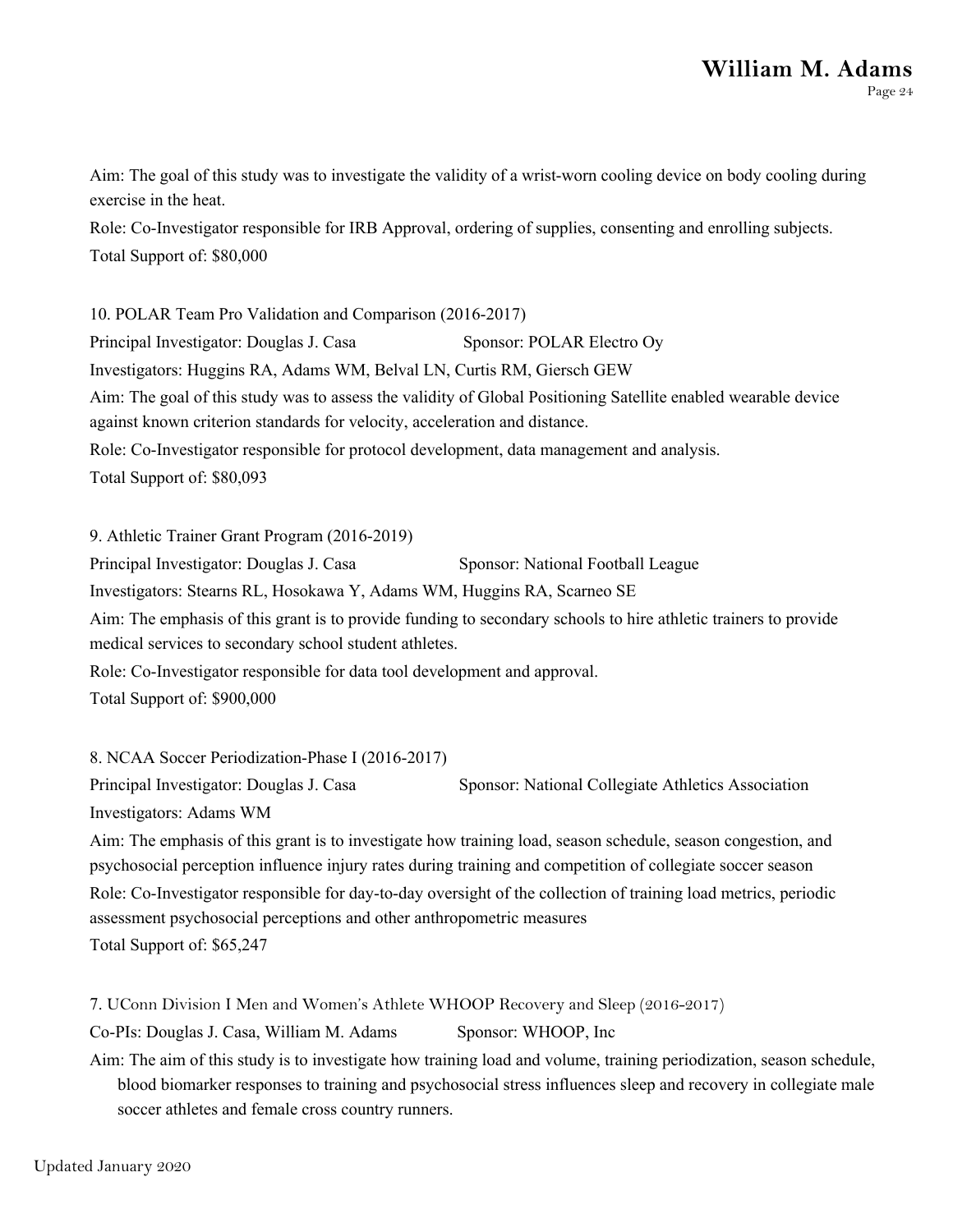Aim: The goal of this study was to investigate the validity of a wrist-worn cooling device on body cooling during exercise in the heat.

Role: Co-Investigator responsible for IRB Approval, ordering of supplies, consenting and enrolling subjects. Total Support of: \$80,000

10. POLAR Team Pro Validation and Comparison (2016-2017) Principal Investigator: Douglas J. Casa Sponsor: POLAR Electro Oy Investigators: Huggins RA, Adams WM, Belval LN, Curtis RM, Giersch GEW Aim: The goal of this study was to assess the validity of Global Positioning Satellite enabled wearable device against known criterion standards for velocity, acceleration and distance. Role: Co-Investigator responsible for protocol development, data management and analysis. Total Support of: \$80,093

9. Athletic Trainer Grant Program (2016-2019)

Principal Investigator: Douglas J. Casa Sponsor: National Football League

Investigators: Stearns RL, Hosokawa Y, Adams WM, Huggins RA, Scarneo SE

Aim: The emphasis of this grant is to provide funding to secondary schools to hire athletic trainers to provide medical services to secondary school student athletes.

Role: Co-Investigator responsible for data tool development and approval.

Total Support of: \$900,000

8. NCAA Soccer Periodization-Phase I (2016-2017)

Principal Investigator: Douglas J. Casa Sponsor: National Collegiate Athletics Association

Investigators: Adams WM

Aim: The emphasis of this grant is to investigate how training load, season schedule, season congestion, and psychosocial perception influence injury rates during training and competition of collegiate soccer season Role: Co-Investigator responsible for day-to-day oversight of the collection of training load metrics, periodic assessment psychosocial perceptions and other anthropometric measures

Total Support of: \$65,247

7. UConn Division I Men and Women's Athlete WHOOP Recovery and Sleep (2016-2017)

Co-PIs: Douglas J. Casa, William M. Adams Sponsor: WHOOP, Inc

Aim: The aim of this study is to investigate how training load and volume, training periodization, season schedule, blood biomarker responses to training and psychosocial stress influences sleep and recovery in collegiate male soccer athletes and female cross country runners.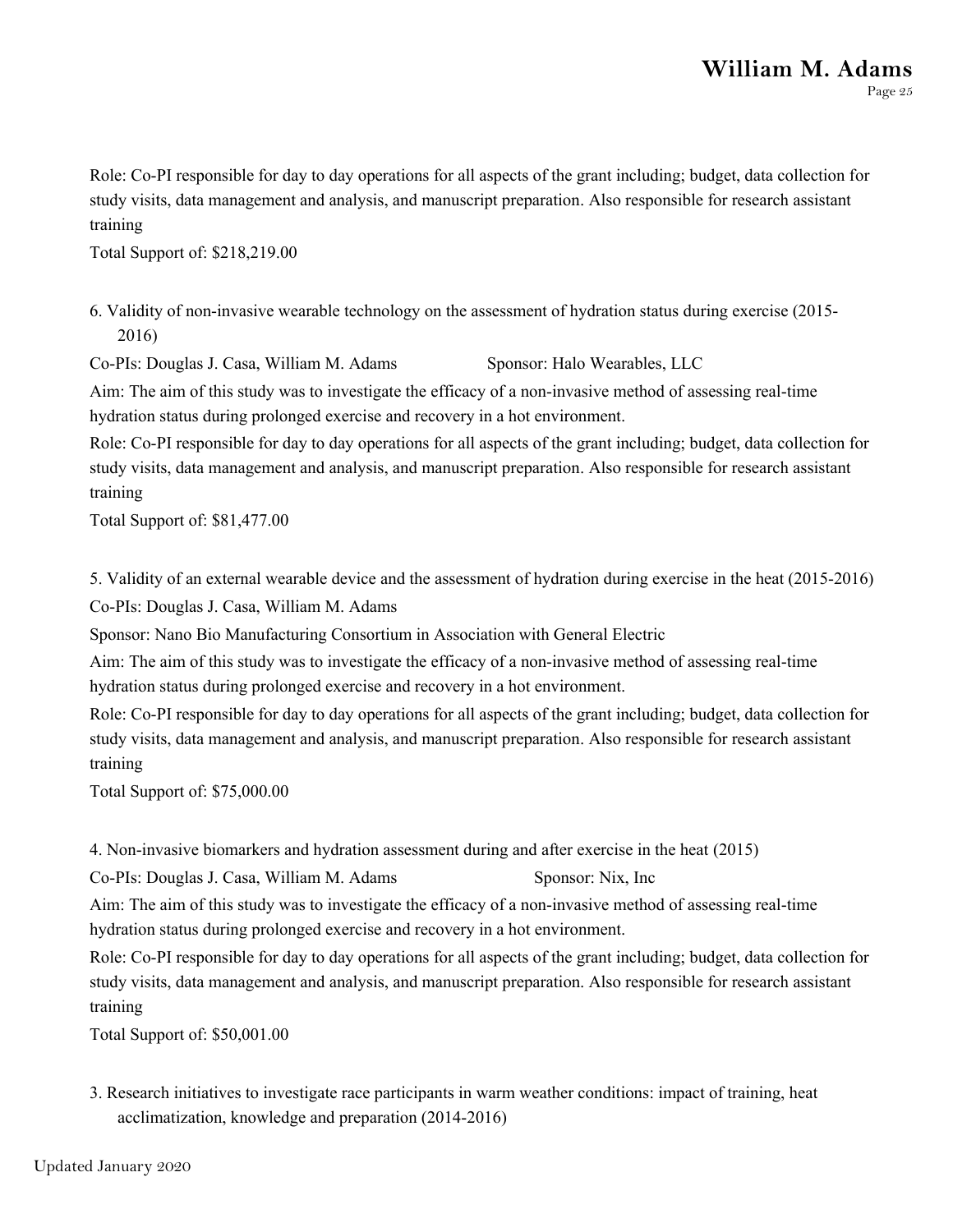Role: Co-PI responsible for day to day operations for all aspects of the grant including; budget, data collection for study visits, data management and analysis, and manuscript preparation. Also responsible for research assistant training

Total Support of: \$218,219.00

6. Validity of non-invasive wearable technology on the assessment of hydration status during exercise (2015- 2016)

Co-PIs: Douglas J. Casa, William M. Adams Sponsor: Halo Wearables, LLC

Aim: The aim of this study was to investigate the efficacy of a non-invasive method of assessing real-time hydration status during prolonged exercise and recovery in a hot environment.

Role: Co-PI responsible for day to day operations for all aspects of the grant including; budget, data collection for study visits, data management and analysis, and manuscript preparation. Also responsible for research assistant training

Total Support of: \$81,477.00

5. Validity of an external wearable device and the assessment of hydration during exercise in the heat (2015-2016) Co-PIs: Douglas J. Casa, William M. Adams

Sponsor: Nano Bio Manufacturing Consortium in Association with General Electric

Aim: The aim of this study was to investigate the efficacy of a non-invasive method of assessing real-time hydration status during prolonged exercise and recovery in a hot environment.

Role: Co-PI responsible for day to day operations for all aspects of the grant including; budget, data collection for study visits, data management and analysis, and manuscript preparation. Also responsible for research assistant training

Total Support of: \$75,000.00

4. Non-invasive biomarkers and hydration assessment during and after exercise in the heat (2015)

Co-PIs: Douglas J. Casa, William M. Adams Sponsor: Nix, Inc

Aim: The aim of this study was to investigate the efficacy of a non-invasive method of assessing real-time hydration status during prolonged exercise and recovery in a hot environment.

Role: Co-PI responsible for day to day operations for all aspects of the grant including; budget, data collection for study visits, data management and analysis, and manuscript preparation. Also responsible for research assistant training

Total Support of: \$50,001.00

3. Research initiatives to investigate race participants in warm weather conditions: impact of training, heat acclimatization, knowledge and preparation (2014-2016)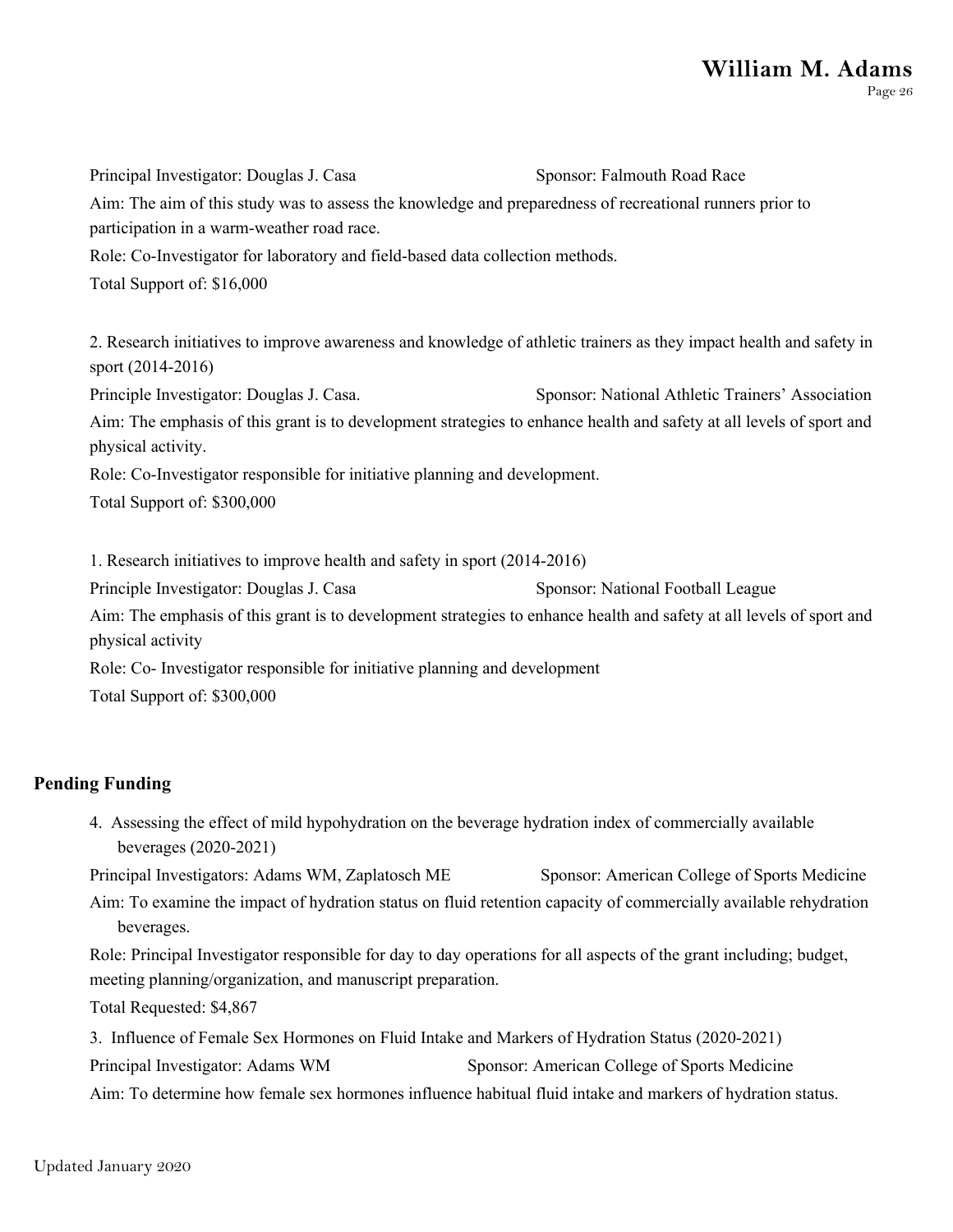Principal Investigator: Douglas J. Casa Sponsor: Falmouth Road Race Aim: The aim of this study was to assess the knowledge and preparedness of recreational runners prior to participation in a warm-weather road race. Role: Co-Investigator for laboratory and field-based data collection methods. Total Support of: \$16,000 2. Research initiatives to improve awareness and knowledge of athletic trainers as they impact health and safety in sport (2014-2016)

Principle Investigator: Douglas J. Casa. Sponsor: National Athletic Trainers' Association Aim: The emphasis of this grant is to development strategies to enhance health and safety at all levels of sport and physical activity.

Role: Co-Investigator responsible for initiative planning and development.

Total Support of: \$300,000

1. Research initiatives to improve health and safety in sport (2014-2016) Principle Investigator: Douglas J. Casa Sponsor: National Football League Aim: The emphasis of this grant is to development strategies to enhance health and safety at all levels of sport and physical activity

Role: Co- Investigator responsible for initiative planning and development Total Support of: \$300,000

#### **Pending Funding**

4. Assessing the effect of mild hypohydration on the beverage hydration index of commercially available beverages (2020-2021)

Principal Investigators: Adams WM, Zaplatosch ME Sponsor: American College of Sports Medicine Aim: To examine the impact of hydration status on fluid retention capacity of commercially available rehydration beverages.

Role: Principal Investigator responsible for day to day operations for all aspects of the grant including; budget, meeting planning/organization, and manuscript preparation.

Total Requested: \$4,867

3. Influence of Female Sex Hormones on Fluid Intake and Markers of Hydration Status (2020-2021)

Principal Investigator: Adams WM Sponsor: American College of Sports Medicine

Aim: To determine how female sex hormones influence habitual fluid intake and markers of hydration status.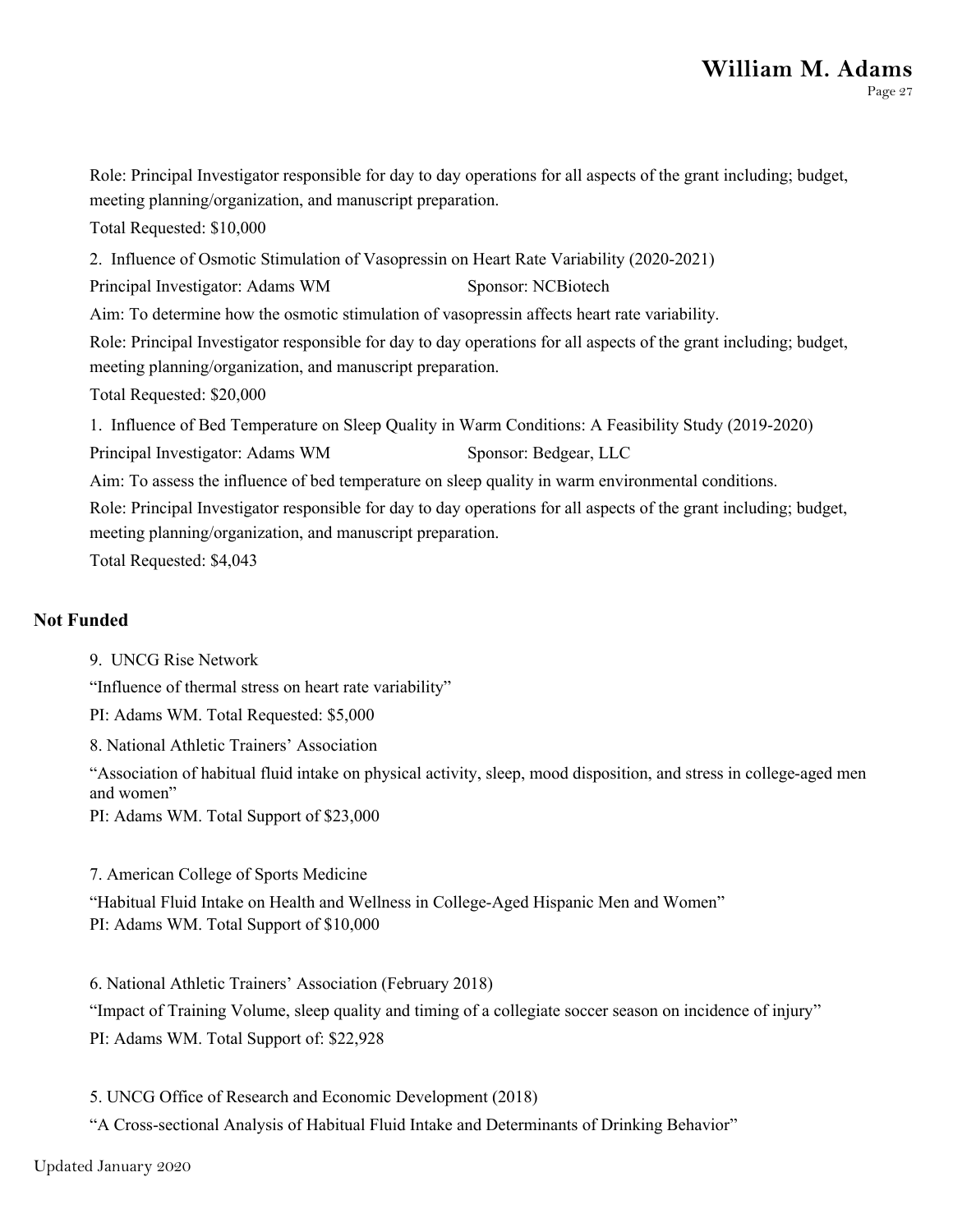Role: Principal Investigator responsible for day to day operations for all aspects of the grant including; budget, meeting planning/organization, and manuscript preparation. Total Requested: \$10,000 2. Influence of Osmotic Stimulation of Vasopressin on Heart Rate Variability (2020-2021) Principal Investigator: Adams WM Sponsor: NCBiotech Aim: To determine how the osmotic stimulation of vasopressin affects heart rate variability. Role: Principal Investigator responsible for day to day operations for all aspects of the grant including; budget, meeting planning/organization, and manuscript preparation. Total Requested: \$20,000 1. Influence of Bed Temperature on Sleep Quality in Warm Conditions: A Feasibility Study (2019-2020) Principal Investigator: Adams WM Sponsor: Bedgear, LLC Aim: To assess the influence of bed temperature on sleep quality in warm environmental conditions. Role: Principal Investigator responsible for day to day operations for all aspects of the grant including; budget, meeting planning/organization, and manuscript preparation. Total Requested: \$4,043

#### **Not Funded**

9. UNCG Rise Network

"Influence of thermal stress on heart rate variability"

PI: Adams WM. Total Requested: \$5,000

8. National Athletic Trainers' Association

"Association of habitual fluid intake on physical activity, sleep, mood disposition, and stress in college-aged men and women"

PI: Adams WM. Total Support of \$23,000

7. American College of Sports Medicine

"Habitual Fluid Intake on Health and Wellness in College-Aged Hispanic Men and Women" PI: Adams WM. Total Support of \$10,000

6. National Athletic Trainers' Association (February 2018)

"Impact of Training Volume, sleep quality and timing of a collegiate soccer season on incidence of injury" PI: Adams WM. Total Support of: \$22,928

5. UNCG Office of Research and Economic Development (2018)

"A Cross-sectional Analysis of Habitual Fluid Intake and Determinants of Drinking Behavior"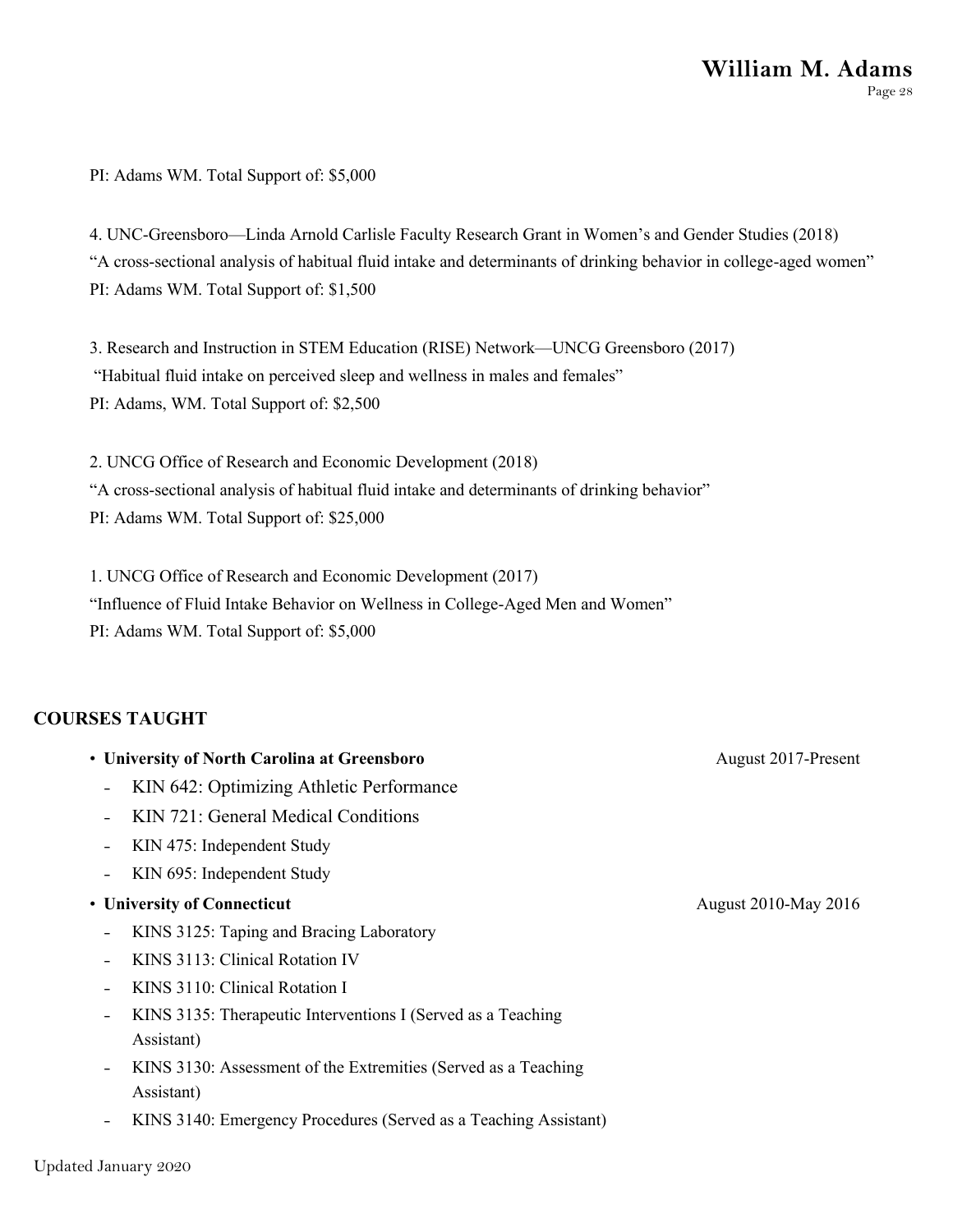PI: Adams WM. Total Support of: \$5,000

4. UNC-Greensboro—Linda Arnold Carlisle Faculty Research Grant in Women's and Gender Studies (2018) "A cross-sectional analysis of habitual fluid intake and determinants of drinking behavior in college-aged women" PI: Adams WM. Total Support of: \$1,500

3. Research and Instruction in STEM Education (RISE) Network—UNCG Greensboro (2017) "Habitual fluid intake on perceived sleep and wellness in males and females" PI: Adams, WM. Total Support of: \$2,500

2. UNCG Office of Research and Economic Development (2018) "A cross-sectional analysis of habitual fluid intake and determinants of drinking behavior" PI: Adams WM. Total Support of: \$25,000

1. UNCG Office of Research and Economic Development (2017) "Influence of Fluid Intake Behavior on Wellness in College-Aged Men and Women" PI: Adams WM. Total Support of: \$5,000

#### **COURSES TAUGHT**

- **University of North Carolina at Greensboro**
	- KIN 642: Optimizing Athletic Performance
	- KIN 721: General Medical Conditions
	- KIN 475: Independent Study
	- KIN 695: Independent Study
- **University of Connecticut**
	- KINS 3125: Taping and Bracing Laboratory
	- KINS 3113: Clinical Rotation IV
	- KINS 3110: Clinical Rotation I
	- KINS 3135: Therapeutic Interventions I (Served as a Teaching Assistant)
	- KINS 3130: Assessment of the Extremities (Served as a Teaching Assistant)
	- KINS 3140: Emergency Procedures (Served as a Teaching Assistant)

August 2017-Present

August 2010-May 2016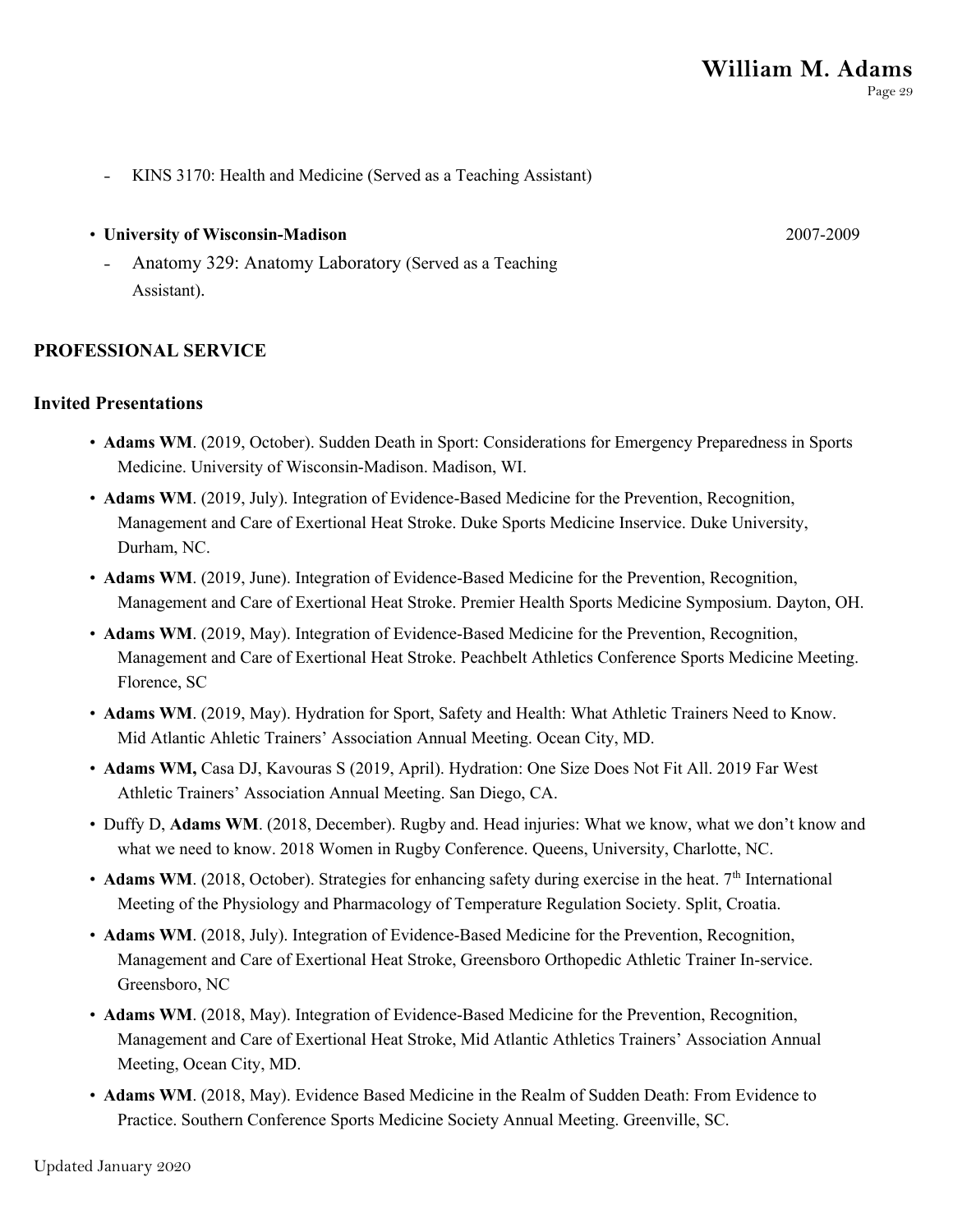- KINS 3170: Health and Medicine (Served as a Teaching Assistant)

## • **University of Wisconsin-Madison**

Anatomy 329: Anatomy Laboratory (Served as a Teaching Assistant).

## **PROFESSIONAL SERVICE**

## **Invited Presentations**

- **Adams WM**. (2019, October). Sudden Death in Sport: Considerations for Emergency Preparedness in Sports Medicine. University of Wisconsin-Madison. Madison, WI.
- **Adams WM**. (2019, July). Integration of Evidence-Based Medicine for the Prevention, Recognition, Management and Care of Exertional Heat Stroke. Duke Sports Medicine Inservice. Duke University, Durham, NC.
- **Adams WM**. (2019, June). Integration of Evidence-Based Medicine for the Prevention, Recognition, Management and Care of Exertional Heat Stroke. Premier Health Sports Medicine Symposium. Dayton, OH.
- **Adams WM**. (2019, May). Integration of Evidence-Based Medicine for the Prevention, Recognition, Management and Care of Exertional Heat Stroke. Peachbelt Athletics Conference Sports Medicine Meeting. Florence, SC
- **Adams WM**. (2019, May). Hydration for Sport, Safety and Health: What Athletic Trainers Need to Know. Mid Atlantic Ahletic Trainers' Association Annual Meeting. Ocean City, MD.
- **Adams WM,** Casa DJ, Kavouras S (2019, April). Hydration: One Size Does Not Fit All. 2019 Far West Athletic Trainers' Association Annual Meeting. San Diego, CA.
- Duffy D, **Adams WM**. (2018, December). Rugby and. Head injuries: What we know, what we don't know and what we need to know. 2018 Women in Rugby Conference. Queens, University, Charlotte, NC.
- **Adams WM**. (2018, October). Strategies for enhancing safety during exercise in the heat. 7<sup>th</sup> International Meeting of the Physiology and Pharmacology of Temperature Regulation Society. Split, Croatia.
- **Adams WM**. (2018, July). Integration of Evidence-Based Medicine for the Prevention, Recognition, Management and Care of Exertional Heat Stroke, Greensboro Orthopedic Athletic Trainer In-service. Greensboro, NC
- **Adams WM**. (2018, May). Integration of Evidence-Based Medicine for the Prevention, Recognition, Management and Care of Exertional Heat Stroke, Mid Atlantic Athletics Trainers' Association Annual Meeting, Ocean City, MD.
- **Adams WM**. (2018, May). Evidence Based Medicine in the Realm of Sudden Death: From Evidence to Practice. Southern Conference Sports Medicine Society Annual Meeting. Greenville, SC.

2007-2009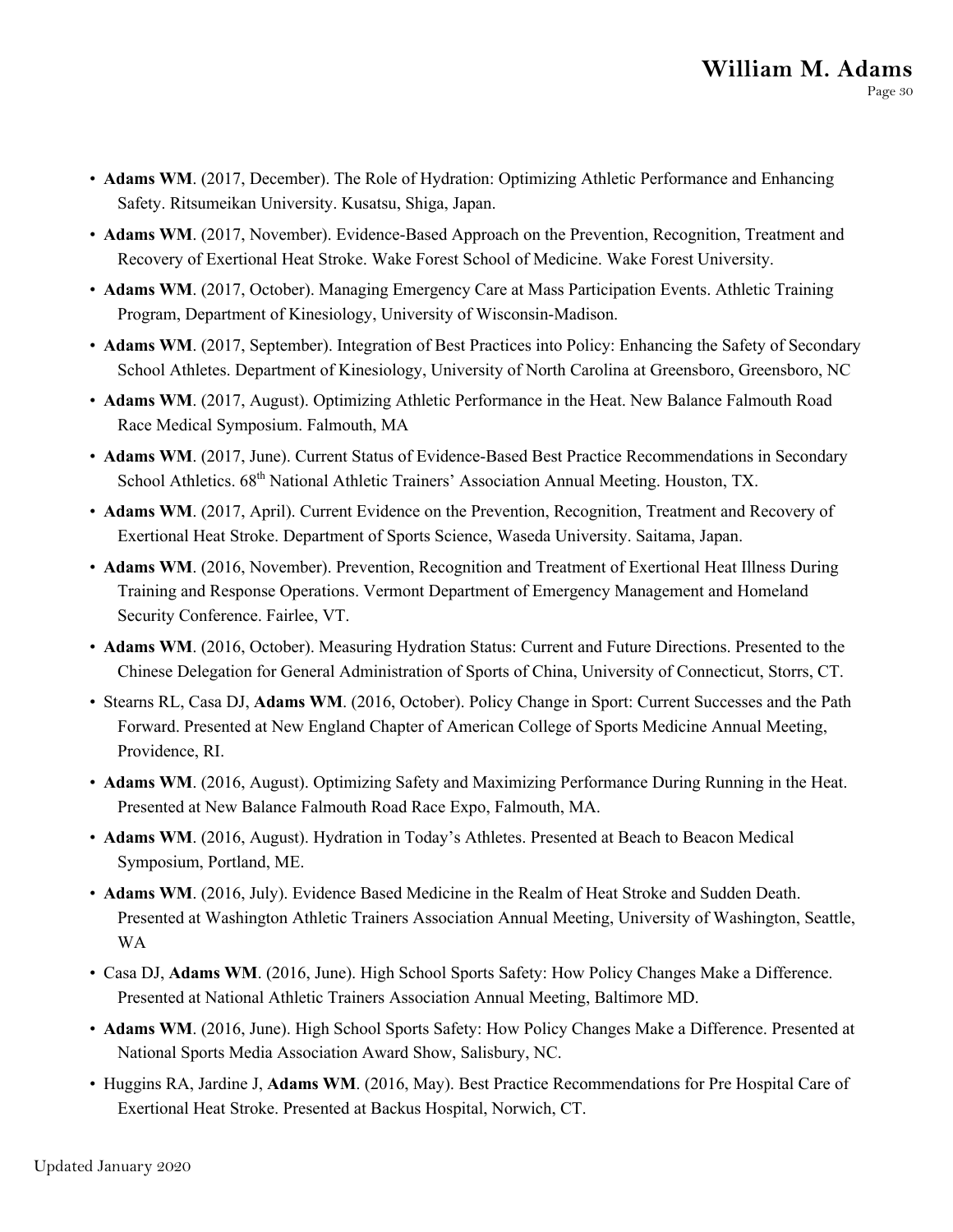- **Adams WM**. (2017, December). The Role of Hydration: Optimizing Athletic Performance and Enhancing Safety. Ritsumeikan University. Kusatsu, Shiga, Japan.
- **Adams WM**. (2017, November). Evidence-Based Approach on the Prevention, Recognition, Treatment and Recovery of Exertional Heat Stroke. Wake Forest School of Medicine. Wake Forest University.
- **Adams WM**. (2017, October). Managing Emergency Care at Mass Participation Events. Athletic Training Program, Department of Kinesiology, University of Wisconsin-Madison.
- **Adams WM**. (2017, September). Integration of Best Practices into Policy: Enhancing the Safety of Secondary School Athletes. Department of Kinesiology, University of North Carolina at Greensboro, Greensboro, NC
- **Adams WM**. (2017, August). Optimizing Athletic Performance in the Heat. New Balance Falmouth Road Race Medical Symposium. Falmouth, MA
- **Adams WM**. (2017, June). Current Status of Evidence-Based Best Practice Recommendations in Secondary School Athletics. 68<sup>th</sup> National Athletic Trainers' Association Annual Meeting. Houston, TX.
- **Adams WM**. (2017, April). Current Evidence on the Prevention, Recognition, Treatment and Recovery of Exertional Heat Stroke. Department of Sports Science, Waseda University. Saitama, Japan.
- **Adams WM**. (2016, November). Prevention, Recognition and Treatment of Exertional Heat Illness During Training and Response Operations. Vermont Department of Emergency Management and Homeland Security Conference. Fairlee, VT.
- **Adams WM**. (2016, October). Measuring Hydration Status: Current and Future Directions. Presented to the Chinese Delegation for General Administration of Sports of China, University of Connecticut, Storrs, CT.
- Stearns RL, Casa DJ, **Adams WM**. (2016, October). Policy Change in Sport: Current Successes and the Path Forward. Presented at New England Chapter of American College of Sports Medicine Annual Meeting, Providence, RI.
- **Adams WM**. (2016, August). Optimizing Safety and Maximizing Performance During Running in the Heat. Presented at New Balance Falmouth Road Race Expo, Falmouth, MA.
- **Adams WM**. (2016, August). Hydration in Today's Athletes. Presented at Beach to Beacon Medical Symposium, Portland, ME.
- **Adams WM**. (2016, July). Evidence Based Medicine in the Realm of Heat Stroke and Sudden Death. Presented at Washington Athletic Trainers Association Annual Meeting, University of Washington, Seattle, WA
- Casa DJ, **Adams WM**. (2016, June). High School Sports Safety: How Policy Changes Make a Difference. Presented at National Athletic Trainers Association Annual Meeting, Baltimore MD.
- **Adams WM**. (2016, June). High School Sports Safety: How Policy Changes Make a Difference. Presented at National Sports Media Association Award Show, Salisbury, NC.
- Huggins RA, Jardine J, **Adams WM**. (2016, May). Best Practice Recommendations for Pre Hospital Care of Exertional Heat Stroke. Presented at Backus Hospital, Norwich, CT.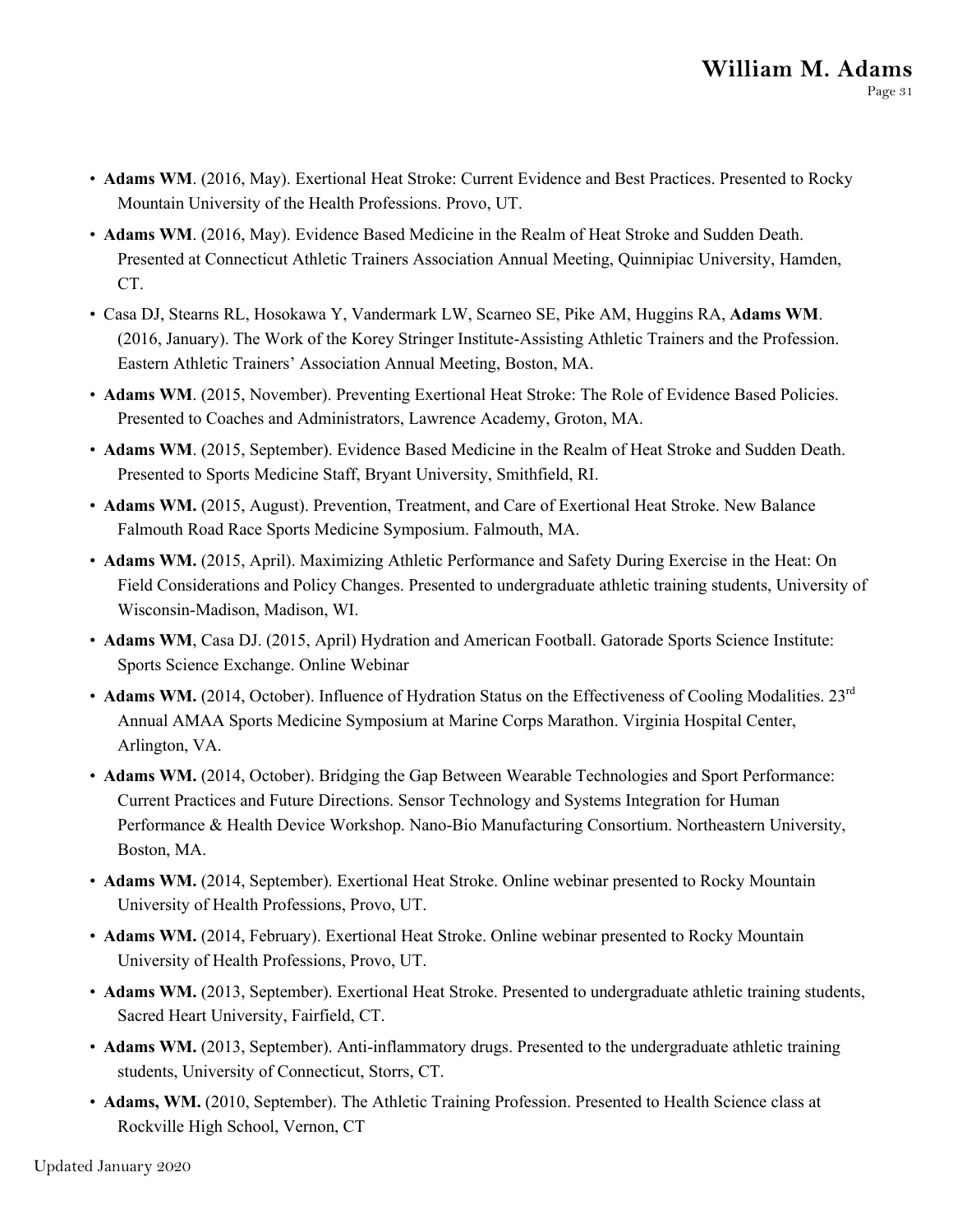- **Adams WM**. (2016, May). Exertional Heat Stroke: Current Evidence and Best Practices. Presented to Rocky Mountain University of the Health Professions. Provo, UT.
- **Adams WM**. (2016, May). Evidence Based Medicine in the Realm of Heat Stroke and Sudden Death. Presented at Connecticut Athletic Trainers Association Annual Meeting, Quinnipiac University, Hamden, CT.
- Casa DJ, Stearns RL, Hosokawa Y, Vandermark LW, Scarneo SE, Pike AM, Huggins RA, **Adams WM**. (2016, January). The Work of the Korey Stringer Institute-Assisting Athletic Trainers and the Profession. Eastern Athletic Trainers' Association Annual Meeting, Boston, MA.
- **Adams WM**. (2015, November). Preventing Exertional Heat Stroke: The Role of Evidence Based Policies. Presented to Coaches and Administrators, Lawrence Academy, Groton, MA.
- **Adams WM**. (2015, September). Evidence Based Medicine in the Realm of Heat Stroke and Sudden Death. Presented to Sports Medicine Staff, Bryant University, Smithfield, RI.
- **Adams WM.** (2015, August). Prevention, Treatment, and Care of Exertional Heat Stroke. New Balance Falmouth Road Race Sports Medicine Symposium. Falmouth, MA.
- **Adams WM.** (2015, April). Maximizing Athletic Performance and Safety During Exercise in the Heat: On Field Considerations and Policy Changes. Presented to undergraduate athletic training students, University of Wisconsin-Madison, Madison, WI.
- **Adams WM**, Casa DJ. (2015, April) Hydration and American Football. Gatorade Sports Science Institute: Sports Science Exchange. Online Webinar
- **Adams WM.** (2014, October). Influence of Hydration Status on the Effectiveness of Cooling Modalities. 23<sup>rd</sup> Annual AMAA Sports Medicine Symposium at Marine Corps Marathon. Virginia Hospital Center, Arlington, VA.
- **Adams WM.** (2014, October). Bridging the Gap Between Wearable Technologies and Sport Performance: Current Practices and Future Directions. Sensor Technology and Systems Integration for Human Performance & Health Device Workshop. Nano-Bio Manufacturing Consortium. Northeastern University, Boston, MA.
- **Adams WM.** (2014, September). Exertional Heat Stroke. Online webinar presented to Rocky Mountain University of Health Professions, Provo, UT.
- **Adams WM.** (2014, February). Exertional Heat Stroke. Online webinar presented to Rocky Mountain University of Health Professions, Provo, UT.
- **Adams WM.** (2013, September). Exertional Heat Stroke. Presented to undergraduate athletic training students, Sacred Heart University, Fairfield, CT.
- **Adams WM.** (2013, September). Anti-inflammatory drugs. Presented to the undergraduate athletic training students, University of Connecticut, Storrs, CT.
- **Adams, WM.** (2010, September). The Athletic Training Profession. Presented to Health Science class at Rockville High School, Vernon, CT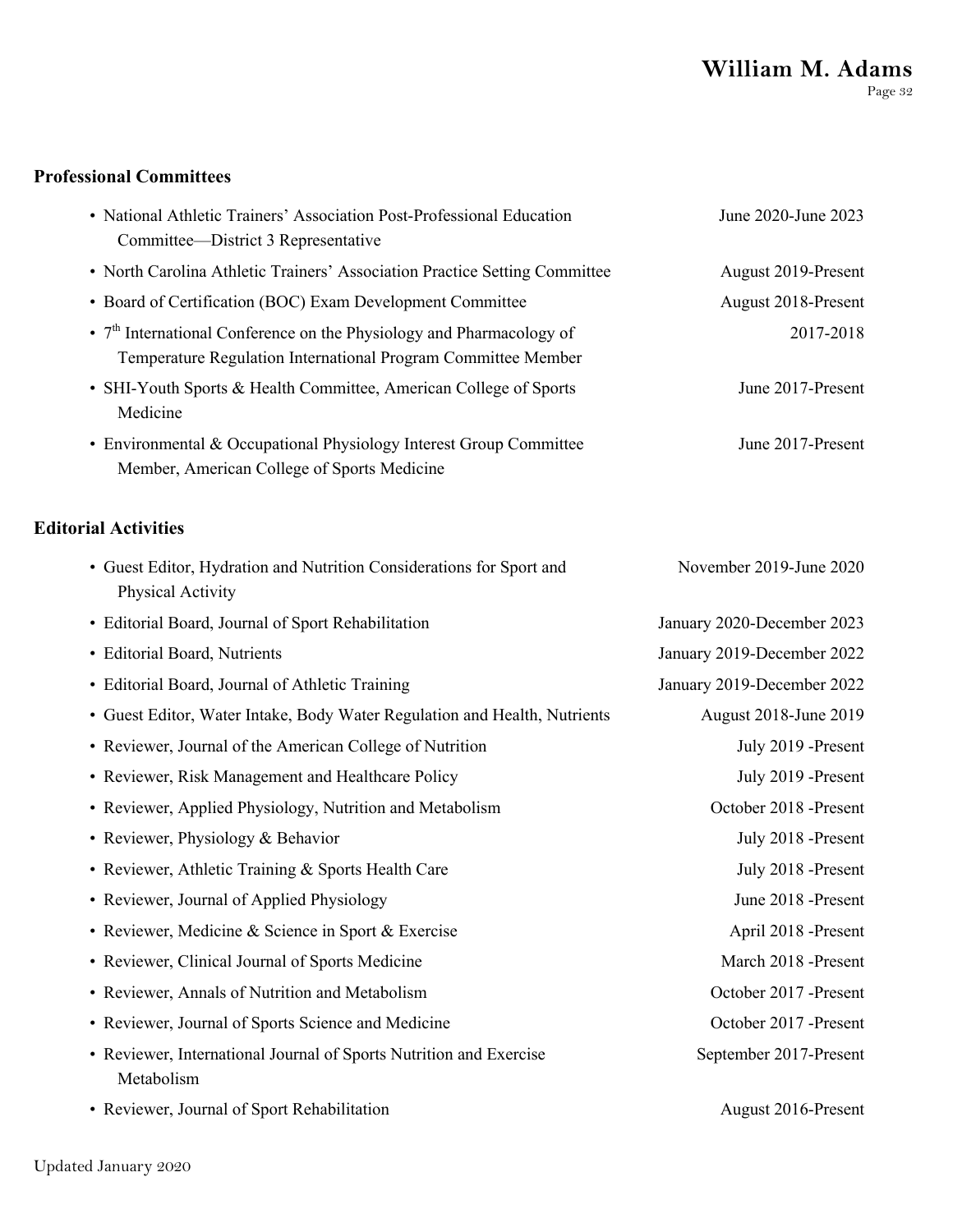# **William M. Adams**

Page 32

#### **Professional Committees**

| • National Athletic Trainers' Association Post-Professional Education<br>Committee-District 3 Representative                                      | June 2020-June 2023        |
|---------------------------------------------------------------------------------------------------------------------------------------------------|----------------------------|
| • North Carolina Athletic Trainers' Association Practice Setting Committee                                                                        | August 2019-Present        |
| • Board of Certification (BOC) Exam Development Committee                                                                                         | August 2018-Present        |
| • 7 <sup>th</sup> International Conference on the Physiology and Pharmacology of<br>Temperature Regulation International Program Committee Member | 2017-2018                  |
| • SHI-Youth Sports & Health Committee, American College of Sports<br>Medicine                                                                     | June 2017-Present          |
| • Environmental & Occupational Physiology Interest Group Committee<br>Member, American College of Sports Medicine                                 | June 2017-Present          |
| <b>Editorial Activities</b>                                                                                                                       |                            |
| • Guest Editor, Hydration and Nutrition Considerations for Sport and<br>Physical Activity                                                         | November 2019-June 2020    |
| • Editorial Board, Journal of Sport Rehabilitation                                                                                                | January 2020-December 2023 |
| • Editorial Board, Nutrients                                                                                                                      | January 2019-December 2022 |
| • Editorial Board, Journal of Athletic Training                                                                                                   | January 2019-December 2022 |
| • Guest Editor, Water Intake, Body Water Regulation and Health, Nutrients                                                                         | August 2018-June 2019      |
| • Reviewer, Journal of the American College of Nutrition                                                                                          | July 2019 -Present         |
| • Reviewer, Risk Management and Healthcare Policy                                                                                                 | July 2019 -Present         |
| • Reviewer, Applied Physiology, Nutrition and Metabolism                                                                                          | October 2018 -Present      |
| • Reviewer, Physiology & Behavior                                                                                                                 | July 2018 -Present         |
| • Reviewer, Athletic Training & Sports Health Care                                                                                                | July 2018 -Present         |
| • Reviewer, Journal of Applied Physiology                                                                                                         | June 2018 -Present         |
| • Reviewer, Medicine & Science in Sport & Exercise                                                                                                | April 2018 -Present        |
| • Reviewer, Clinical Journal of Sports Medicine                                                                                                   | March 2018 -Present        |
| • Reviewer, Annals of Nutrition and Metabolism                                                                                                    | October 2017 -Present      |
| • Reviewer, Journal of Sports Science and Medicine                                                                                                | October 2017 -Present      |
| • Reviewer, International Journal of Sports Nutrition and Exercise                                                                                | September 2017-Present     |

- Reviewer, International Journal of Sports Nutrition and Exercise Metabolism
- Reviewer, Journal of Sport Rehabilitation August 2016-Present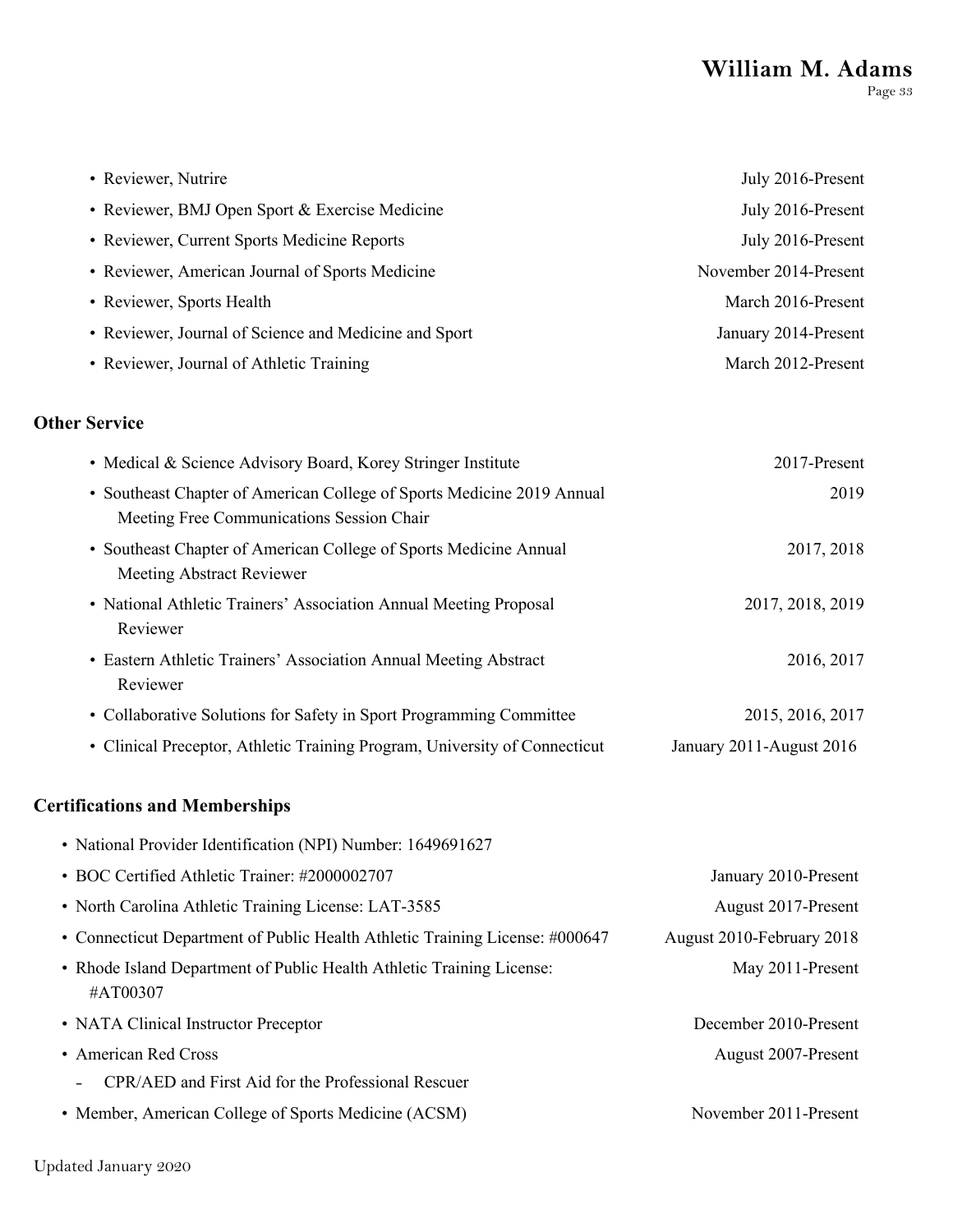| • Reviewer, Nutrire                                                                                                 | July 2016-Present        |
|---------------------------------------------------------------------------------------------------------------------|--------------------------|
| • Reviewer, BMJ Open Sport & Exercise Medicine                                                                      | July 2016-Present        |
| • Reviewer, Current Sports Medicine Reports                                                                         | July 2016-Present        |
| • Reviewer, American Journal of Sports Medicine                                                                     | November 2014-Present    |
| • Reviewer, Sports Health                                                                                           | March 2016-Present       |
| • Reviewer, Journal of Science and Medicine and Sport                                                               | January 2014-Present     |
| • Reviewer, Journal of Athletic Training                                                                            | March 2012-Present       |
| <b>Other Service</b>                                                                                                |                          |
| • Medical & Science Advisory Board, Korey Stringer Institute                                                        | 2017-Present             |
| • Southeast Chapter of American College of Sports Medicine 2019 Annual<br>Meeting Free Communications Session Chair | 2019                     |
| • Southeast Chapter of American College of Sports Medicine Annual<br>Meeting Abstract Reviewer                      | 2017, 2018               |
| • National Athletic Trainers' Association Annual Meeting Proposal<br>Reviewer                                       | 2017, 2018, 2019         |
| • Eastern Athletic Trainers' Association Annual Meeting Abstract<br>Reviewer                                        | 2016, 2017               |
| • Collaborative Solutions for Safety in Sport Programming Committee                                                 | 2015, 2016, 2017         |
| • Clinical Preceptor, Athletic Training Program, University of Connecticut                                          | January 2011-August 2016 |

#### **Certifications and Memberships**

| • National Provider Identification (NPI) Number: 1649691627                       |                           |
|-----------------------------------------------------------------------------------|---------------------------|
| • BOC Certified Athletic Trainer: #2000002707                                     | January 2010-Present      |
| • North Carolina Athletic Training License: LAT-3585                              | August 2017-Present       |
| • Connecticut Department of Public Health Athletic Training License: #000647      | August 2010-February 2018 |
| • Rhode Island Department of Public Health Athletic Training License:<br>#AT00307 | May 2011-Present          |
| • NATA Clinical Instructor Preceptor                                              | December 2010-Present     |
| • American Red Cross                                                              | August 2007-Present       |
| CPR/AED and First Aid for the Professional Rescuer                                |                           |
| • Member, American College of Sports Medicine (ACSM)                              | November 2011-Present     |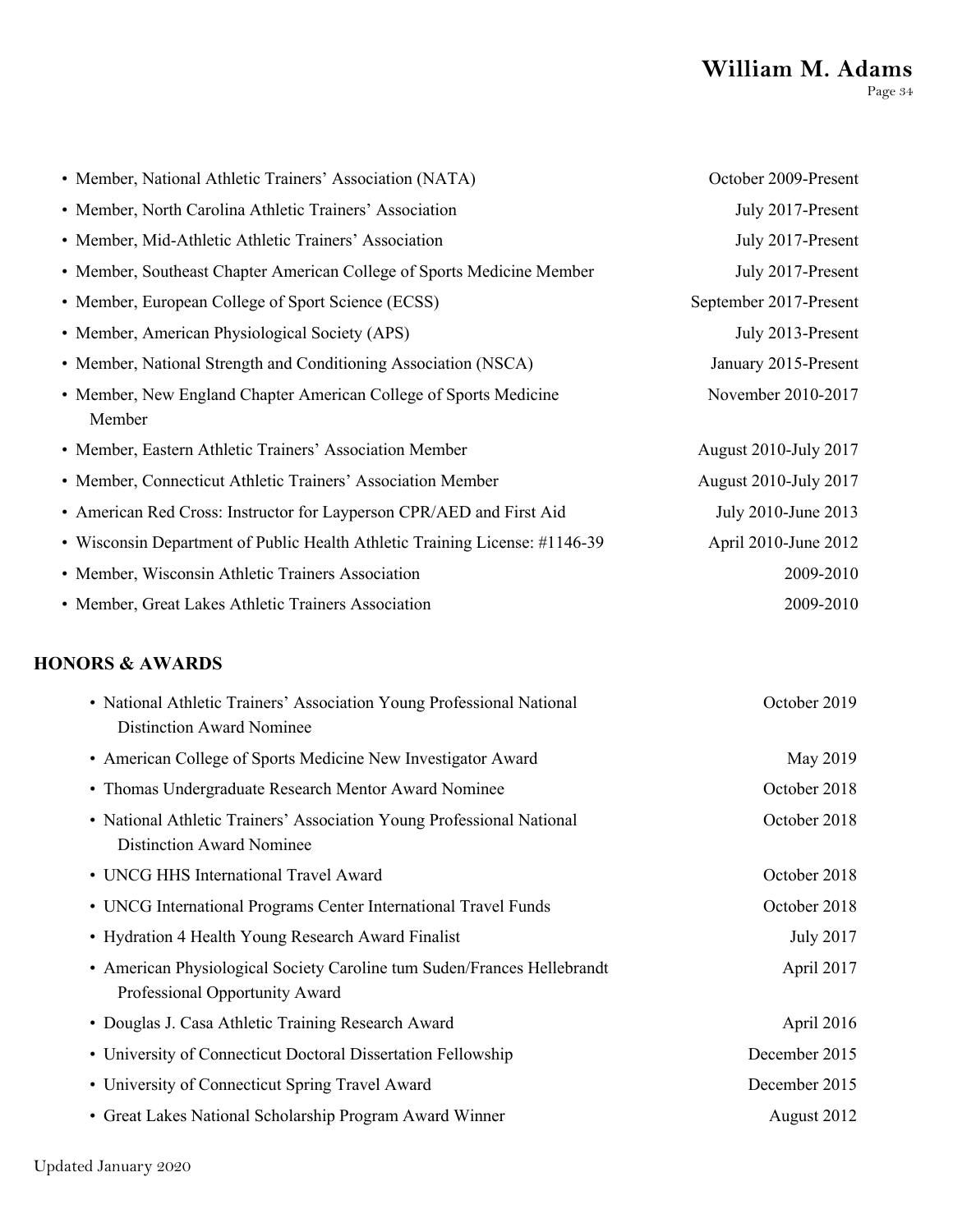## **William M. Adams** Page 34

| • Member, National Athletic Trainers' Association (NATA)                    | October 2009-Present   |
|-----------------------------------------------------------------------------|------------------------|
| • Member, North Carolina Athletic Trainers' Association                     | July 2017-Present      |
| • Member, Mid-Athletic Athletic Trainers' Association                       | July 2017-Present      |
| • Member, Southeast Chapter American College of Sports Medicine Member      | July 2017-Present      |
| • Member, European College of Sport Science (ECSS)                          | September 2017-Present |
| • Member, American Physiological Society (APS)                              | July 2013-Present      |
| • Member, National Strength and Conditioning Association (NSCA)             | January 2015-Present   |
| • Member, New England Chapter American College of Sports Medicine<br>Member | November 2010-2017     |
| • Member, Eastern Athletic Trainers' Association Member                     | August 2010-July 2017  |
| • Member, Connecticut Athletic Trainers' Association Member                 | August 2010-July 2017  |
| • American Red Cross: Instructor for Layperson CPR/AED and First Aid        | July 2010-June 2013    |
| • Wisconsin Department of Public Health Athletic Training License: #1146-39 | April 2010-June 2012   |
| • Member, Wisconsin Athletic Trainers Association                           | 2009-2010              |
| • Member, Great Lakes Athletic Trainers Association                         | 2009-2010              |

## **HONORS & AWARDS**

| • National Athletic Trainers' Association Young Professional National<br><b>Distinction Award Nominee</b> | October 2019  |
|-----------------------------------------------------------------------------------------------------------|---------------|
| • American College of Sports Medicine New Investigator Award                                              | May 2019      |
| • Thomas Undergraduate Research Mentor Award Nominee                                                      | October 2018  |
| • National Athletic Trainers' Association Young Professional National<br><b>Distinction Award Nominee</b> | October 2018  |
| • UNCG HHS International Travel Award                                                                     | October 2018  |
| • UNCG International Programs Center International Travel Funds                                           | October 2018  |
| • Hydration 4 Health Young Research Award Finalist                                                        | July 2017     |
| • American Physiological Society Caroline tum Suden/Frances Hellebrandt<br>Professional Opportunity Award | April 2017    |
| • Douglas J. Casa Athletic Training Research Award                                                        | April 2016    |
| • University of Connecticut Doctoral Dissertation Fellowship                                              | December 2015 |
| • University of Connecticut Spring Travel Award                                                           | December 2015 |
| • Great Lakes National Scholarship Program Award Winner                                                   | August 2012   |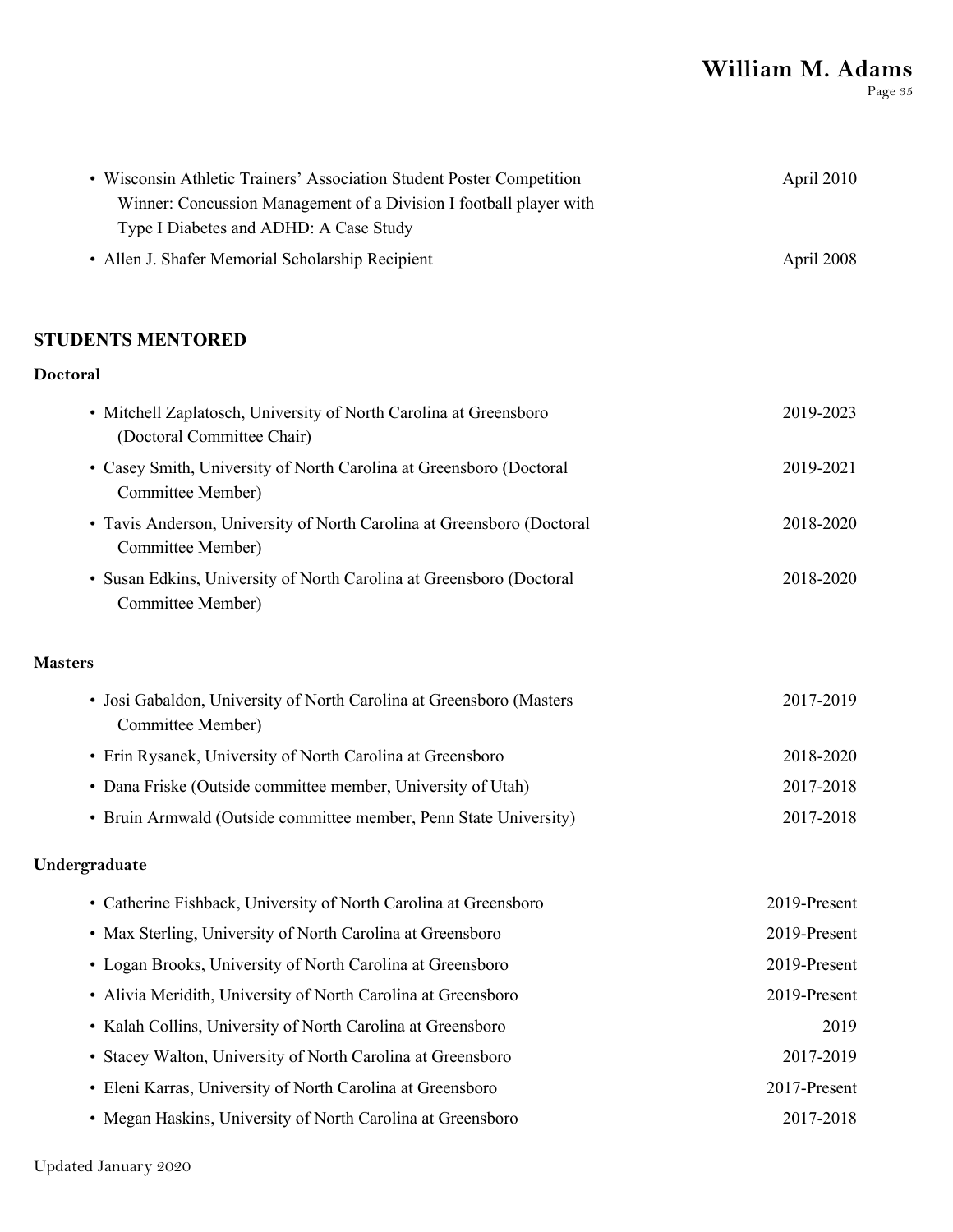## **William M. Adams**

Page 35

| • Wisconsin Athletic Trainers' Association Student Poster Competition<br>Winner: Concussion Management of a Division I football player with<br>Type I Diabetes and ADHD: A Case Study | April 2010   |
|---------------------------------------------------------------------------------------------------------------------------------------------------------------------------------------|--------------|
| • Allen J. Shafer Memorial Scholarship Recipient                                                                                                                                      | April 2008   |
| <b>STUDENTS MENTORED</b>                                                                                                                                                              |              |
| Doctoral                                                                                                                                                                              |              |
| • Mitchell Zaplatosch, University of North Carolina at Greensboro<br>(Doctoral Committee Chair)                                                                                       | 2019-2023    |
| • Casey Smith, University of North Carolina at Greensboro (Doctoral<br>Committee Member)                                                                                              | 2019-2021    |
| • Tavis Anderson, University of North Carolina at Greensboro (Doctoral<br>Committee Member)                                                                                           | 2018-2020    |
| • Susan Edkins, University of North Carolina at Greensboro (Doctoral<br>Committee Member)                                                                                             | 2018-2020    |
| <b>Masters</b>                                                                                                                                                                        |              |
| • Josi Gabaldon, University of North Carolina at Greensboro (Masters<br>Committee Member)                                                                                             | 2017-2019    |
| • Erin Rysanek, University of North Carolina at Greensboro                                                                                                                            | 2018-2020    |
| • Dana Friske (Outside committee member, University of Utah)                                                                                                                          | 2017-2018    |
| • Bruin Armwald (Outside committee member, Penn State University)                                                                                                                     | 2017-2018    |
| Undergraduate                                                                                                                                                                         |              |
| • Catherine Fishback, University of North Carolina at Greensboro                                                                                                                      | 2019-Present |
| • Max Sterling, University of North Carolina at Greensboro                                                                                                                            | 2019-Present |
| • Logan Brooks, University of North Carolina at Greensboro                                                                                                                            | 2019-Present |
| • Alivia Meridith, University of North Carolina at Greensboro                                                                                                                         | 2019-Present |
| • Kalah Collins, University of North Carolina at Greensboro                                                                                                                           | 2019         |
| • Stacey Walton, University of North Carolina at Greensboro                                                                                                                           | 2017-2019    |
| • Eleni Karras, University of North Carolina at Greensboro                                                                                                                            | 2017-Present |
| • Megan Haskins, University of North Carolina at Greensboro                                                                                                                           | 2017-2018    |